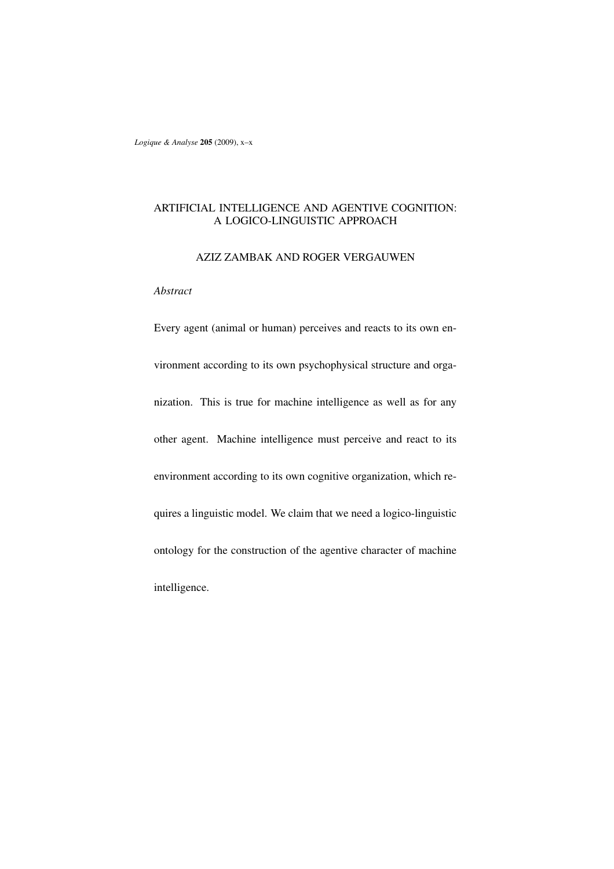*Logique & Analyse* **205** (2009), x–x

# ARTIFICIAL INTELLIGENCE AND AGENTIVE COGNITION: A LOGICO-LINGUISTIC APPROACH

### AZIZ ZAMBAK AND ROGER VERGAUWEN

# *Abstract*

Every agent (animal or human) perceives and reacts to its own environment according to its own psychophysical structure and organization. This is true for machine intelligence as well as for any other agent. Machine intelligence must perceive and react to its environment according to its own cognitive organization, which requires a linguistic model. We claim that we need a logico-linguistic ontology for the construction of the agentive character of machine intelligence.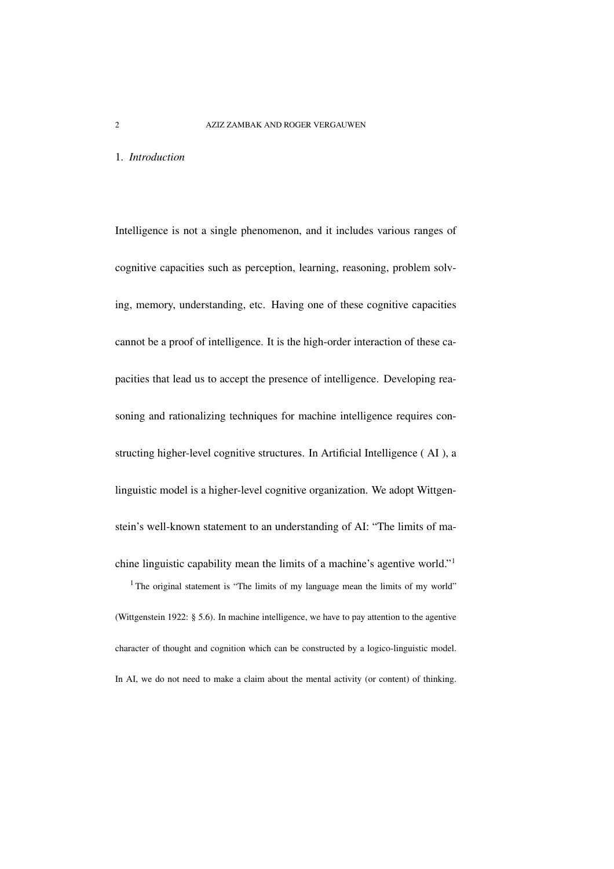### 1. *Introduction*

Intelligence is not a single phenomenon, and it includes various ranges of cognitive capacities such as perception, learning, reasoning, problem solving, memory, understanding, etc. Having one of these cognitive capacities cannot be a proof of intelligence. It is the high-order interaction of these capacities that lead us to accept the presence of intelligence. Developing reasoning and rationalizing techniques for machine intelligence requires constructing higher-level cognitive structures. In Artificial Intelligence ( AI ), a linguistic model is a higher-level cognitive organization. We adopt Wittgenstein's well-known statement to an understanding of AI: "The limits of machine linguistic capability mean the limits of a machine's agentive world." 1 <sup>1</sup> The original statement is "The limits of my language mean the limits of my world"

(Wittgenstein 1922: § 5.6). In machine intelligence, we have to pay attention to the agentive character of thought and cognition which can be constructed by a logico-linguistic model. In AI, we do not need to make a claim about the mental activity (or content) of thinking.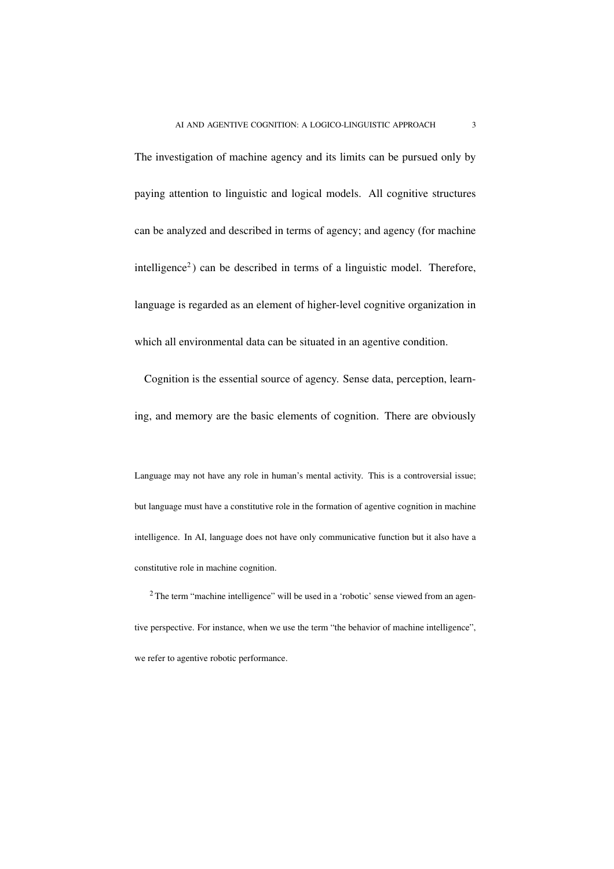The investigation of machine agency and its limits can be pursued only by paying attention to linguistic and logical models. All cognitive structures can be analyzed and described in terms of agency; and agency (for machine intelligence<sup>2</sup>) can be described in terms of a linguistic model. Therefore, language is regarded as an element of higher-level cognitive organization in which all environmental data can be situated in an agentive condition.

Cognition is the essential source of agency. Sense data, perception, learning, and memory are the basic elements of cognition. There are obviously

Language may not have any role in human's mental activity. This is a controversial issue; but language must have a constitutive role in the formation of agentive cognition in machine intelligence. In AI, language does not have only communicative function but it also have a constitutive role in machine cognition.

<sup>2</sup> The term "machine intelligence" will be used in a 'robotic' sense viewed from an agentive perspective. For instance, when we use the term "the behavior of machine intelligence", we refer to agentive robotic performance.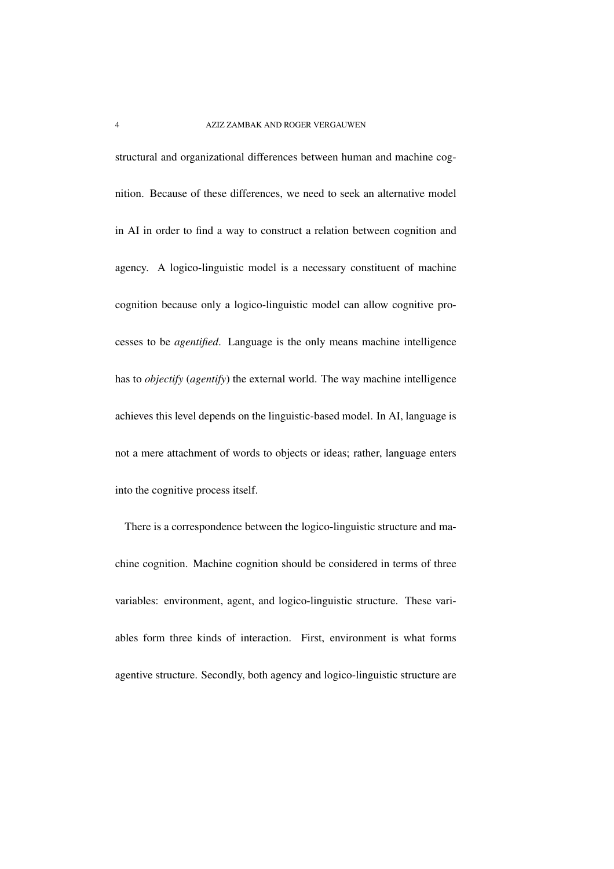structural and organizational differences between human and machine cognition. Because of these differences, we need to seek an alternative model in AI in order to find a way to construct a relation between cognition and agency. A logico-linguistic model is a necessary constituent of machine cognition because only a logico-linguistic model can allow cognitive processes to be *agentified*. Language is the only means machine intelligence has to *objectify* (*agentify*) the external world. The way machine intelligence achieves this level depends on the linguistic-based model. In AI, language is not a mere attachment of words to objects or ideas; rather, language enters into the cognitive process itself.

There is a correspondence between the logico-linguistic structure and machine cognition. Machine cognition should be considered in terms of three variables: environment, agent, and logico-linguistic structure. These variables form three kinds of interaction. First, environment is what forms agentive structure. Secondly, both agency and logico-linguistic structure are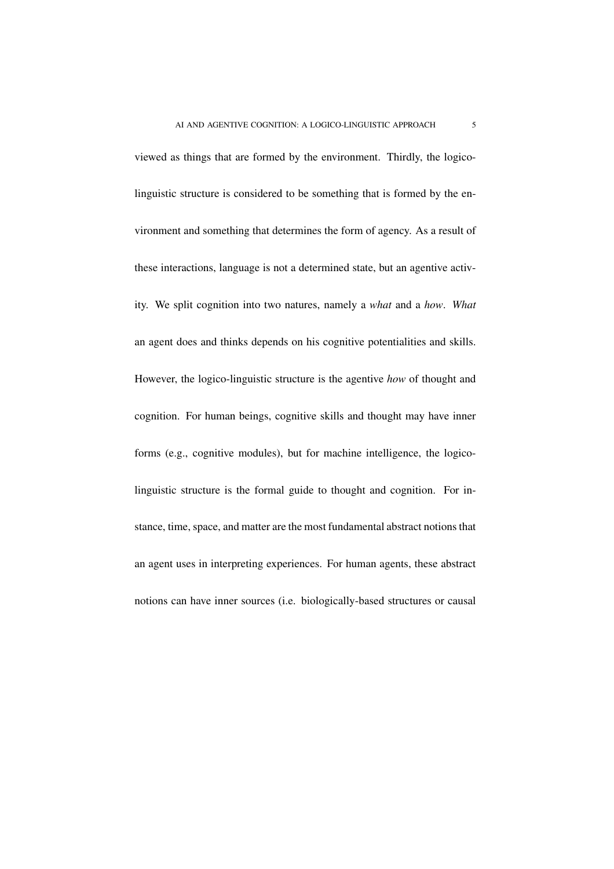viewed as things that are formed by the environment. Thirdly, the logicolinguistic structure is considered to be something that is formed by the environment and something that determines the form of agency. As a result of these interactions, language is not a determined state, but an agentive activity. We split cognition into two natures, namely a *what* and a *how*. *What* an agent does and thinks depends on his cognitive potentialities and skills. However, the logico-linguistic structure is the agentive *how* of thought and cognition. For human beings, cognitive skills and thought may have inner forms (e.g., cognitive modules), but for machine intelligence, the logicolinguistic structure is the formal guide to thought and cognition. For instance, time, space, and matter are the most fundamental abstract notions that an agent uses in interpreting experiences. For human agents, these abstract notions can have inner sources (i.e. biologically-based structures or causal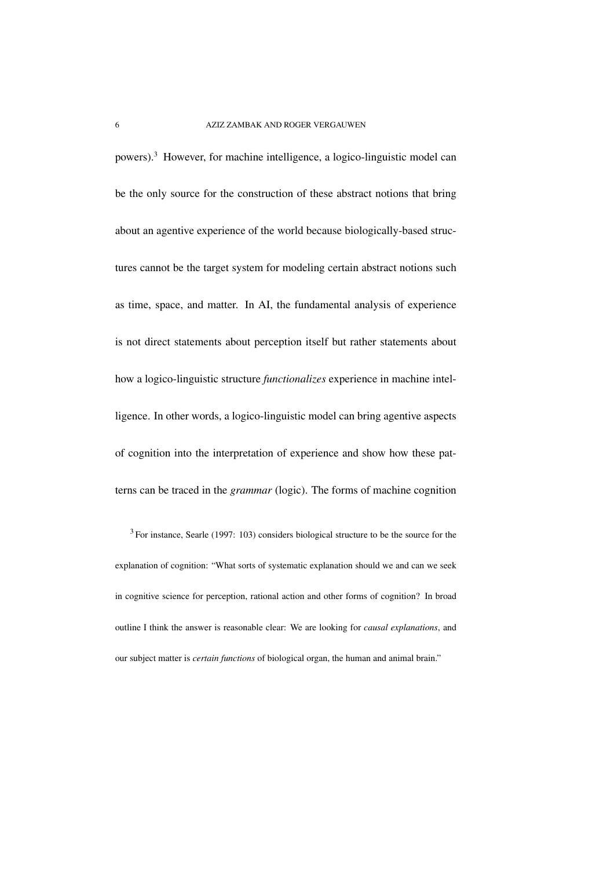powers).<sup>3</sup> However, for machine intelligence, a logico-linguistic model can be the only source for the construction of these abstract notions that bring about an agentive experience of the world because biologically-based structures cannot be the target system for modeling certain abstract notions such as time, space, and matter. In AI, the fundamental analysis of experience is not direct statements about perception itself but rather statements about how a logico-linguistic structure *functionalizes* experience in machine intelligence. In other words, a logico-linguistic model can bring agentive aspects of cognition into the interpretation of experience and show how these patterns can be traced in the *grammar* (logic). The forms of machine cognition

 $3$  For instance, Searle (1997: 103) considers biological structure to be the source for the explanation of cognition: "What sorts of systematic explanation should we and can we seek in cognitive science for perception, rational action and other forms of cognition? In broad outline I think the answer is reasonable clear: We are looking for *causal explanations*, and our subject matter is *certain functions* of biological organ, the human and animal brain."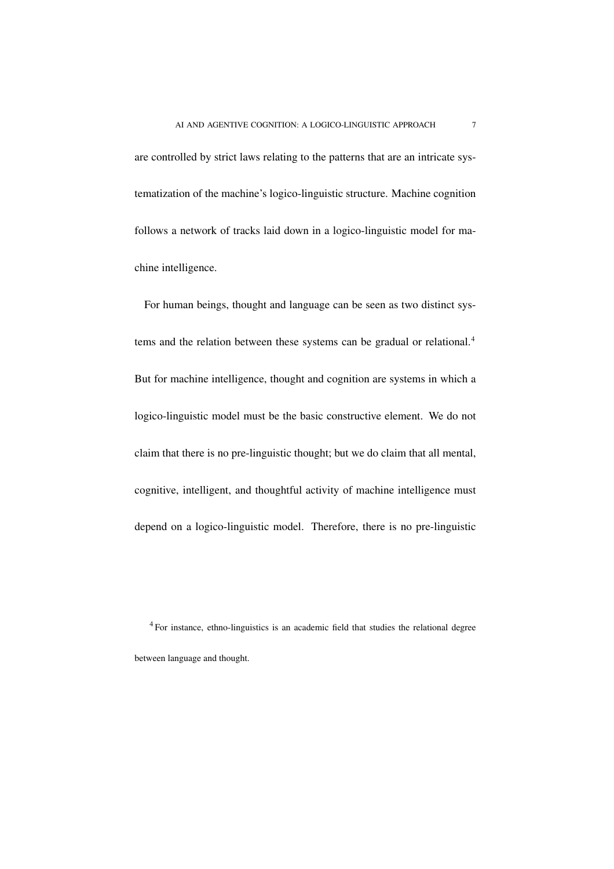are controlled by strict laws relating to the patterns that are an intricate systematization of the machine's logico-linguistic structure. Machine cognition follows a network of tracks laid down in a logico-linguistic model for machine intelligence.

For human beings, thought and language can be seen as two distinct systems and the relation between these systems can be gradual or relational.<sup>4</sup> But for machine intelligence, thought and cognition are systems in which a logico-linguistic model must be the basic constructive element. We do not claim that there is no pre-linguistic thought; but we do claim that all mental, cognitive, intelligent, and thoughtful activity of machine intelligence must depend on a logico-linguistic model. Therefore, there is no pre-linguistic

<sup>4</sup> For instance, ethno-linguistics is an academic field that studies the relational degree between language and thought.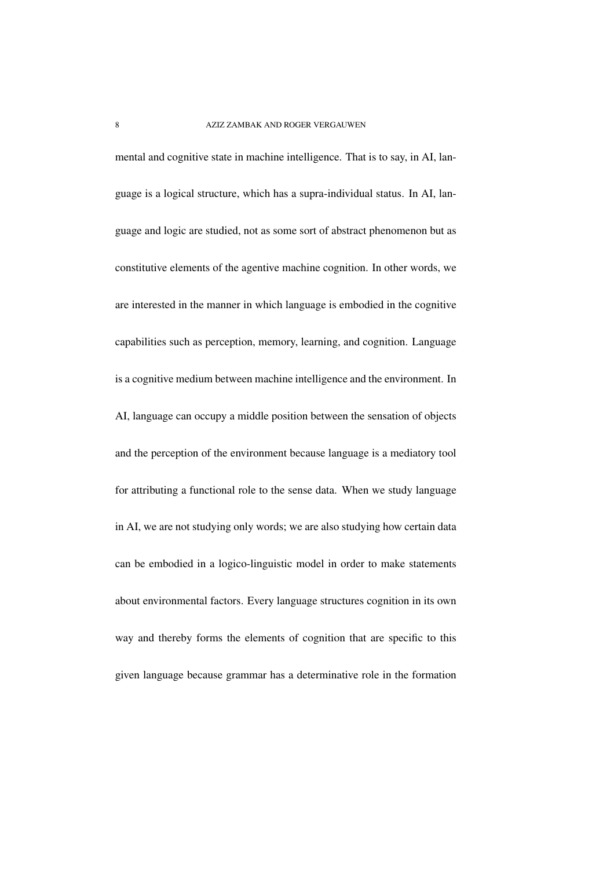mental and cognitive state in machine intelligence. That is to say, in AI, language is a logical structure, which has a supra-individual status. In AI, language and logic are studied, not as some sort of abstract phenomenon but as constitutive elements of the agentive machine cognition. In other words, we are interested in the manner in which language is embodied in the cognitive capabilities such as perception, memory, learning, and cognition. Language is a cognitive medium between machine intelligence and the environment. In AI, language can occupy a middle position between the sensation of objects and the perception of the environment because language is a mediatory tool for attributing a functional role to the sense data. When we study language in AI, we are not studying only words; we are also studying how certain data can be embodied in a logico-linguistic model in order to make statements about environmental factors. Every language structures cognition in its own way and thereby forms the elements of cognition that are specific to this given language because grammar has a determinative role in the formation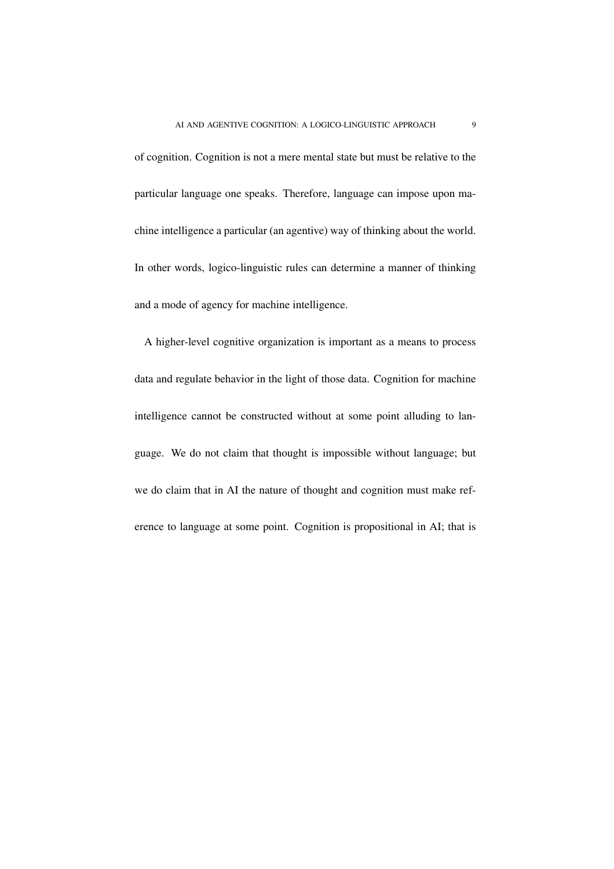of cognition. Cognition is not a mere mental state but must be relative to the particular language one speaks. Therefore, language can impose upon machine intelligence a particular (an agentive) way of thinking about the world. In other words, logico-linguistic rules can determine a manner of thinking and a mode of agency for machine intelligence.

A higher-level cognitive organization is important as a means to process data and regulate behavior in the light of those data. Cognition for machine intelligence cannot be constructed without at some point alluding to language. We do not claim that thought is impossible without language; but we do claim that in AI the nature of thought and cognition must make reference to language at some point. Cognition is propositional in AI; that is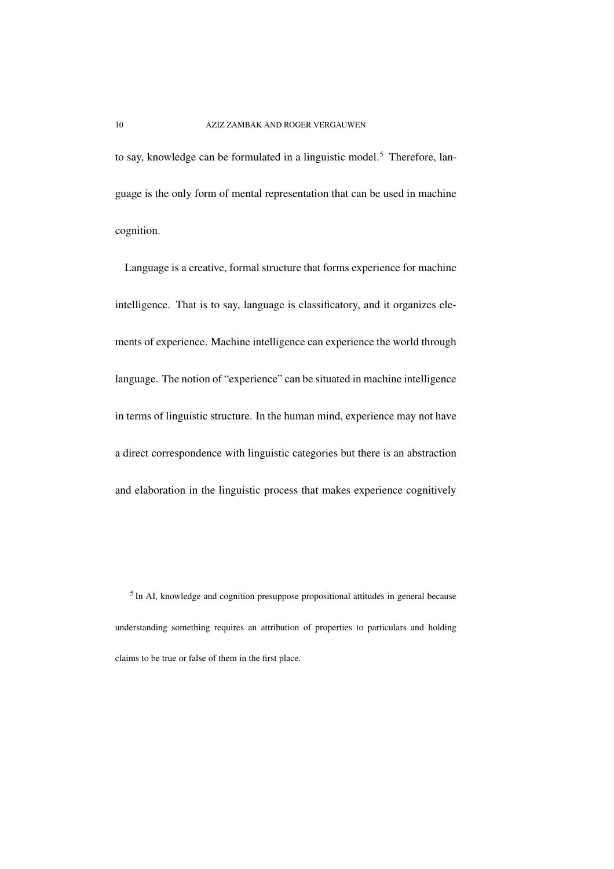to say, knowledge can be formulated in a linguistic model.<sup>5</sup> Therefore, language is the only form of mental representation that can be used in machine cognition.

Language is a creative, formal structure that forms experience for machine intelligence. That is to say, language is classificatory, and it organizes elements of experience. Machine intelligence can experience the world through language. The notion of "experience" can be situated in machine intelligence in terms of linguistic structure. In the human mind, experience may not have a direct correspondence with linguistic categories but there is an abstraction and elaboration in the linguistic process that makes experience cognitively

<sup>5</sup> In AI, knowledge and cognition presuppose propositional attitudes in general because understanding something requires an attribution of properties to particulars and holding claims to be true or false of them in the first place.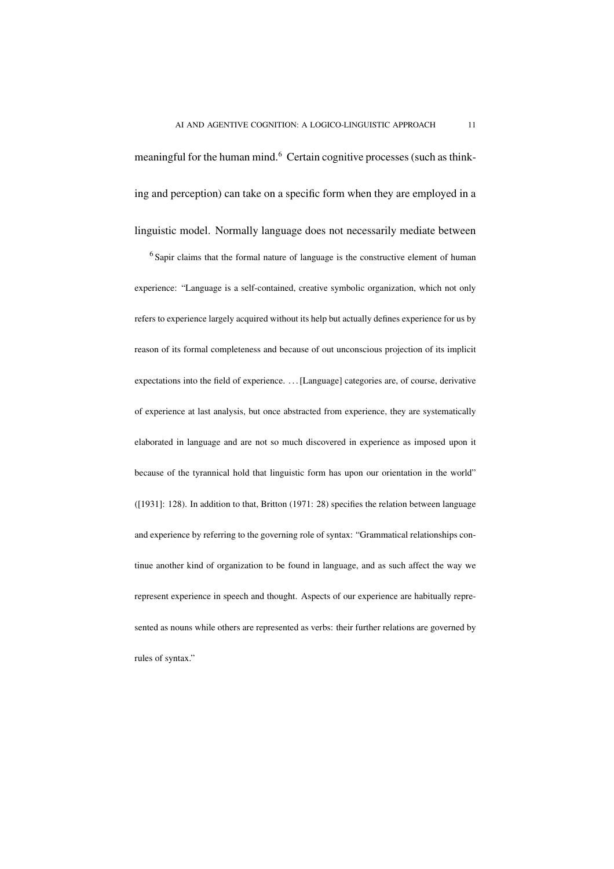meaningful for the human mind.<sup>6</sup> Certain cognitive processes (such as thinking and perception) can take on a specific form when they are employed in a linguistic model. Normally language does not necessarily mediate between

 $<sup>6</sup>$  Sapir claims that the formal nature of language is the constructive element of human</sup> experience: "Language is a self-contained, creative symbolic organization, which not only refers to experience largely acquired without its help but actually defines experience for us by reason of its formal completeness and because of out unconscious projection of its implicit expectations into the field of experience. . . .[Language] categories are, of course, derivative of experience at last analysis, but once abstracted from experience, they are systematically elaborated in language and are not so much discovered in experience as imposed upon it because of the tyrannical hold that linguistic form has upon our orientation in the world" ([1931]: 128). In addition to that, Britton (1971: 28) specifies the relation between language and experience by referring to the governing role of syntax: "Grammatical relationships continue another kind of organization to be found in language, and as such affect the way we represent experience in speech and thought. Aspects of our experience are habitually represented as nouns while others are represented as verbs: their further relations are governed by rules of syntax."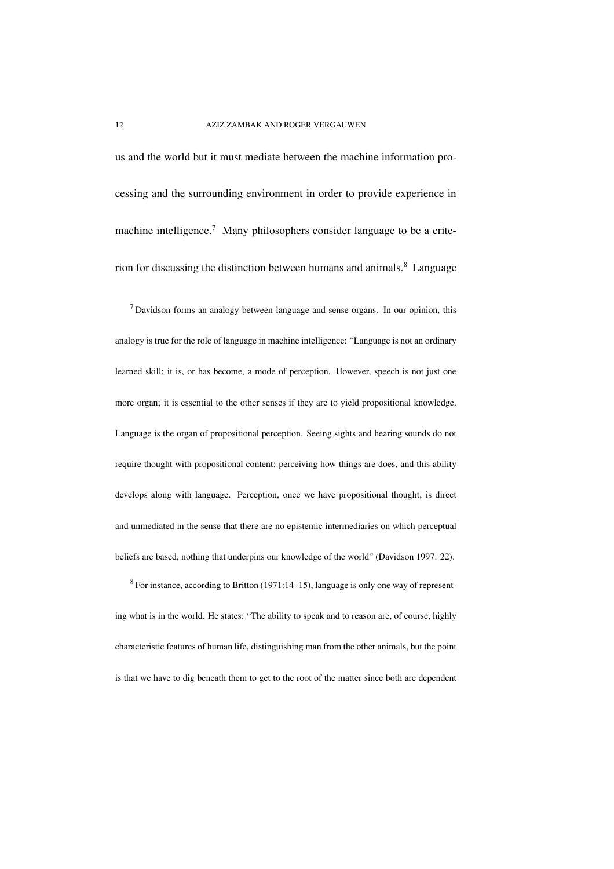us and the world but it must mediate between the machine information processing and the surrounding environment in order to provide experience in machine intelligence.<sup>7</sup> Many philosophers consider language to be a criterion for discussing the distinction between humans and animals. $8$  Language

<sup>7</sup> Davidson forms an analogy between language and sense organs. In our opinion, this analogy is true for the role of language in machine intelligence: "Language is not an ordinary learned skill; it is, or has become, a mode of perception. However, speech is not just one more organ; it is essential to the other senses if they are to yield propositional knowledge. Language is the organ of propositional perception. Seeing sights and hearing sounds do not require thought with propositional content; perceiving how things are does, and this ability develops along with language. Perception, once we have propositional thought, is direct and unmediated in the sense that there are no epistemic intermediaries on which perceptual beliefs are based, nothing that underpins our knowledge of the world" (Davidson 1997: 22).

 $8$  For instance, according to Britton (1971:14–15), language is only one way of representing what is in the world. He states: "The ability to speak and to reason are, of course, highly characteristic features of human life, distinguishing man from the other animals, but the point is that we have to dig beneath them to get to the root of the matter since both are dependent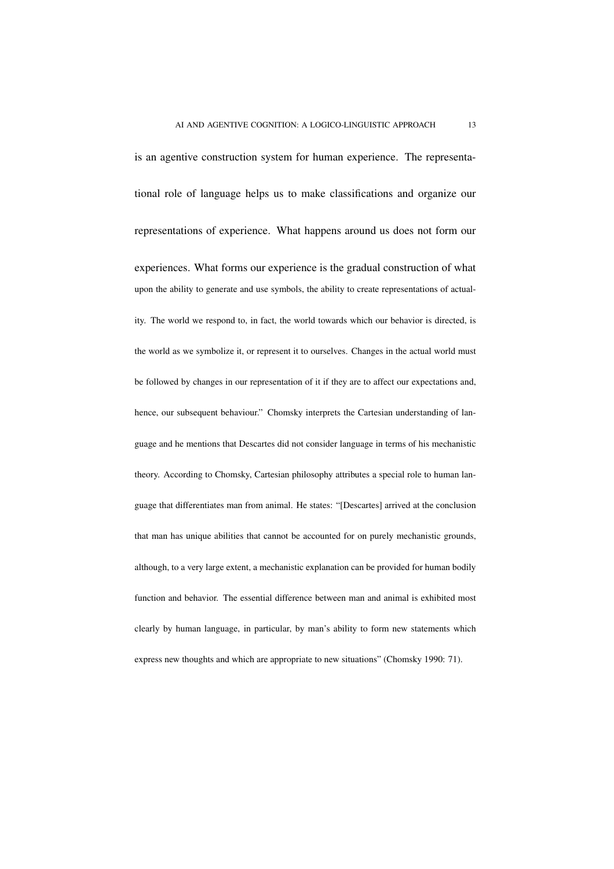is an agentive construction system for human experience. The representational role of language helps us to make classifications and organize our representations of experience. What happens around us does not form our experiences. What forms our experience is the gradual construction of what upon the ability to generate and use symbols, the ability to create representations of actuality. The world we respond to, in fact, the world towards which our behavior is directed, is the world as we symbolize it, or represent it to ourselves. Changes in the actual world must be followed by changes in our representation of it if they are to affect our expectations and, hence, our subsequent behaviour." Chomsky interprets the Cartesian understanding of language and he mentions that Descartes did not consider language in terms of his mechanistic theory. According to Chomsky, Cartesian philosophy attributes a special role to human language that differentiates man from animal. He states: "[Descartes] arrived at the conclusion that man has unique abilities that cannot be accounted for on purely mechanistic grounds, although, to a very large extent, a mechanistic explanation can be provided for human bodily function and behavior. The essential difference between man and animal is exhibited most clearly by human language, in particular, by man's ability to form new statements which express new thoughts and which are appropriate to new situations" (Chomsky 1990: 71).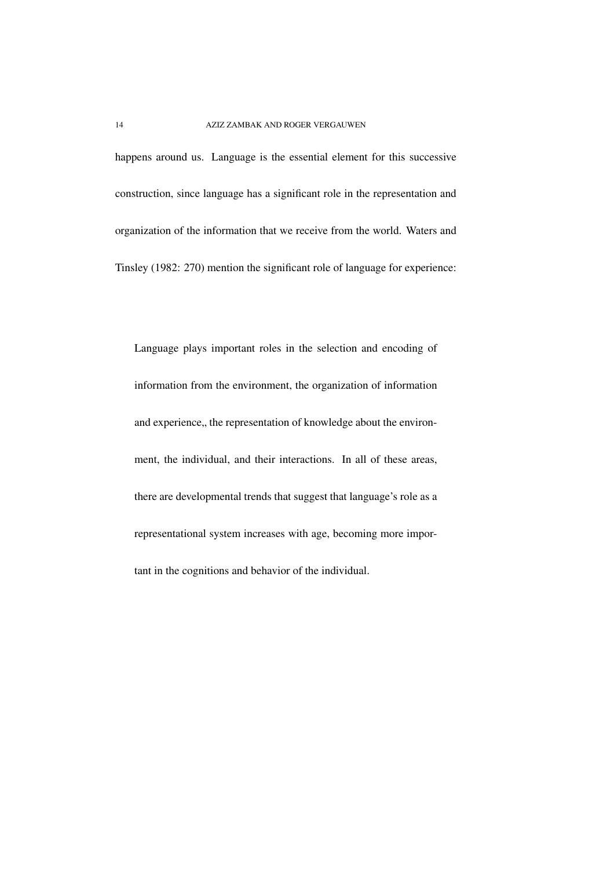happens around us. Language is the essential element for this successive construction, since language has a significant role in the representation and organization of the information that we receive from the world. Waters and Tinsley (1982: 270) mention the significant role of language for experience:

Language plays important roles in the selection and encoding of information from the environment, the organization of information and experience,, the representation of knowledge about the environment, the individual, and their interactions. In all of these areas, there are developmental trends that suggest that language's role as a representational system increases with age, becoming more important in the cognitions and behavior of the individual.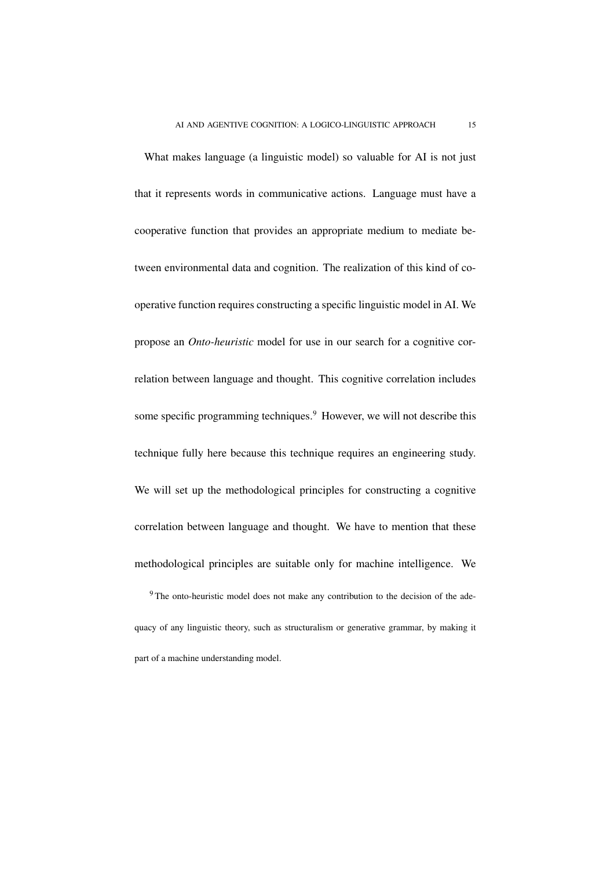What makes language (a linguistic model) so valuable for AI is not just that it represents words in communicative actions. Language must have a cooperative function that provides an appropriate medium to mediate between environmental data and cognition. The realization of this kind of cooperative function requires constructing a specific linguistic model in AI. We propose an *Onto-heuristic* model for use in our search for a cognitive correlation between language and thought. This cognitive correlation includes some specific programming techniques.<sup>9</sup> However, we will not describe this technique fully here because this technique requires an engineering study. We will set up the methodological principles for constructing a cognitive correlation between language and thought. We have to mention that these methodological principles are suitable only for machine intelligence. We

<sup>9</sup> The onto-heuristic model does not make any contribution to the decision of the adequacy of any linguistic theory, such as structuralism or generative grammar, by making it part of a machine understanding model.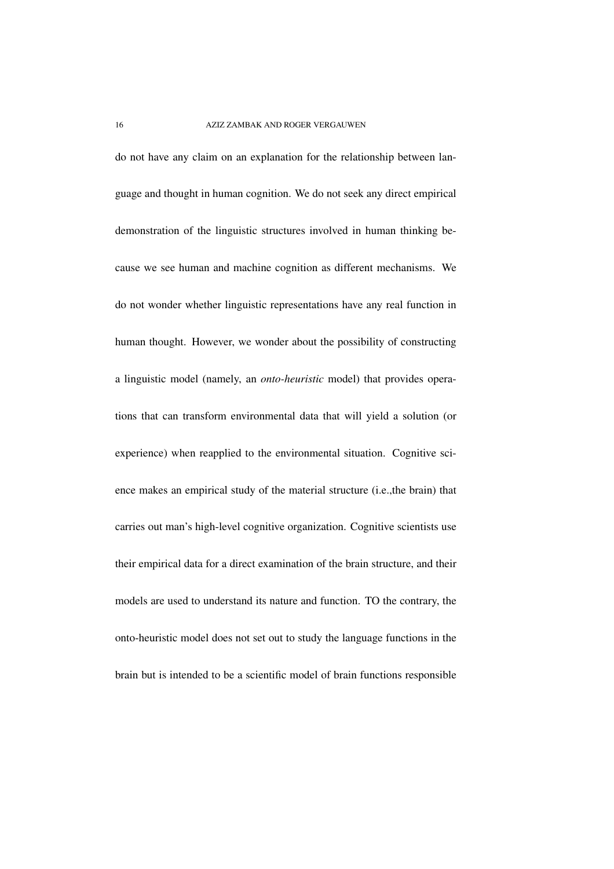do not have any claim on an explanation for the relationship between language and thought in human cognition. We do not seek any direct empirical demonstration of the linguistic structures involved in human thinking because we see human and machine cognition as different mechanisms. We do not wonder whether linguistic representations have any real function in human thought. However, we wonder about the possibility of constructing a linguistic model (namely, an *onto-heuristic* model) that provides operations that can transform environmental data that will yield a solution (or experience) when reapplied to the environmental situation. Cognitive science makes an empirical study of the material structure (i.e.,the brain) that carries out man's high-level cognitive organization. Cognitive scientists use their empirical data for a direct examination of the brain structure, and their models are used to understand its nature and function. TO the contrary, the onto-heuristic model does not set out to study the language functions in the brain but is intended to be a scientific model of brain functions responsible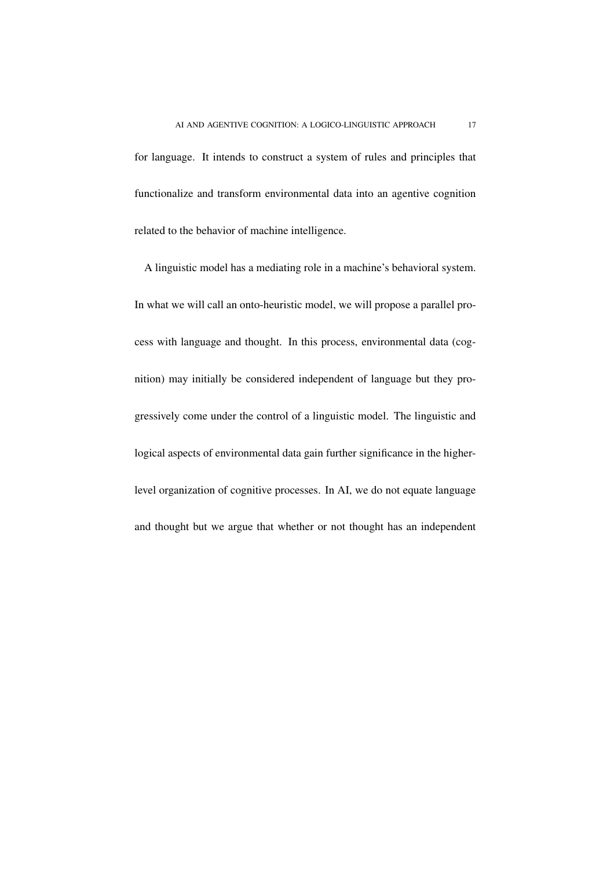for language. It intends to construct a system of rules and principles that functionalize and transform environmental data into an agentive cognition related to the behavior of machine intelligence.

A linguistic model has a mediating role in a machine's behavioral system. In what we will call an onto-heuristic model, we will propose a parallel process with language and thought. In this process, environmental data (cognition) may initially be considered independent of language but they progressively come under the control of a linguistic model. The linguistic and logical aspects of environmental data gain further significance in the higherlevel organization of cognitive processes. In AI, we do not equate language and thought but we argue that whether or not thought has an independent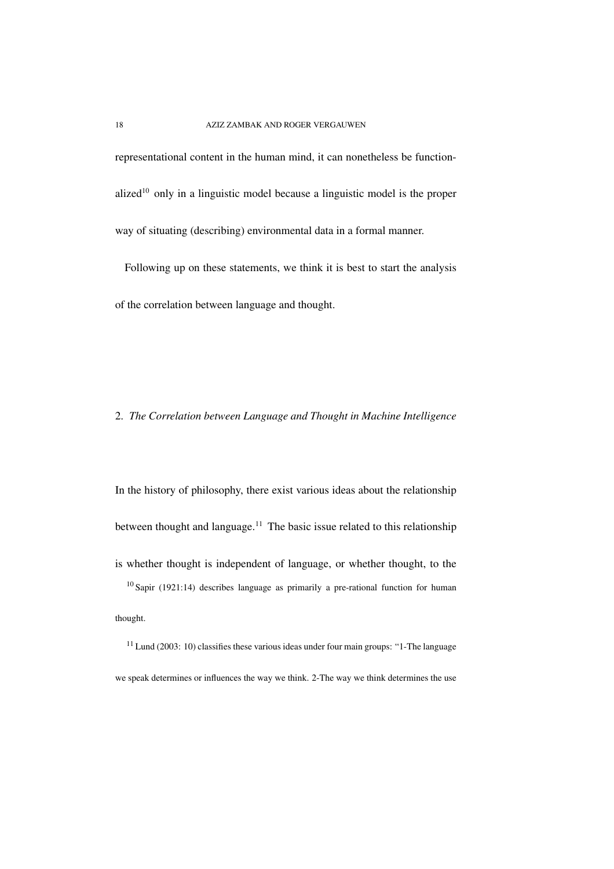representational content in the human mind, it can nonetheless be functionalized<sup>10</sup> only in a linguistic model because a linguistic model is the proper way of situating (describing) environmental data in a formal manner.

Following up on these statements, we think it is best to start the analysis of the correlation between language and thought.

2. *The Correlation between Language and Thought in Machine Intelligence*

In the history of philosophy, there exist various ideas about the relationship between thought and language.<sup>11</sup> The basic issue related to this relationship is whether thought is independent of language, or whether thought, to the  $10$  Sapir (1921:14) describes language as primarily a pre-rational function for human thought.

 $11$  Lund (2003: 10) classifies these various ideas under four main groups: "1-The language we speak determines or influences the way we think. 2-The way we think determines the use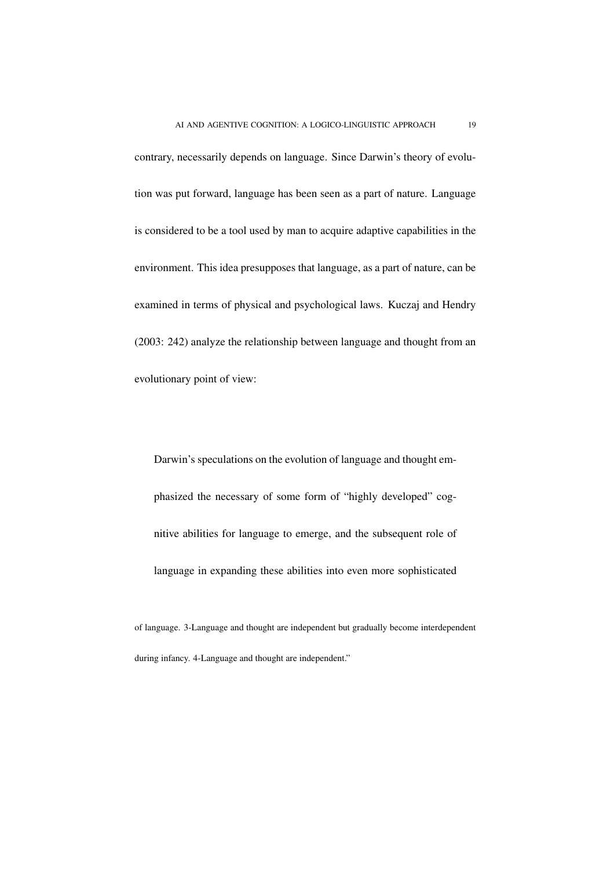contrary, necessarily depends on language. Since Darwin's theory of evolution was put forward, language has been seen as a part of nature. Language is considered to be a tool used by man to acquire adaptive capabilities in the environment. This idea presupposes that language, as a part of nature, can be examined in terms of physical and psychological laws. Kuczaj and Hendry (2003: 242) analyze the relationship between language and thought from an evolutionary point of view:

Darwin's speculations on the evolution of language and thought emphasized the necessary of some form of "highly developed" cognitive abilities for language to emerge, and the subsequent role of language in expanding these abilities into even more sophisticated

of language. 3-Language and thought are independent but gradually become interdependent during infancy. 4-Language and thought are independent."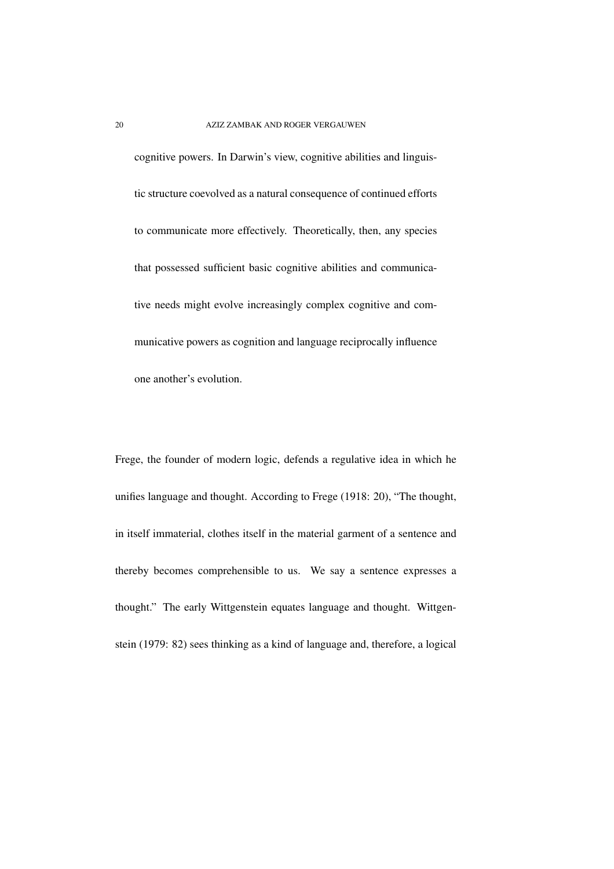cognitive powers. In Darwin's view, cognitive abilities and linguistic structure coevolved as a natural consequence of continued efforts to communicate more effectively. Theoretically, then, any species that possessed sufficient basic cognitive abilities and communicative needs might evolve increasingly complex cognitive and communicative powers as cognition and language reciprocally influence one another's evolution.

Frege, the founder of modern logic, defends a regulative idea in which he unifies language and thought. According to Frege (1918: 20), "The thought, in itself immaterial, clothes itself in the material garment of a sentence and thereby becomes comprehensible to us. We say a sentence expresses a thought." The early Wittgenstein equates language and thought. Wittgenstein (1979: 82) sees thinking as a kind of language and, therefore, a logical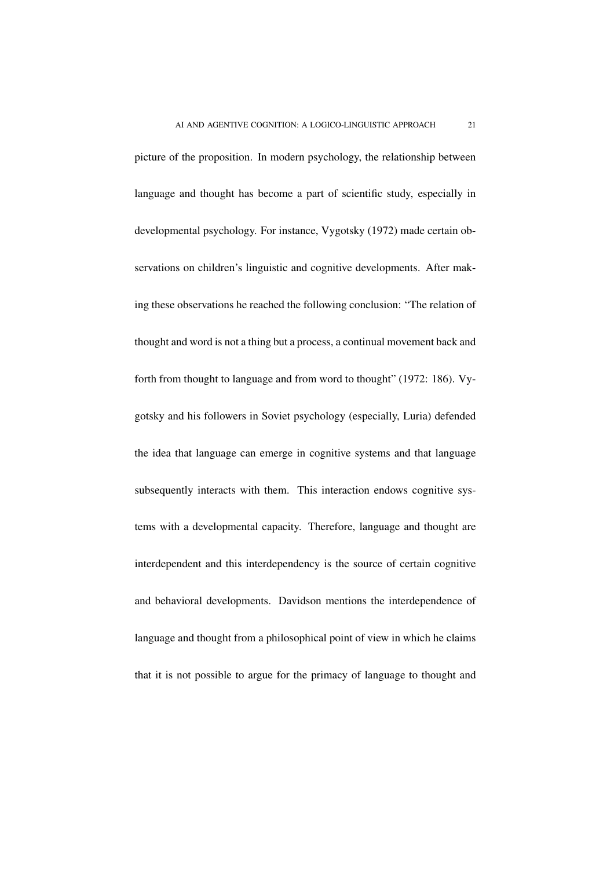picture of the proposition. In modern psychology, the relationship between language and thought has become a part of scientific study, especially in developmental psychology. For instance, Vygotsky (1972) made certain observations on children's linguistic and cognitive developments. After making these observations he reached the following conclusion: "The relation of thought and word is not a thing but a process, a continual movement back and forth from thought to language and from word to thought" (1972: 186). Vygotsky and his followers in Soviet psychology (especially, Luria) defended the idea that language can emerge in cognitive systems and that language subsequently interacts with them. This interaction endows cognitive systems with a developmental capacity. Therefore, language and thought are interdependent and this interdependency is the source of certain cognitive and behavioral developments. Davidson mentions the interdependence of language and thought from a philosophical point of view in which he claims that it is not possible to argue for the primacy of language to thought and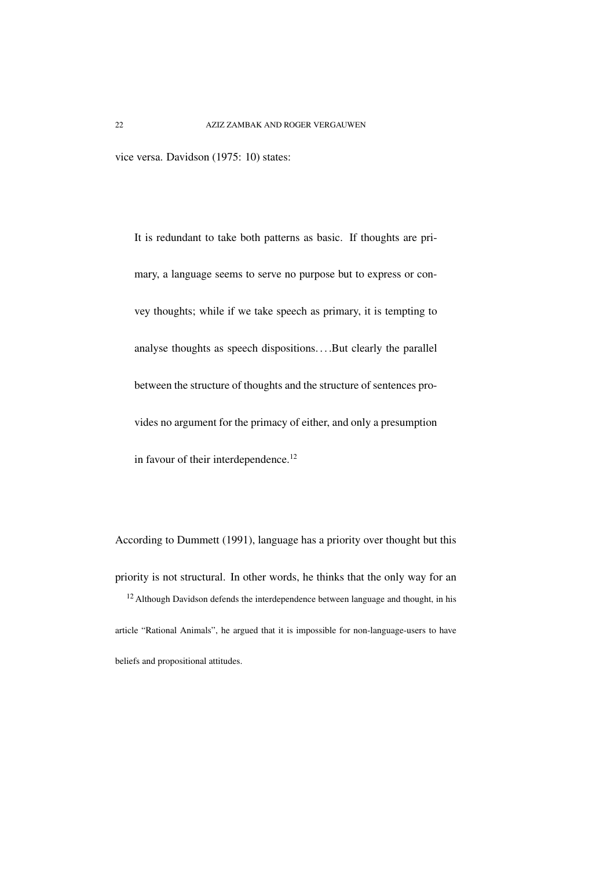vice versa. Davidson (1975: 10) states:

It is redundant to take both patterns as basic. If thoughts are primary, a language seems to serve no purpose but to express or convey thoughts; while if we take speech as primary, it is tempting to analyse thoughts as speech dispositions. . . .But clearly the parallel between the structure of thoughts and the structure of sentences provides no argument for the primacy of either, and only a presumption in favour of their interdependence.<sup>12</sup>

According to Dummett (1991), language has a priority over thought but this priority is not structural. In other words, he thinks that the only way for an  $12$  Although Davidson defends the interdependence between language and thought, in his article "Rational Animals", he argued that it is impossible for non-language-users to have beliefs and propositional attitudes.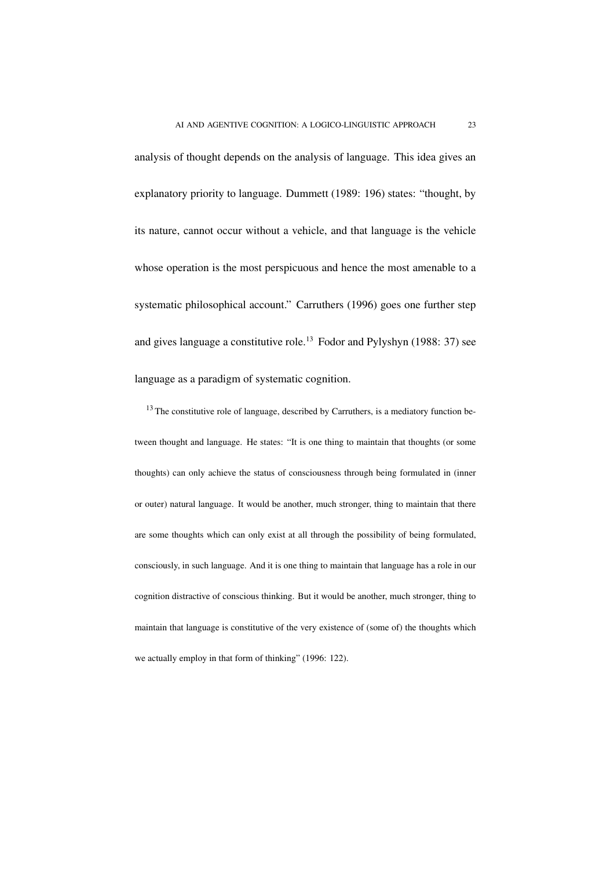analysis of thought depends on the analysis of language. This idea gives an explanatory priority to language. Dummett (1989: 196) states: "thought, by its nature, cannot occur without a vehicle, and that language is the vehicle whose operation is the most perspicuous and hence the most amenable to a systematic philosophical account." Carruthers (1996) goes one further step and gives language a constitutive role.<sup>13</sup> Fodor and Pylyshyn (1988: 37) see language as a paradigm of systematic cognition.

<sup>13</sup> The constitutive role of language, described by Carruthers, is a mediatory function between thought and language. He states: "It is one thing to maintain that thoughts (or some thoughts) can only achieve the status of consciousness through being formulated in (inner or outer) natural language. It would be another, much stronger, thing to maintain that there are some thoughts which can only exist at all through the possibility of being formulated, consciously, in such language. And it is one thing to maintain that language has a role in our cognition distractive of conscious thinking. But it would be another, much stronger, thing to maintain that language is constitutive of the very existence of (some of) the thoughts which we actually employ in that form of thinking" (1996: 122).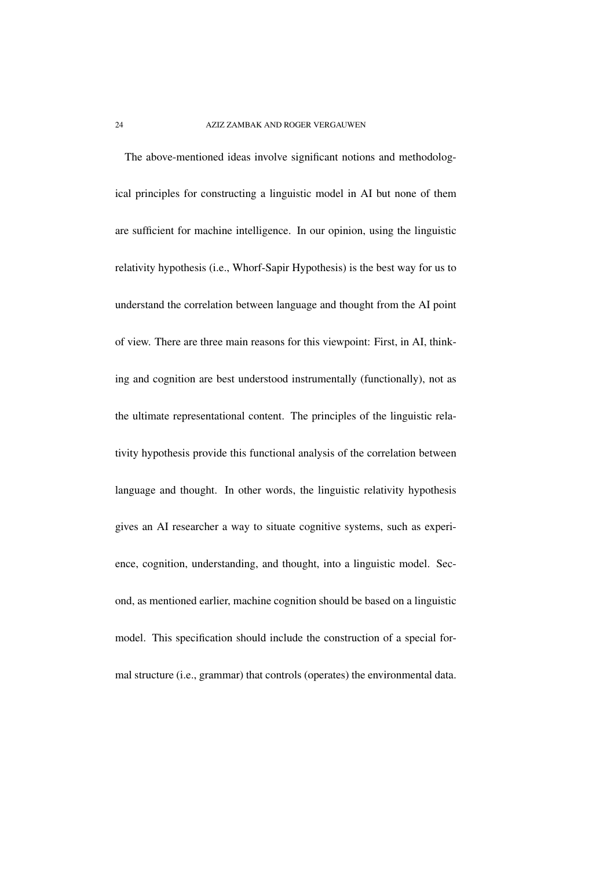The above-mentioned ideas involve significant notions and methodological principles for constructing a linguistic model in AI but none of them are sufficient for machine intelligence. In our opinion, using the linguistic relativity hypothesis (i.e., Whorf-Sapir Hypothesis) is the best way for us to understand the correlation between language and thought from the AI point of view. There are three main reasons for this viewpoint: First, in AI, thinking and cognition are best understood instrumentally (functionally), not as the ultimate representational content. The principles of the linguistic relativity hypothesis provide this functional analysis of the correlation between language and thought. In other words, the linguistic relativity hypothesis gives an AI researcher a way to situate cognitive systems, such as experience, cognition, understanding, and thought, into a linguistic model. Second, as mentioned earlier, machine cognition should be based on a linguistic model. This specification should include the construction of a special formal structure (i.e., grammar) that controls (operates) the environmental data.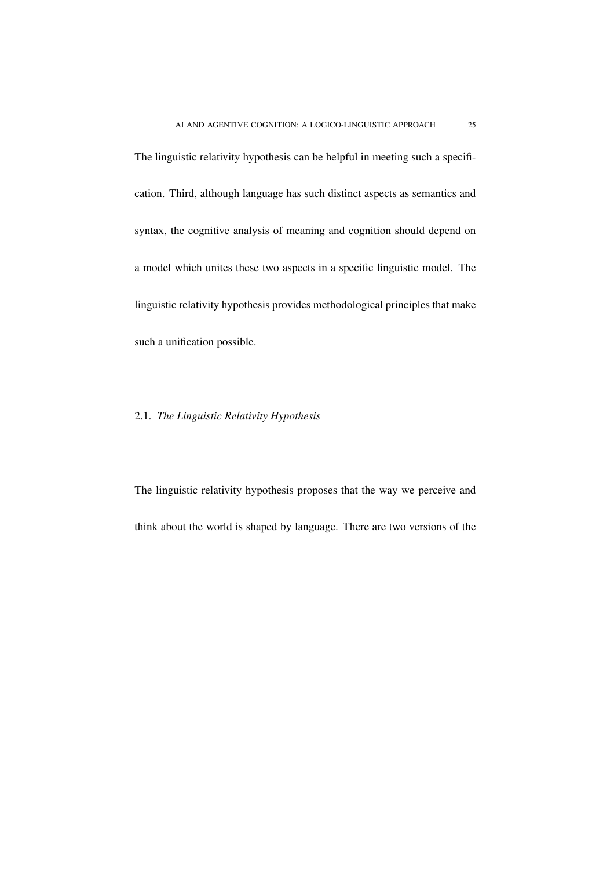The linguistic relativity hypothesis can be helpful in meeting such a specification. Third, although language has such distinct aspects as semantics and syntax, the cognitive analysis of meaning and cognition should depend on a model which unites these two aspects in a specific linguistic model. The linguistic relativity hypothesis provides methodological principles that make such a unification possible.

## 2.1. *The Linguistic Relativity Hypothesis*

The linguistic relativity hypothesis proposes that the way we perceive and think about the world is shaped by language. There are two versions of the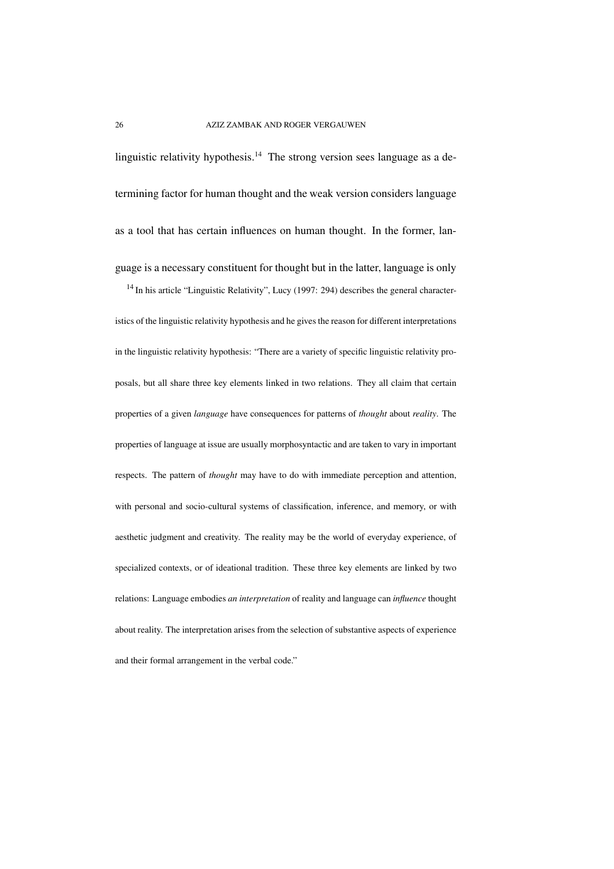linguistic relativity hypothesis.<sup>14</sup> The strong version sees language as a determining factor for human thought and the weak version considers language as a tool that has certain influences on human thought. In the former, language is a necessary constituent for thought but in the latter, language is only

<sup>14</sup> In his article "Linguistic Relativity", Lucy (1997: 294) describes the general character-

istics of the linguistic relativity hypothesis and he gives the reason for different interpretations in the linguistic relativity hypothesis: "There are a variety of specific linguistic relativity proposals, but all share three key elements linked in two relations. They all claim that certain properties of a given *language* have consequences for patterns of *thought* about *reality*. The properties of language at issue are usually morphosyntactic and are taken to vary in important respects. The pattern of *thought* may have to do with immediate perception and attention, with personal and socio-cultural systems of classification, inference, and memory, or with aesthetic judgment and creativity. The reality may be the world of everyday experience, of specialized contexts, or of ideational tradition. These three key elements are linked by two relations: Language embodies *an interpretation* of reality and language can *influence* thought about reality. The interpretation arises from the selection of substantive aspects of experience and their formal arrangement in the verbal code."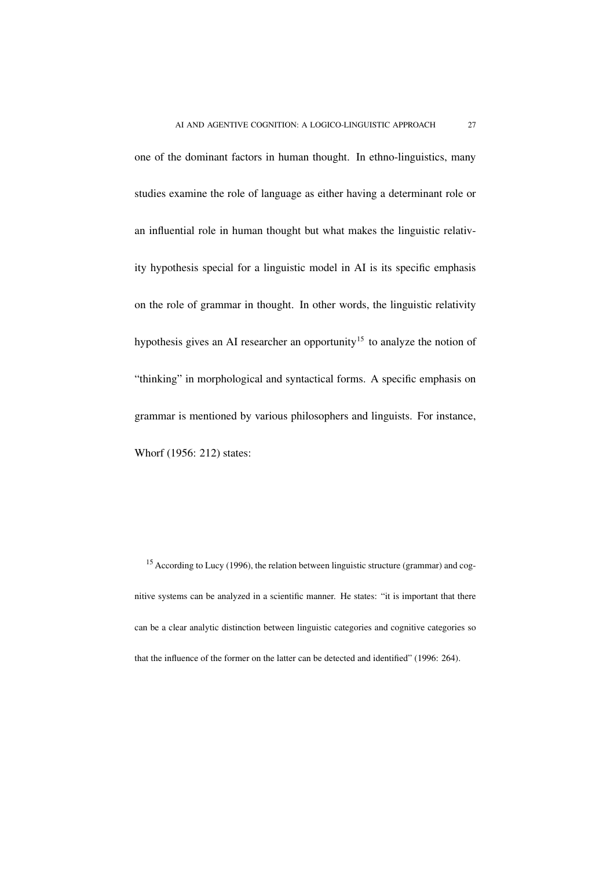one of the dominant factors in human thought. In ethno-linguistics, many studies examine the role of language as either having a determinant role or an influential role in human thought but what makes the linguistic relativity hypothesis special for a linguistic model in AI is its specific emphasis on the role of grammar in thought. In other words, the linguistic relativity hypothesis gives an AI researcher an opportunity<sup>15</sup> to analyze the notion of "thinking" in morphological and syntactical forms. A specific emphasis on grammar is mentioned by various philosophers and linguists. For instance, Whorf (1956: 212) states:

<sup>15</sup> According to Lucy (1996), the relation between linguistic structure (grammar) and cognitive systems can be analyzed in a scientific manner. He states: "it is important that there can be a clear analytic distinction between linguistic categories and cognitive categories so that the influence of the former on the latter can be detected and identified" (1996: 264).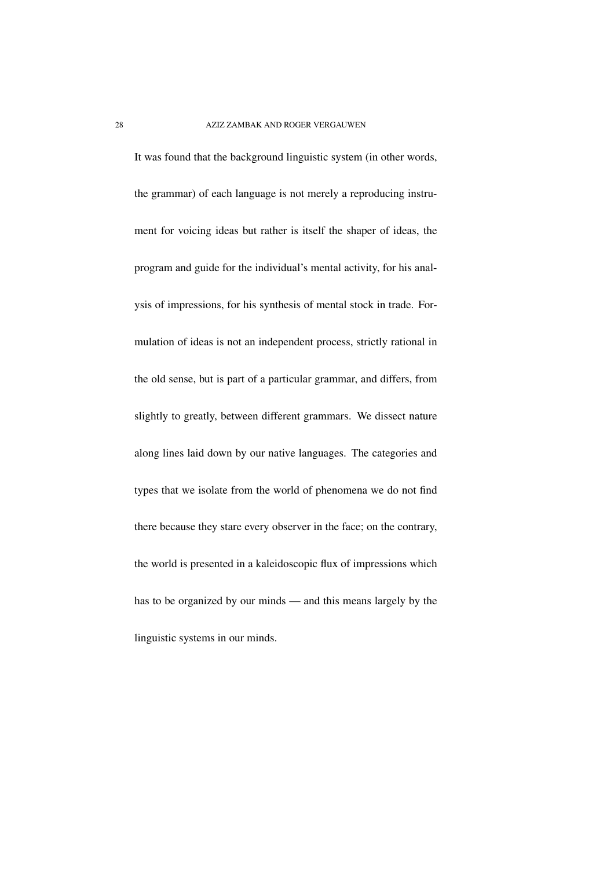It was found that the background linguistic system (in other words, the grammar) of each language is not merely a reproducing instrument for voicing ideas but rather is itself the shaper of ideas, the program and guide for the individual's mental activity, for his analysis of impressions, for his synthesis of mental stock in trade. Formulation of ideas is not an independent process, strictly rational in the old sense, but is part of a particular grammar, and differs, from slightly to greatly, between different grammars. We dissect nature along lines laid down by our native languages. The categories and types that we isolate from the world of phenomena we do not find there because they stare every observer in the face; on the contrary, the world is presented in a kaleidoscopic flux of impressions which has to be organized by our minds — and this means largely by the linguistic systems in our minds.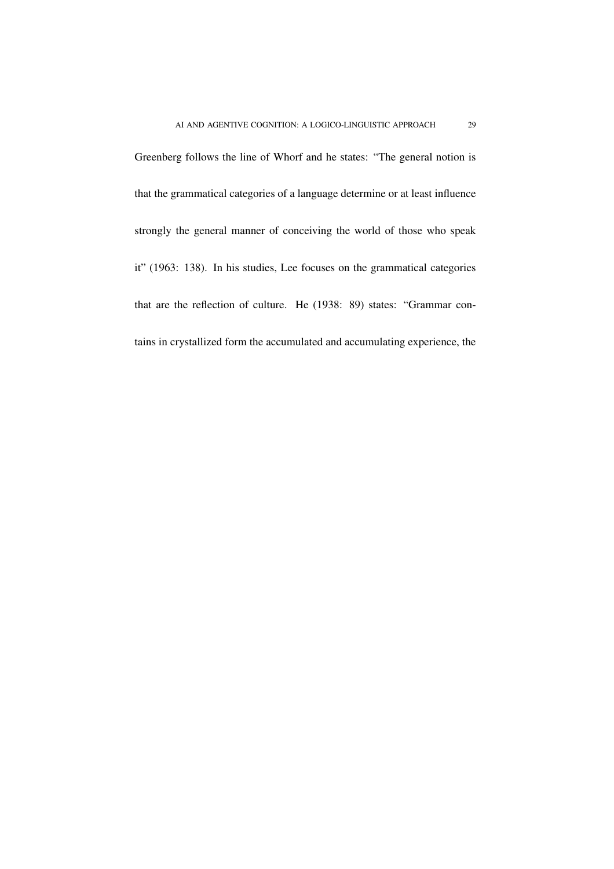Greenberg follows the line of Whorf and he states: "The general notion is that the grammatical categories of a language determine or at least influence strongly the general manner of conceiving the world of those who speak it" (1963: 138). In his studies, Lee focuses on the grammatical categories that are the reflection of culture. He (1938: 89) states: "Grammar contains in crystallized form the accumulated and accumulating experience, the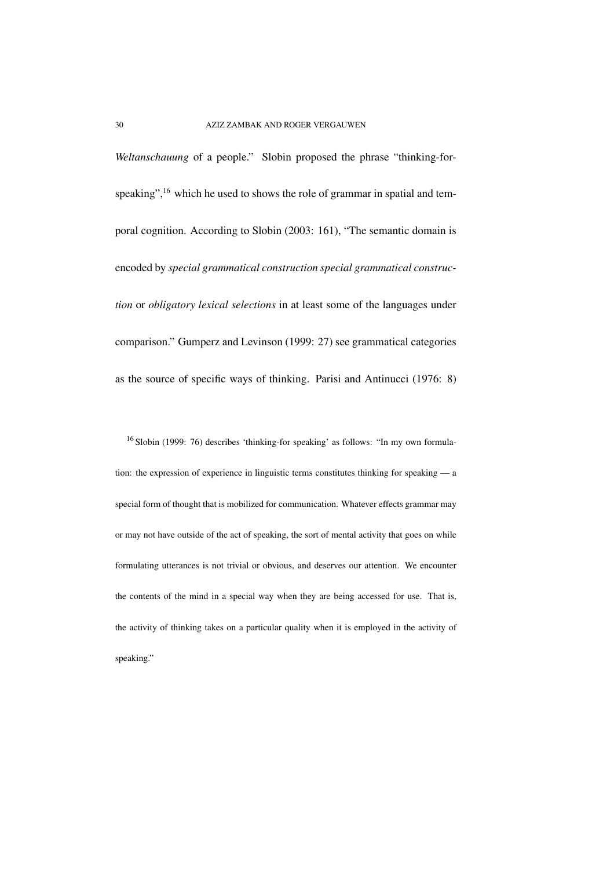*Weltanschauung* of a people." Slobin proposed the phrase "thinking-forspeaking",<sup>16</sup> which he used to shows the role of grammar in spatial and temporal cognition. According to Slobin (2003: 161), "The semantic domain is encoded by *special grammatical construction special grammatical construction* or *obligatory lexical selections* in at least some of the languages under comparison." Gumperz and Levinson (1999: 27) see grammatical categories as the source of specific ways of thinking. Parisi and Antinucci (1976: 8)

<sup>16</sup> Slobin (1999: 76) describes 'thinking-for speaking' as follows: "In my own formulation: the expression of experience in linguistic terms constitutes thinking for speaking — a special form of thought that is mobilized for communication. Whatever effects grammar may or may not have outside of the act of speaking, the sort of mental activity that goes on while formulating utterances is not trivial or obvious, and deserves our attention. We encounter the contents of the mind in a special way when they are being accessed for use. That is, the activity of thinking takes on a particular quality when it is employed in the activity of speaking."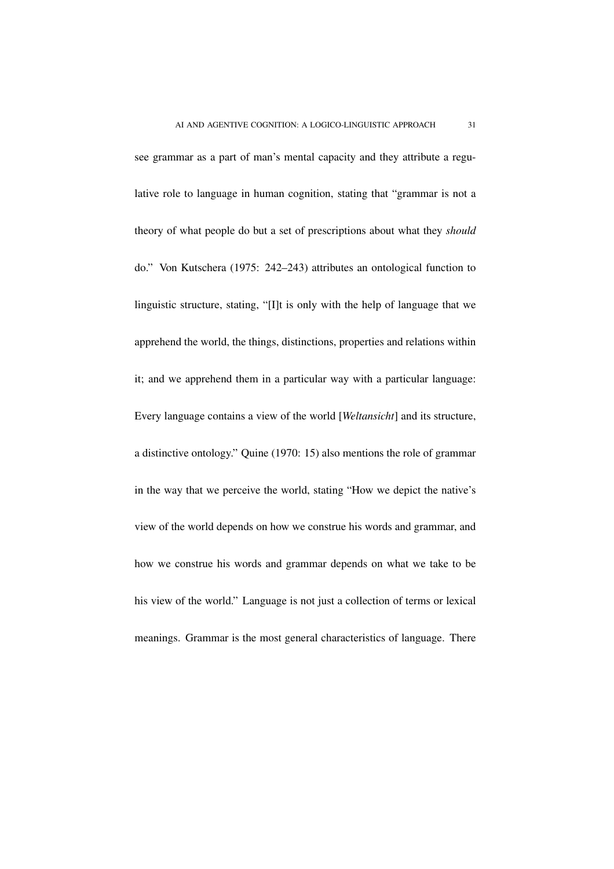see grammar as a part of man's mental capacity and they attribute a regulative role to language in human cognition, stating that "grammar is not a theory of what people do but a set of prescriptions about what they *should* do." Von Kutschera (1975: 242–243) attributes an ontological function to linguistic structure, stating, "[I]t is only with the help of language that we apprehend the world, the things, distinctions, properties and relations within it; and we apprehend them in a particular way with a particular language: Every language contains a view of the world [*Weltansicht*] and its structure, a distinctive ontology." Quine (1970: 15) also mentions the role of grammar in the way that we perceive the world, stating "How we depict the native's view of the world depends on how we construe his words and grammar, and how we construe his words and grammar depends on what we take to be his view of the world." Language is not just a collection of terms or lexical meanings. Grammar is the most general characteristics of language. There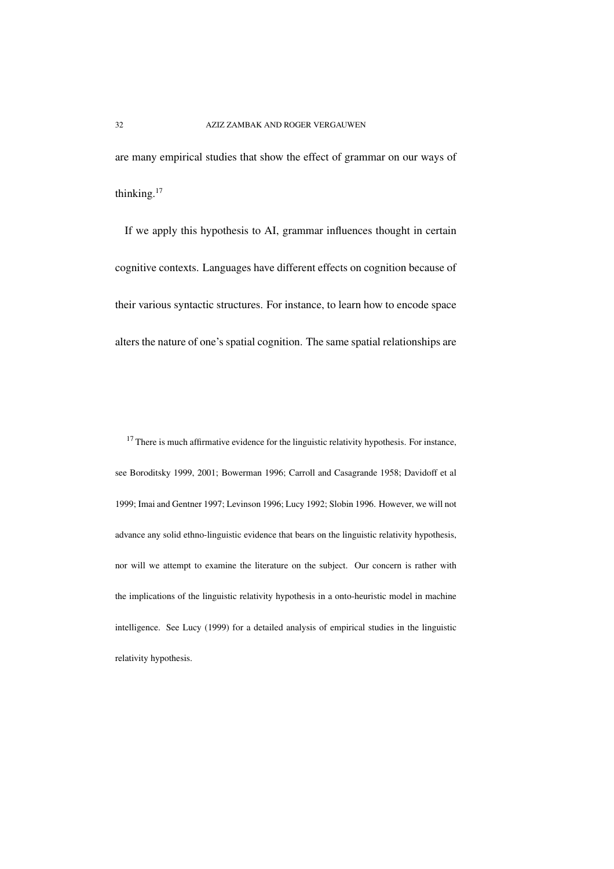are many empirical studies that show the effect of grammar on our ways of thinking.<sup>17</sup>

If we apply this hypothesis to AI, grammar influences thought in certain cognitive contexts. Languages have different effects on cognition because of their various syntactic structures. For instance, to learn how to encode space alters the nature of one's spatial cognition. The same spatial relationships are

 $17$  There is much affirmative evidence for the linguistic relativity hypothesis. For instance, see Boroditsky 1999, 2001; Bowerman 1996; Carroll and Casagrande 1958; Davidoff et al 1999; Imai and Gentner 1997; Levinson 1996; Lucy 1992; Slobin 1996. However, we will not advance any solid ethno-linguistic evidence that bears on the linguistic relativity hypothesis, nor will we attempt to examine the literature on the subject. Our concern is rather with the implications of the linguistic relativity hypothesis in a onto-heuristic model in machine intelligence. See Lucy (1999) for a detailed analysis of empirical studies in the linguistic relativity hypothesis.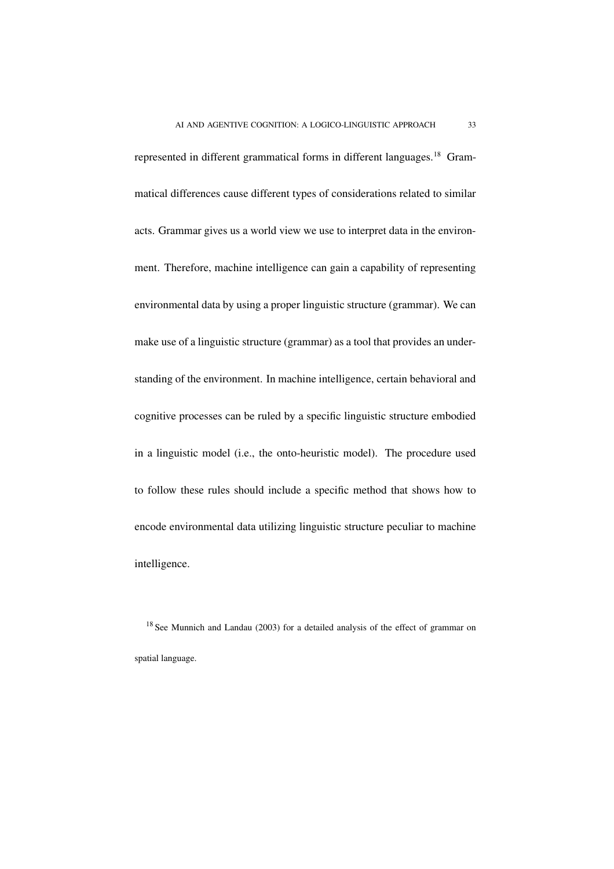represented in different grammatical forms in different languages.<sup>18</sup> Grammatical differences cause different types of considerations related to similar acts. Grammar gives us a world view we use to interpret data in the environment. Therefore, machine intelligence can gain a capability of representing environmental data by using a proper linguistic structure (grammar). We can make use of a linguistic structure (grammar) as a tool that provides an understanding of the environment. In machine intelligence, certain behavioral and cognitive processes can be ruled by a specific linguistic structure embodied in a linguistic model (i.e., the onto-heuristic model). The procedure used to follow these rules should include a specific method that shows how to encode environmental data utilizing linguistic structure peculiar to machine intelligence.

<sup>18</sup> See Munnich and Landau (2003) for a detailed analysis of the effect of grammar on spatial language.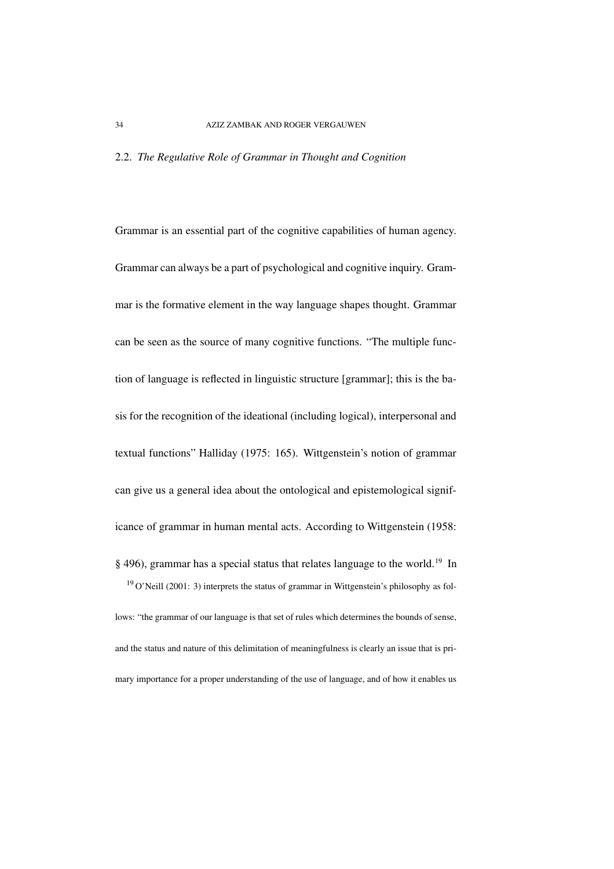### 2.2. *The Regulative Role of Grammar in Thought and Cognition*

Grammar is an essential part of the cognitive capabilities of human agency. Grammar can always be a part of psychological and cognitive inquiry. Grammar is the formative element in the way language shapes thought. Grammar can be seen as the source of many cognitive functions. "The multiple function of language is reflected in linguistic structure [grammar]; this is the basis for the recognition of the ideational (including logical), interpersonal and textual functions" Halliday (1975: 165). Wittgenstein's notion of grammar can give us a general idea about the ontological and epistemological significance of grammar in human mental acts. According to Wittgenstein (1958: § 496), grammar has a special status that relates language to the world.<sup>19</sup> In

 $19$  O'Neill (2001: 3) interprets the status of grammar in Wittgenstein's philosophy as follows: "the grammar of our language is that set of rules which determines the bounds of sense, and the status and nature of this delimitation of meaningfulness is clearly an issue that is primary importance for a proper understanding of the use of language, and of how it enables us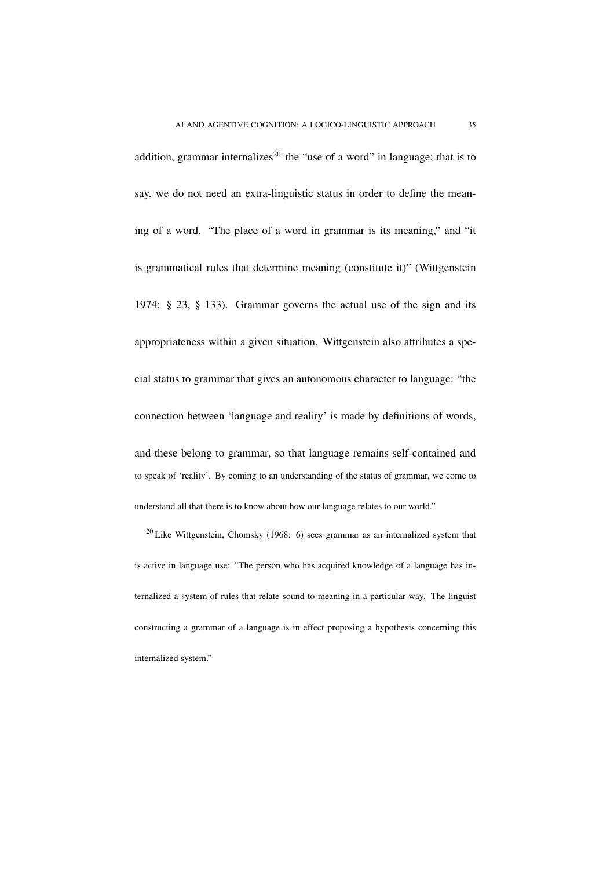addition, grammar internalizes<sup>20</sup> the "use of a word" in language; that is to say, we do not need an extra-linguistic status in order to define the meaning of a word. "The place of a word in grammar is its meaning," and "it is grammatical rules that determine meaning (constitute it)" (Wittgenstein 1974: § 23, § 133). Grammar governs the actual use of the sign and its appropriateness within a given situation. Wittgenstein also attributes a special status to grammar that gives an autonomous character to language: "the connection between 'language and reality' is made by definitions of words, and these belong to grammar, so that language remains self-contained and to speak of 'reality'. By coming to an understanding of the status of grammar, we come to understand all that there is to know about how our language relates to our world."

 $20$  Like Wittgenstein, Chomsky (1968: 6) sees grammar as an internalized system that is active in language use: "The person who has acquired knowledge of a language has internalized a system of rules that relate sound to meaning in a particular way. The linguist constructing a grammar of a language is in effect proposing a hypothesis concerning this internalized system."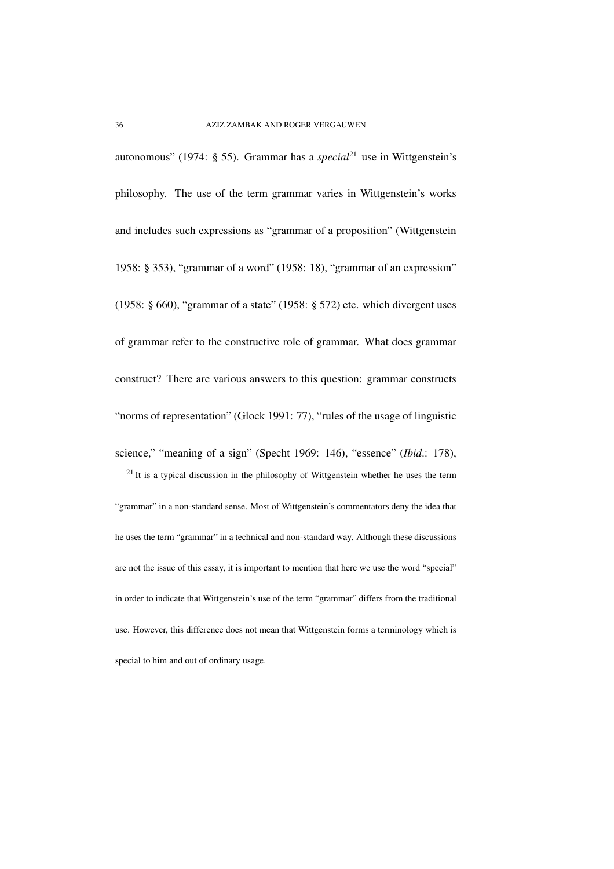autonomous" (1974: § 55). Grammar has a *special*<sup>21</sup> use in Wittgenstein's philosophy. The use of the term grammar varies in Wittgenstein's works and includes such expressions as "grammar of a proposition" (Wittgenstein 1958: § 353), "grammar of a word" (1958: 18), "grammar of an expression" (1958: § 660), "grammar of a state" (1958: § 572) etc. which divergent uses of grammar refer to the constructive role of grammar. What does grammar construct? There are various answers to this question: grammar constructs "norms of representation" (Glock 1991: 77), "rules of the usage of linguistic science," "meaning of a sign" (Specht 1969: 146), "essence" (*Ibid*.: 178),

 $21$  It is a typical discussion in the philosophy of Wittgenstein whether he uses the term "grammar" in a non-standard sense. Most of Wittgenstein's commentators deny the idea that he uses the term "grammar" in a technical and non-standard way. Although these discussions are not the issue of this essay, it is important to mention that here we use the word "special" in order to indicate that Wittgenstein's use of the term "grammar" differs from the traditional use. However, this difference does not mean that Wittgenstein forms a terminology which is special to him and out of ordinary usage.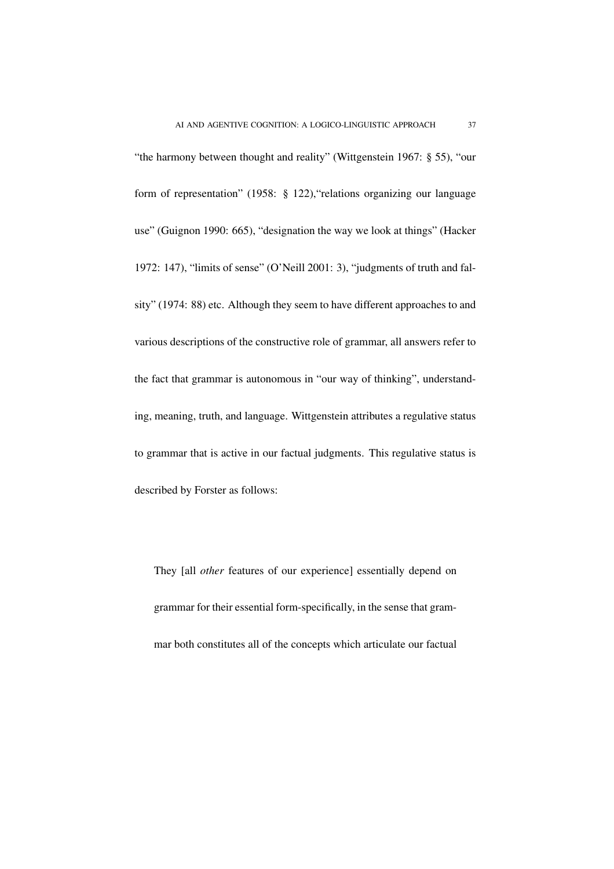"the harmony between thought and reality" (Wittgenstein 1967: § 55), "our form of representation" (1958: § 122),"relations organizing our language use" (Guignon 1990: 665), "designation the way we look at things" (Hacker 1972: 147), "limits of sense" (O'Neill 2001: 3), "judgments of truth and falsity" (1974: 88) etc. Although they seem to have different approaches to and various descriptions of the constructive role of grammar, all answers refer to the fact that grammar is autonomous in "our way of thinking", understanding, meaning, truth, and language. Wittgenstein attributes a regulative status to grammar that is active in our factual judgments. This regulative status is described by Forster as follows:

They [all *other* features of our experience] essentially depend on grammar for their essential form-specifically, in the sense that grammar both constitutes all of the concepts which articulate our factual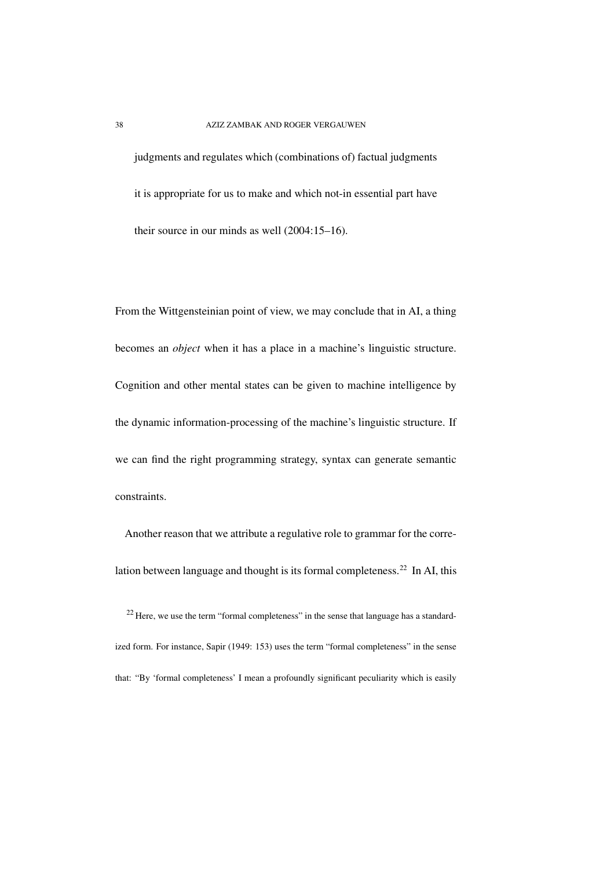### 38 AZIZ ZAMBAK AND ROGER VERGAUWEN

judgments and regulates which (combinations of) factual judgments it is appropriate for us to make and which not-in essential part have their source in our minds as well (2004:15–16).

From the Wittgensteinian point of view, we may conclude that in AI, a thing becomes an *object* when it has a place in a machine's linguistic structure. Cognition and other mental states can be given to machine intelligence by the dynamic information-processing of the machine's linguistic structure. If we can find the right programming strategy, syntax can generate semantic constraints.

Another reason that we attribute a regulative role to grammar for the correlation between language and thought is its formal completeness.<sup>22</sup> In AI, this

 $22$  Here, we use the term "formal completeness" in the sense that language has a standardized form. For instance, Sapir (1949: 153) uses the term "formal completeness" in the sense that: "By 'formal completeness' I mean a profoundly significant peculiarity which is easily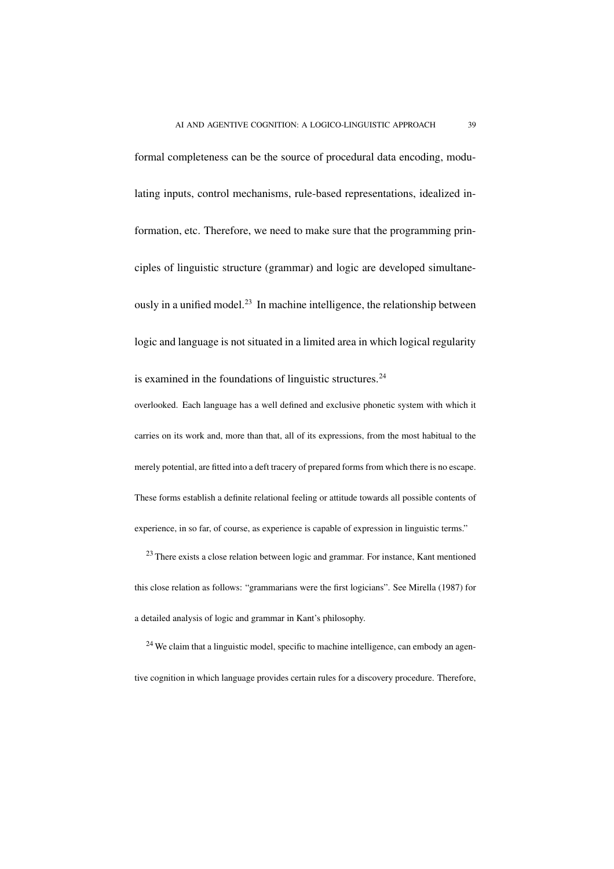formal completeness can be the source of procedural data encoding, modulating inputs, control mechanisms, rule-based representations, idealized information, etc. Therefore, we need to make sure that the programming principles of linguistic structure (grammar) and logic are developed simultaneously in a unified model.<sup>23</sup> In machine intelligence, the relationship between logic and language is not situated in a limited area in which logical regularity is examined in the foundations of linguistic structures. $24$ 

overlooked. Each language has a well defined and exclusive phonetic system with which it carries on its work and, more than that, all of its expressions, from the most habitual to the merely potential, are fitted into a deft tracery of prepared forms from which there is no escape. These forms establish a definite relational feeling or attitude towards all possible contents of experience, in so far, of course, as experience is capable of expression in linguistic terms."

<sup>23</sup> There exists a close relation between logic and grammar. For instance, Kant mentioned this close relation as follows: "grammarians were the first logicians". See Mirella (1987) for a detailed analysis of logic and grammar in Kant's philosophy.

 $24$  We claim that a linguistic model, specific to machine intelligence, can embody an agentive cognition in which language provides certain rules for a discovery procedure. Therefore,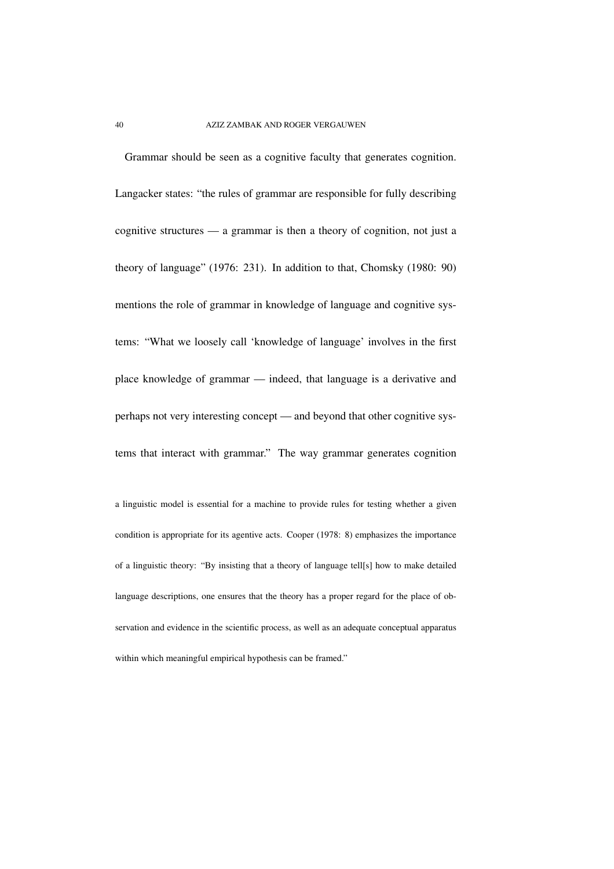#### 40 AZIZ ZAMBAK AND ROGER VERGAUWEN

Grammar should be seen as a cognitive faculty that generates cognition. Langacker states: "the rules of grammar are responsible for fully describing cognitive structures — a grammar is then a theory of cognition, not just a theory of language" (1976: 231). In addition to that, Chomsky (1980: 90) mentions the role of grammar in knowledge of language and cognitive systems: "What we loosely call 'knowledge of language' involves in the first place knowledge of grammar — indeed, that language is a derivative and perhaps not very interesting concept — and beyond that other cognitive systems that interact with grammar." The way grammar generates cognition

a linguistic model is essential for a machine to provide rules for testing whether a given condition is appropriate for its agentive acts. Cooper (1978: 8) emphasizes the importance of a linguistic theory: "By insisting that a theory of language tell[s] how to make detailed language descriptions, one ensures that the theory has a proper regard for the place of observation and evidence in the scientific process, as well as an adequate conceptual apparatus within which meaningful empirical hypothesis can be framed."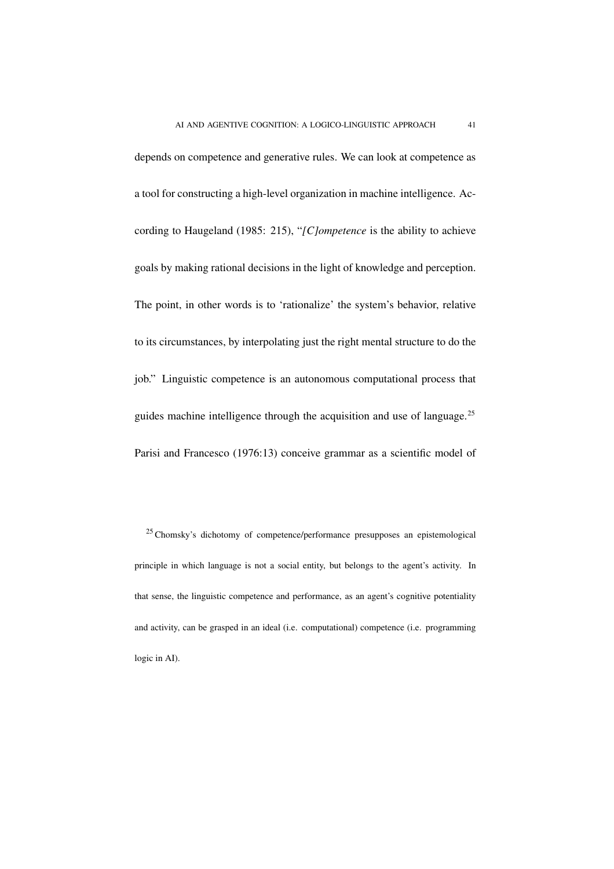depends on competence and generative rules. We can look at competence as a tool for constructing a high-level organization in machine intelligence. According to Haugeland (1985: 215), "*[C]ompetence* is the ability to achieve goals by making rational decisions in the light of knowledge and perception. The point, in other words is to 'rationalize' the system's behavior, relative to its circumstances, by interpolating just the right mental structure to do the job." Linguistic competence is an autonomous computational process that guides machine intelligence through the acquisition and use of language.<sup>25</sup> Parisi and Francesco (1976:13) conceive grammar as a scientific model of

<sup>25</sup> Chomsky's dichotomy of competence/performance presupposes an epistemological principle in which language is not a social entity, but belongs to the agent's activity. In that sense, the linguistic competence and performance, as an agent's cognitive potentiality and activity, can be grasped in an ideal (i.e. computational) competence (i.e. programming logic in AI).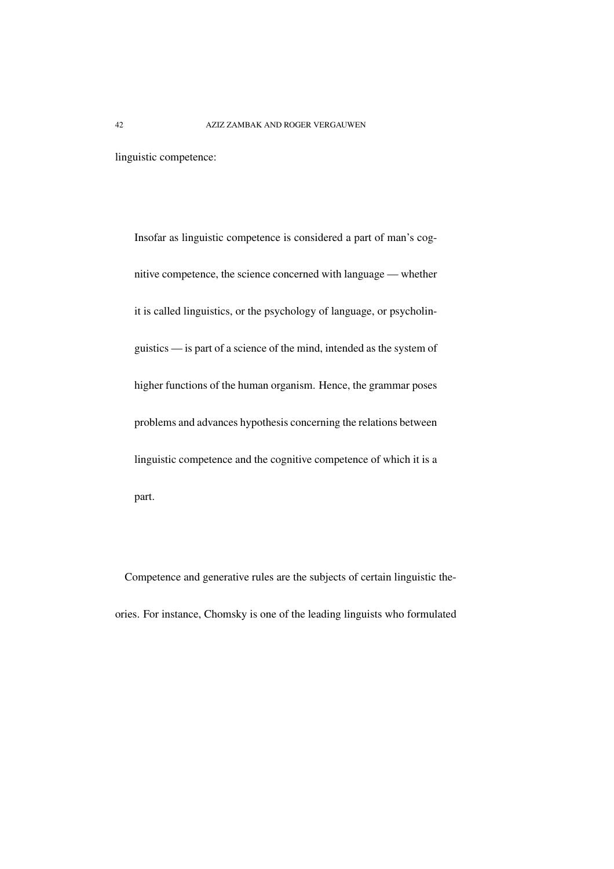linguistic competence:

Insofar as linguistic competence is considered a part of man's cognitive competence, the science concerned with language — whether it is called linguistics, or the psychology of language, or psycholinguistics — is part of a science of the mind, intended as the system of higher functions of the human organism. Hence, the grammar poses problems and advances hypothesis concerning the relations between linguistic competence and the cognitive competence of which it is a part.

Competence and generative rules are the subjects of certain linguistic theories. For instance, Chomsky is one of the leading linguists who formulated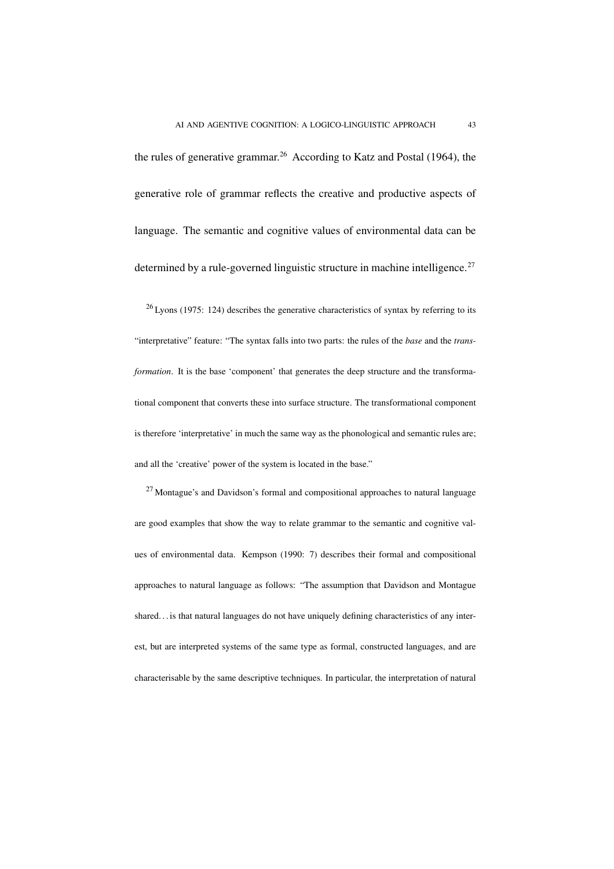the rules of generative grammar.<sup>26</sup> According to Katz and Postal (1964), the generative role of grammar reflects the creative and productive aspects of language. The semantic and cognitive values of environmental data can be determined by a rule-governed linguistic structure in machine intelligence.<sup>27</sup>

 $^{26}$  Lyons (1975: 124) describes the generative characteristics of syntax by referring to its "interpretative" feature: "The syntax falls into two parts: the rules of the *base* and the *transformation*. It is the base 'component' that generates the deep structure and the transformational component that converts these into surface structure. The transformational component is therefore 'interpretative' in much the same way as the phonological and semantic rules are; and all the 'creative' power of the system is located in the base."

 $27$  Montague's and Davidson's formal and compositional approaches to natural language are good examples that show the way to relate grammar to the semantic and cognitive values of environmental data. Kempson (1990: 7) describes their formal and compositional approaches to natural language as follows: "The assumption that Davidson and Montague shared. . . is that natural languages do not have uniquely defining characteristics of any interest, but are interpreted systems of the same type as formal, constructed languages, and are characterisable by the same descriptive techniques. In particular, the interpretation of natural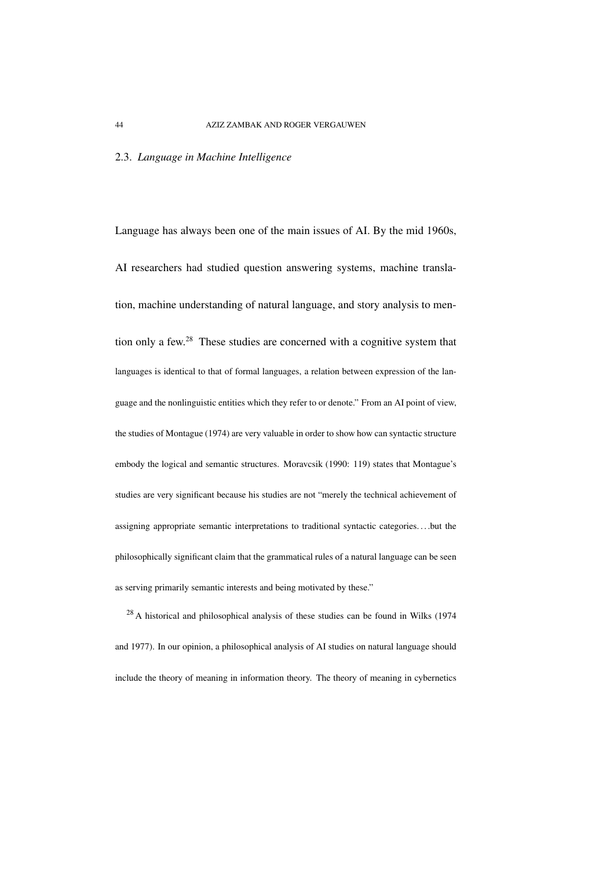# 2.3. *Language in Machine Intelligence*

Language has always been one of the main issues of AI. By the mid 1960s, AI researchers had studied question answering systems, machine translation, machine understanding of natural language, and story analysis to mention only a few. <sup>28</sup> These studies are concerned with a cognitive system that languages is identical to that of formal languages, a relation between expression of the language and the nonlinguistic entities which they refer to or denote." From an AI point of view, the studies of Montague (1974) are very valuable in order to show how can syntactic structure embody the logical and semantic structures. Moravcsik (1990: 119) states that Montague's studies are very significant because his studies are not "merely the technical achievement of assigning appropriate semantic interpretations to traditional syntactic categories. . . .but the philosophically significant claim that the grammatical rules of a natural language can be seen as serving primarily semantic interests and being motivated by these."

<sup>28</sup> A historical and philosophical analysis of these studies can be found in Wilks (1974) and 1977). In our opinion, a philosophical analysis of AI studies on natural language should include the theory of meaning in information theory. The theory of meaning in cybernetics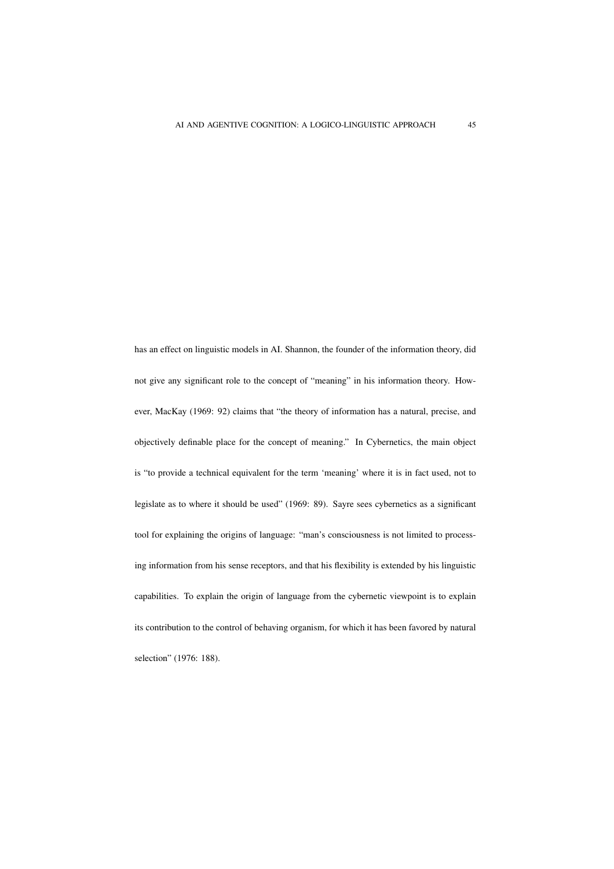has an effect on linguistic models in AI. Shannon, the founder of the information theory, did not give any significant role to the concept of "meaning" in his information theory. However, MacKay (1969: 92) claims that "the theory of information has a natural, precise, and objectively definable place for the concept of meaning." In Cybernetics, the main object is "to provide a technical equivalent for the term 'meaning' where it is in fact used, not to legislate as to where it should be used" (1969: 89). Sayre sees cybernetics as a significant tool for explaining the origins of language: "man's consciousness is not limited to processing information from his sense receptors, and that his flexibility is extended by his linguistic capabilities. To explain the origin of language from the cybernetic viewpoint is to explain its contribution to the control of behaving organism, for which it has been favored by natural selection" (1976: 188).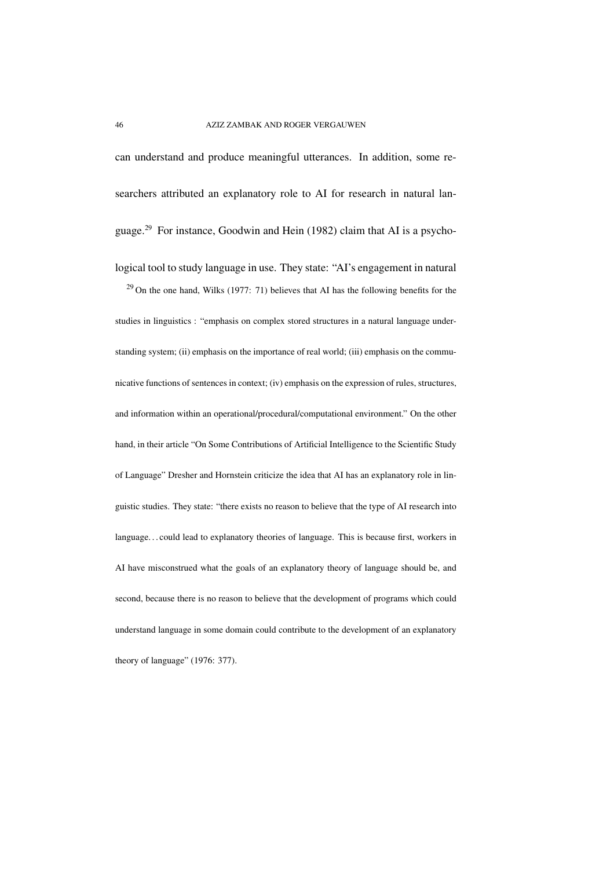### 46 AZIZ ZAMBAK AND ROGER VERGAUWEN

can understand and produce meaningful utterances. In addition, some researchers attributed an explanatory role to AI for research in natural language.<sup>29</sup> For instance, Goodwin and Hein (1982) claim that AI is a psychological tool to study language in use. They state: "AI's engagement in natural

 $29$  On the one hand, Wilks (1977: 71) believes that AI has the following benefits for the

studies in linguistics : "emphasis on complex stored structures in a natural language understanding system; (ii) emphasis on the importance of real world; (iii) emphasis on the communicative functions of sentences in context; (iv) emphasis on the expression of rules, structures, and information within an operational/procedural/computational environment." On the other hand, in their article "On Some Contributions of Artificial Intelligence to the Scientific Study of Language" Dresher and Hornstein criticize the idea that AI has an explanatory role in linguistic studies. They state: "there exists no reason to believe that the type of AI research into language. . . could lead to explanatory theories of language. This is because first, workers in AI have misconstrued what the goals of an explanatory theory of language should be, and second, because there is no reason to believe that the development of programs which could understand language in some domain could contribute to the development of an explanatory theory of language" (1976: 377).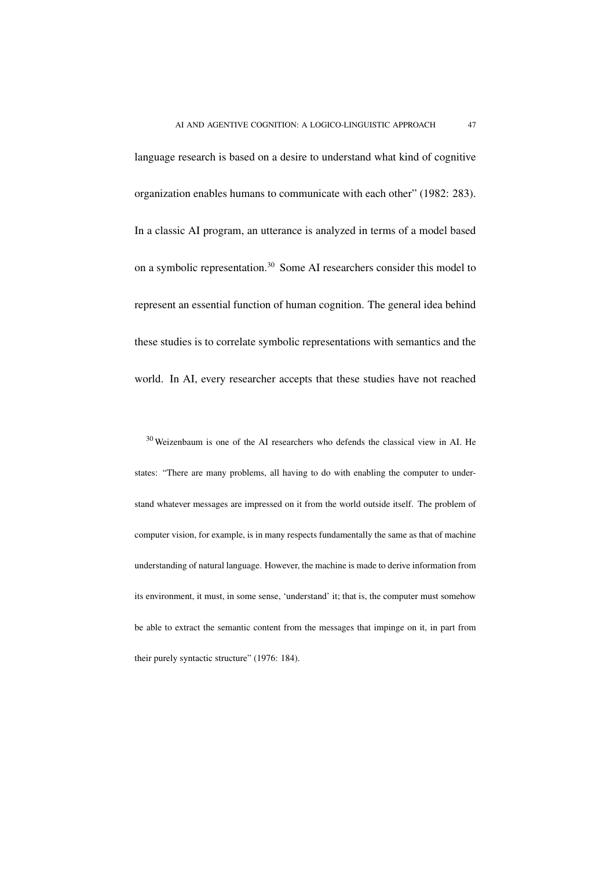language research is based on a desire to understand what kind of cognitive organization enables humans to communicate with each other" (1982: 283). In a classic AI program, an utterance is analyzed in terms of a model based on a symbolic representation.<sup>30</sup> Some AI researchers consider this model to represent an essential function of human cognition. The general idea behind these studies is to correlate symbolic representations with semantics and the world. In AI, every researcher accepts that these studies have not reached

<sup>30</sup> Weizenbaum is one of the AI researchers who defends the classical view in AI. He states: "There are many problems, all having to do with enabling the computer to understand whatever messages are impressed on it from the world outside itself. The problem of computer vision, for example, is in many respects fundamentally the same as that of machine understanding of natural language. However, the machine is made to derive information from its environment, it must, in some sense, 'understand' it; that is, the computer must somehow be able to extract the semantic content from the messages that impinge on it, in part from their purely syntactic structure" (1976: 184).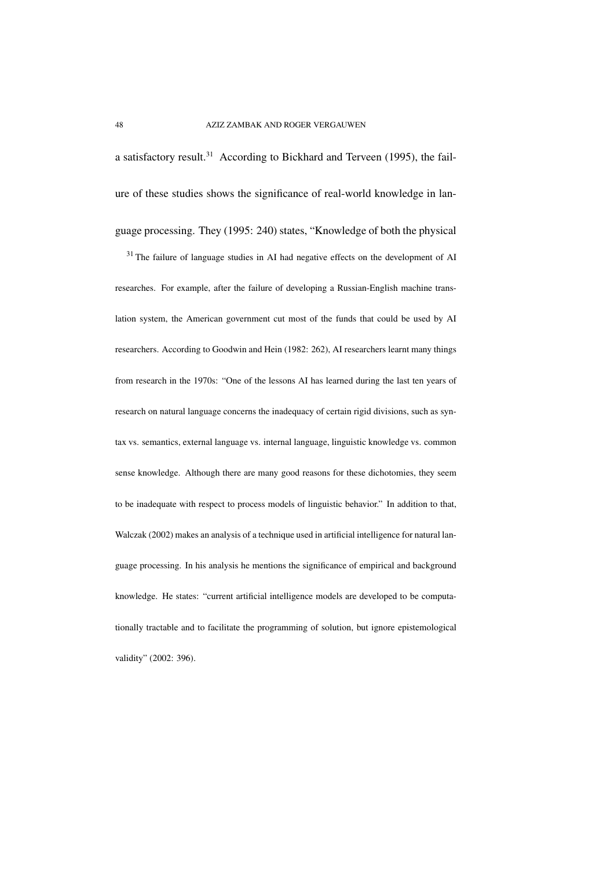a satisfactory result.<sup>31</sup> According to Bickhard and Terveen (1995), the failure of these studies shows the significance of real-world knowledge in language processing. They (1995: 240) states, "Knowledge of both the physical

<sup>31</sup> The failure of language studies in AI had negative effects on the development of AI researches. For example, after the failure of developing a Russian-English machine translation system, the American government cut most of the funds that could be used by AI researchers. According to Goodwin and Hein (1982: 262), AI researchers learnt many things from research in the 1970s: "One of the lessons AI has learned during the last ten years of research on natural language concerns the inadequacy of certain rigid divisions, such as syntax vs. semantics, external language vs. internal language, linguistic knowledge vs. common sense knowledge. Although there are many good reasons for these dichotomies, they seem to be inadequate with respect to process models of linguistic behavior." In addition to that, Walczak (2002) makes an analysis of a technique used in artificial intelligence for natural language processing. In his analysis he mentions the significance of empirical and background knowledge. He states: "current artificial intelligence models are developed to be computationally tractable and to facilitate the programming of solution, but ignore epistemological validity" (2002: 396).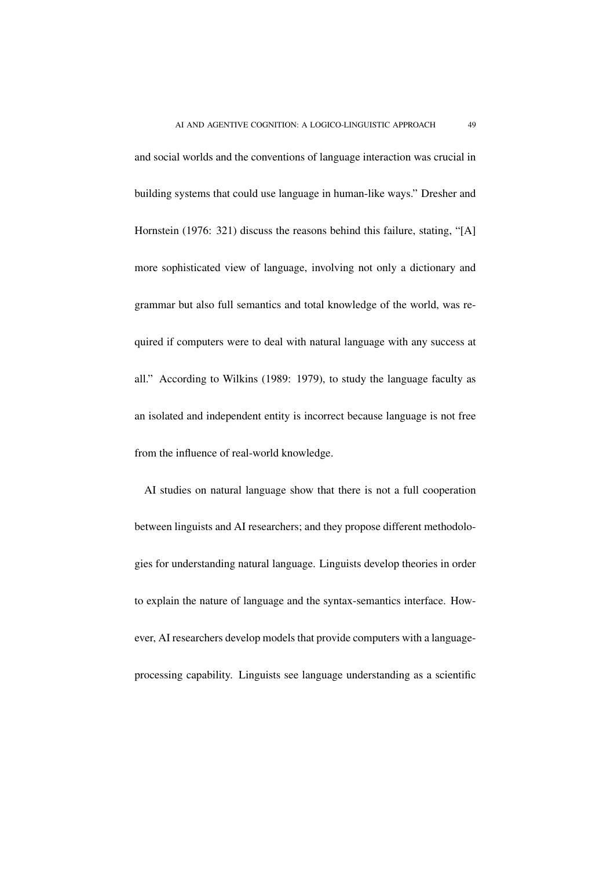and social worlds and the conventions of language interaction was crucial in building systems that could use language in human-like ways." Dresher and Hornstein (1976: 321) discuss the reasons behind this failure, stating, "[A] more sophisticated view of language, involving not only a dictionary and grammar but also full semantics and total knowledge of the world, was required if computers were to deal with natural language with any success at all." According to Wilkins (1989: 1979), to study the language faculty as an isolated and independent entity is incorrect because language is not free from the influence of real-world knowledge.

AI studies on natural language show that there is not a full cooperation between linguists and AI researchers; and they propose different methodologies for understanding natural language. Linguists develop theories in order to explain the nature of language and the syntax-semantics interface. However, AI researchers develop models that provide computers with a languageprocessing capability. Linguists see language understanding as a scientific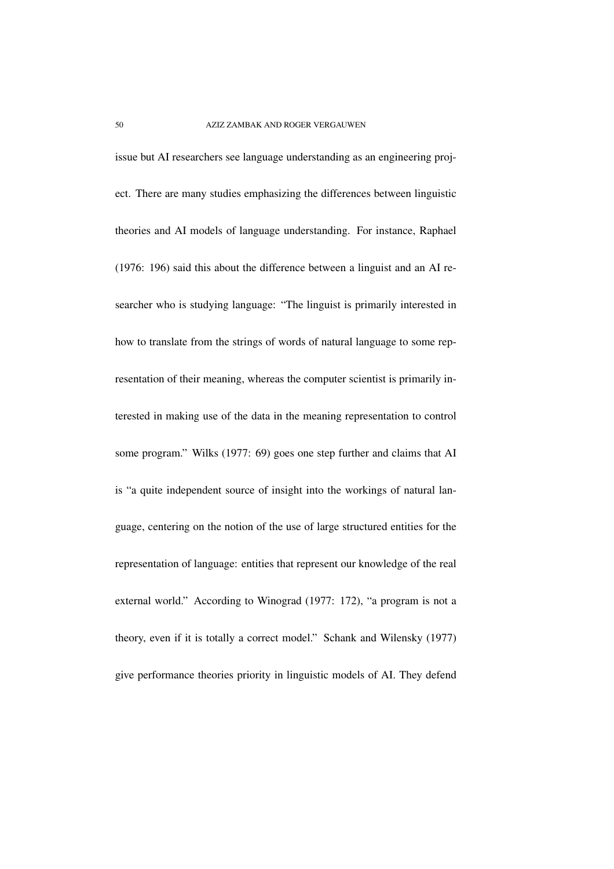issue but AI researchers see language understanding as an engineering project. There are many studies emphasizing the differences between linguistic theories and AI models of language understanding. For instance, Raphael (1976: 196) said this about the difference between a linguist and an AI researcher who is studying language: "The linguist is primarily interested in how to translate from the strings of words of natural language to some representation of their meaning, whereas the computer scientist is primarily interested in making use of the data in the meaning representation to control some program." Wilks (1977: 69) goes one step further and claims that AI is "a quite independent source of insight into the workings of natural language, centering on the notion of the use of large structured entities for the representation of language: entities that represent our knowledge of the real external world." According to Winograd (1977: 172), "a program is not a theory, even if it is totally a correct model." Schank and Wilensky (1977) give performance theories priority in linguistic models of AI. They defend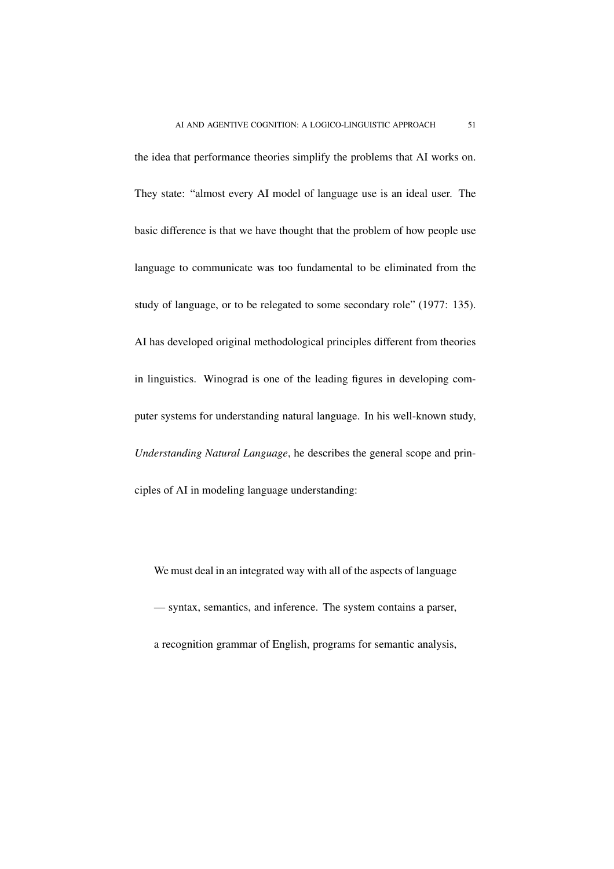the idea that performance theories simplify the problems that AI works on. They state: "almost every AI model of language use is an ideal user. The basic difference is that we have thought that the problem of how people use language to communicate was too fundamental to be eliminated from the study of language, or to be relegated to some secondary role" (1977: 135). AI has developed original methodological principles different from theories in linguistics. Winograd is one of the leading figures in developing computer systems for understanding natural language. In his well-known study, *Understanding Natural Language*, he describes the general scope and principles of AI in modeling language understanding:

We must deal in an integrated way with all of the aspects of language — syntax, semantics, and inference. The system contains a parser, a recognition grammar of English, programs for semantic analysis,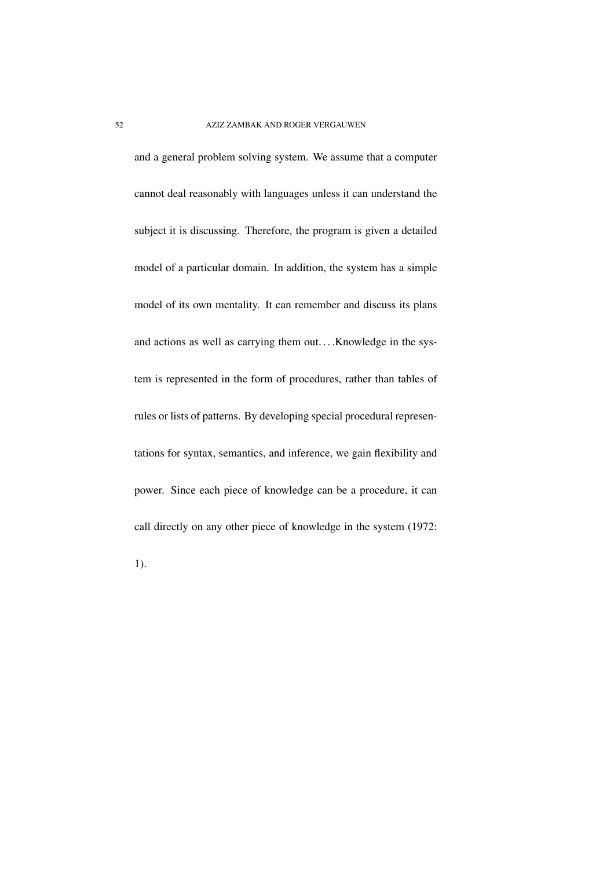## 52 AZIZ ZAMBAK AND ROGER VERGAUWEN

and a general problem solving system. We assume that a computer cannot deal reasonably with languages unless it can understand the subject it is discussing. Therefore, the program is given a detailed model of a particular domain. In addition, the system has a simple model of its own mentality. It can remember and discuss its plans and actions as well as carrying them out. . . .Knowledge in the system is represented in the form of procedures, rather than tables of rules or lists of patterns. By developing special procedural representations for syntax, semantics, and inference, we gain flexibility and power. Since each piece of knowledge can be a procedure, it can call directly on any other piece of knowledge in the system (1972:

1).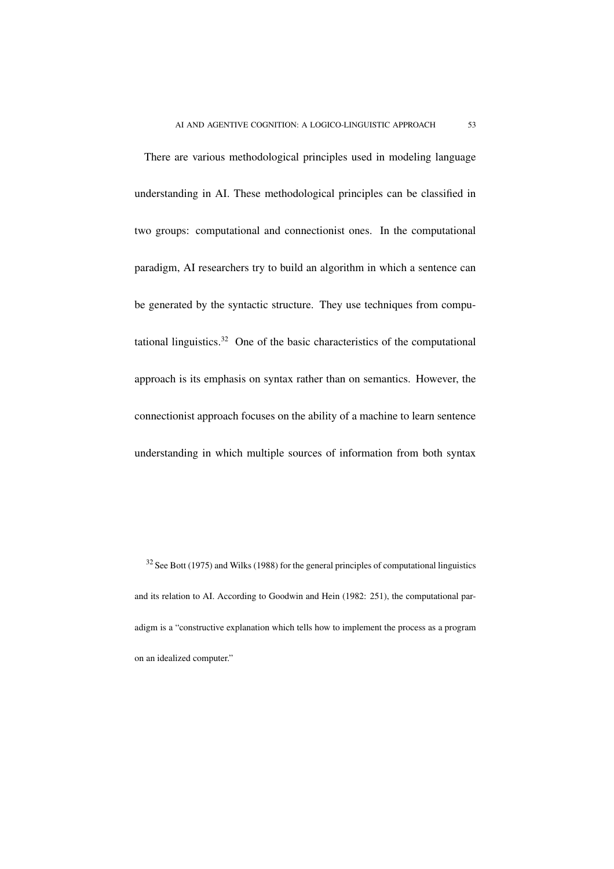There are various methodological principles used in modeling language understanding in AI. These methodological principles can be classified in two groups: computational and connectionist ones. In the computational paradigm, AI researchers try to build an algorithm in which a sentence can be generated by the syntactic structure. They use techniques from computational linguistics. $32$  One of the basic characteristics of the computational approach is its emphasis on syntax rather than on semantics. However, the connectionist approach focuses on the ability of a machine to learn sentence understanding in which multiple sources of information from both syntax

 $32$  See Bott (1975) and Wilks (1988) for the general principles of computational linguistics and its relation to AI. According to Goodwin and Hein (1982: 251), the computational paradigm is a "constructive explanation which tells how to implement the process as a program on an idealized computer."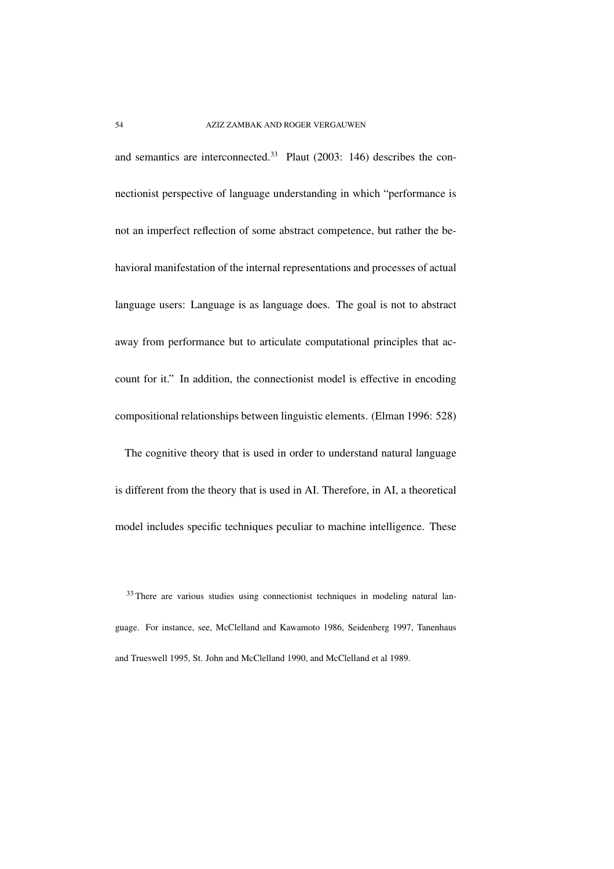and semantics are interconnected.<sup>33</sup> Plaut (2003: 146) describes the connectionist perspective of language understanding in which "performance is not an imperfect reflection of some abstract competence, but rather the behavioral manifestation of the internal representations and processes of actual language users: Language is as language does. The goal is not to abstract away from performance but to articulate computational principles that account for it." In addition, the connectionist model is effective in encoding compositional relationships between linguistic elements. (Elman 1996: 528)

The cognitive theory that is used in order to understand natural language is different from the theory that is used in AI. Therefore, in AI, a theoretical model includes specific techniques peculiar to machine intelligence. These

<sup>33</sup> There are various studies using connectionist techniques in modeling natural language. For instance, see, McClelland and Kawamoto 1986, Seidenberg 1997, Tanenhaus and Trueswell 1995, St. John and McClelland 1990, and McClelland et al 1989.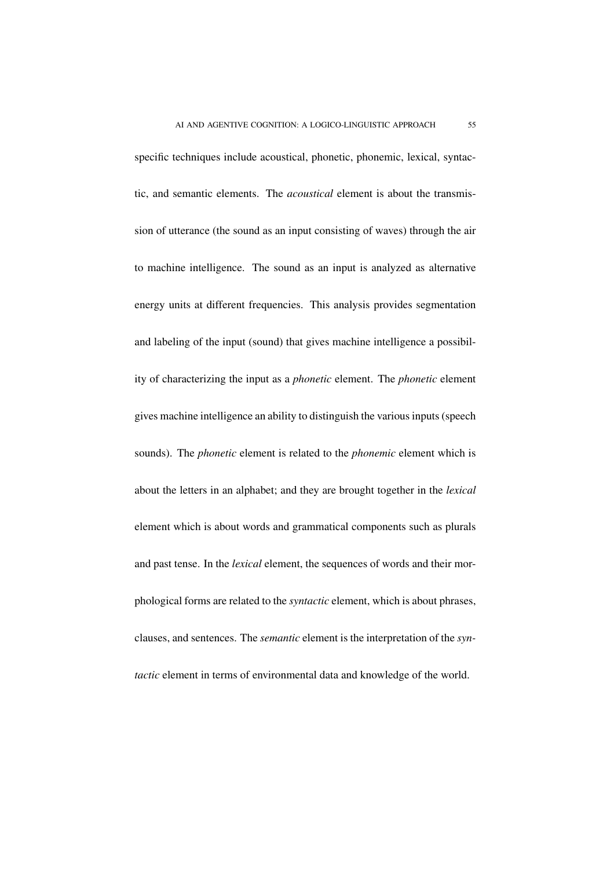specific techniques include acoustical, phonetic, phonemic, lexical, syntactic, and semantic elements. The *acoustical* element is about the transmission of utterance (the sound as an input consisting of waves) through the air to machine intelligence. The sound as an input is analyzed as alternative energy units at different frequencies. This analysis provides segmentation and labeling of the input (sound) that gives machine intelligence a possibility of characterizing the input as a *phonetic* element. The *phonetic* element gives machine intelligence an ability to distinguish the variousinputs(speech sounds). The *phonetic* element is related to the *phonemic* element which is about the letters in an alphabet; and they are brought together in the *lexical* element which is about words and grammatical components such as plurals and past tense. In the *lexical* element, the sequences of words and their morphological forms are related to the *syntactic* element, which is about phrases, clauses, and sentences. The *semantic* element is the interpretation of the *syntactic* element in terms of environmental data and knowledge of the world.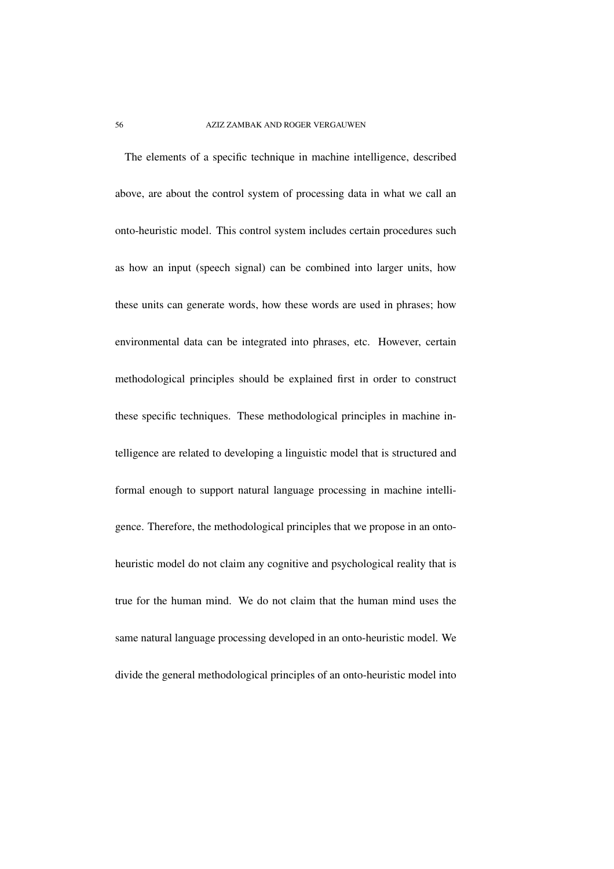# 56 AZIZ ZAMBAK AND ROGER VERGAUWEN

The elements of a specific technique in machine intelligence, described above, are about the control system of processing data in what we call an onto-heuristic model. This control system includes certain procedures such as how an input (speech signal) can be combined into larger units, how these units can generate words, how these words are used in phrases; how environmental data can be integrated into phrases, etc. However, certain methodological principles should be explained first in order to construct these specific techniques. These methodological principles in machine intelligence are related to developing a linguistic model that is structured and formal enough to support natural language processing in machine intelligence. Therefore, the methodological principles that we propose in an ontoheuristic model do not claim any cognitive and psychological reality that is true for the human mind. We do not claim that the human mind uses the same natural language processing developed in an onto-heuristic model. We divide the general methodological principles of an onto-heuristic model into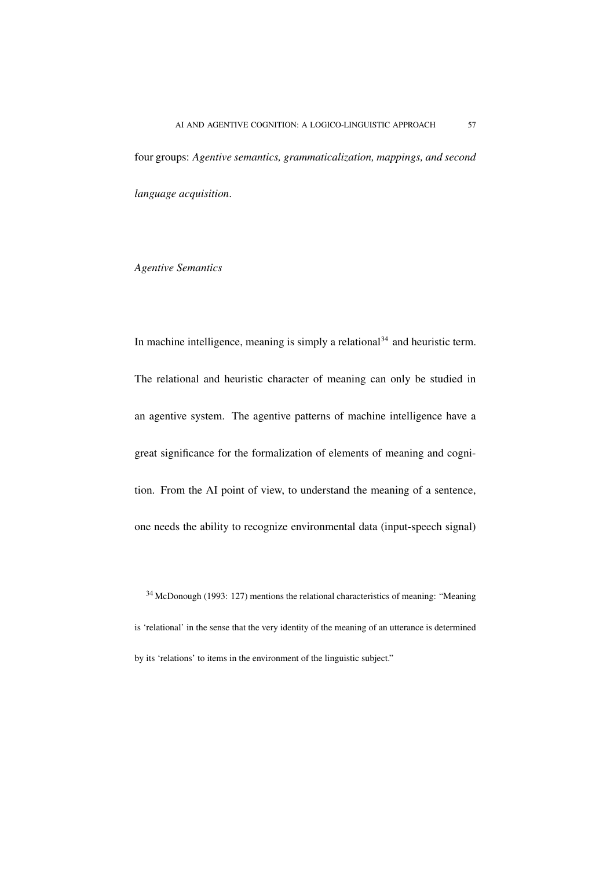AI AND AGENTIVE COGNITION: A LOGICO-LINGUISTIC APPROACH 57 four groups: *Agentive semantics, grammaticalization, mappings, and second language acquisition*.

# *Agentive Semantics*

In machine intelligence, meaning is simply a relational  $34$  and heuristic term. The relational and heuristic character of meaning can only be studied in an agentive system. The agentive patterns of machine intelligence have a great significance for the formalization of elements of meaning and cognition. From the AI point of view, to understand the meaning of a sentence, one needs the ability to recognize environmental data (input-speech signal)

<sup>34</sup> McDonough (1993: 127) mentions the relational characteristics of meaning: "Meaning is 'relational' in the sense that the very identity of the meaning of an utterance is determined by its 'relations' to items in the environment of the linguistic subject."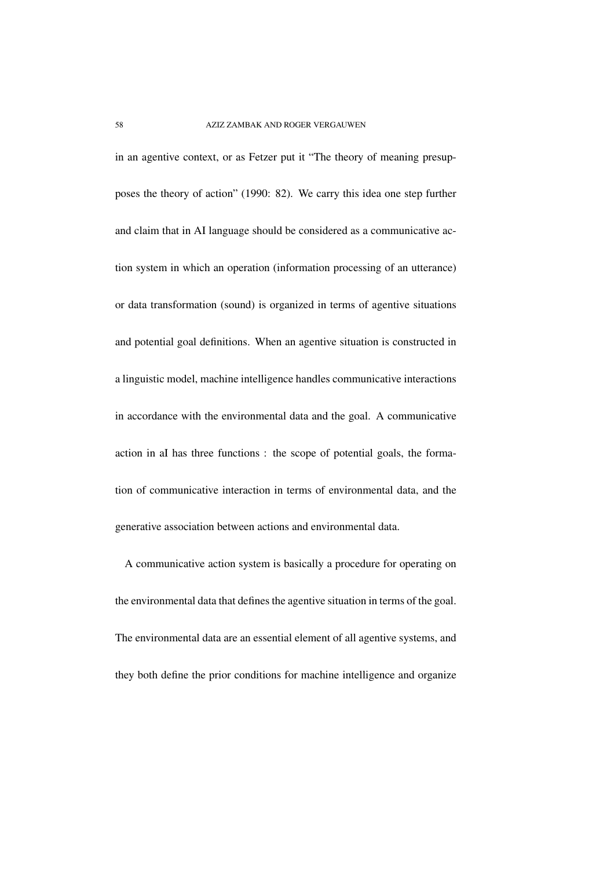in an agentive context, or as Fetzer put it "The theory of meaning presupposes the theory of action" (1990: 82). We carry this idea one step further and claim that in AI language should be considered as a communicative action system in which an operation (information processing of an utterance) or data transformation (sound) is organized in terms of agentive situations and potential goal definitions. When an agentive situation is constructed in a linguistic model, machine intelligence handles communicative interactions in accordance with the environmental data and the goal. A communicative action in aI has three functions : the scope of potential goals, the formation of communicative interaction in terms of environmental data, and the generative association between actions and environmental data.

A communicative action system is basically a procedure for operating on the environmental data that defines the agentive situation in terms of the goal. The environmental data are an essential element of all agentive systems, and they both define the prior conditions for machine intelligence and organize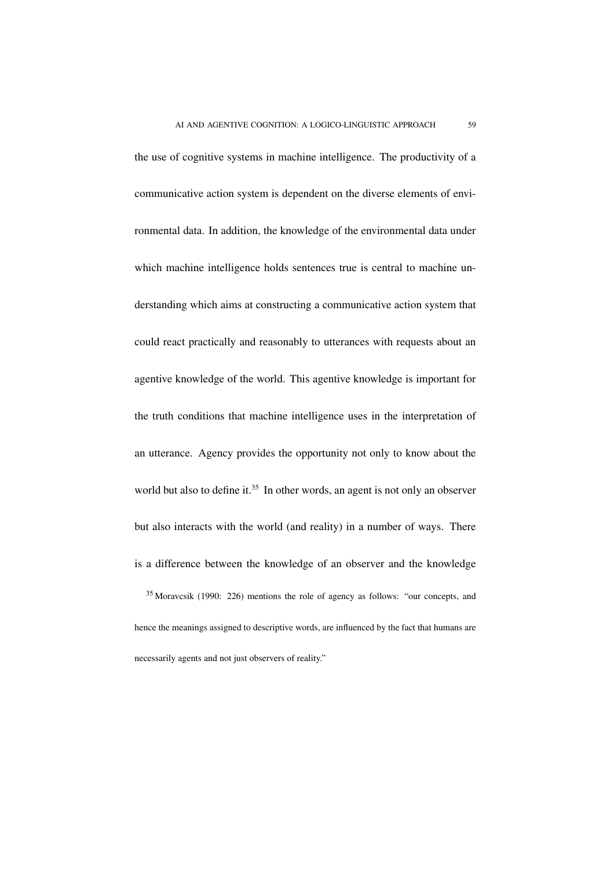the use of cognitive systems in machine intelligence. The productivity of a communicative action system is dependent on the diverse elements of environmental data. In addition, the knowledge of the environmental data under which machine intelligence holds sentences true is central to machine understanding which aims at constructing a communicative action system that could react practically and reasonably to utterances with requests about an agentive knowledge of the world. This agentive knowledge is important for the truth conditions that machine intelligence uses in the interpretation of an utterance. Agency provides the opportunity not only to know about the world but also to define it.<sup>35</sup> In other words, an agent is not only an observer but also interacts with the world (and reality) in a number of ways. There is a difference between the knowledge of an observer and the knowledge

<sup>35</sup> Moravcsik (1990: 226) mentions the role of agency as follows: "our concepts, and hence the meanings assigned to descriptive words, are influenced by the fact that humans are necessarily agents and not just observers of reality."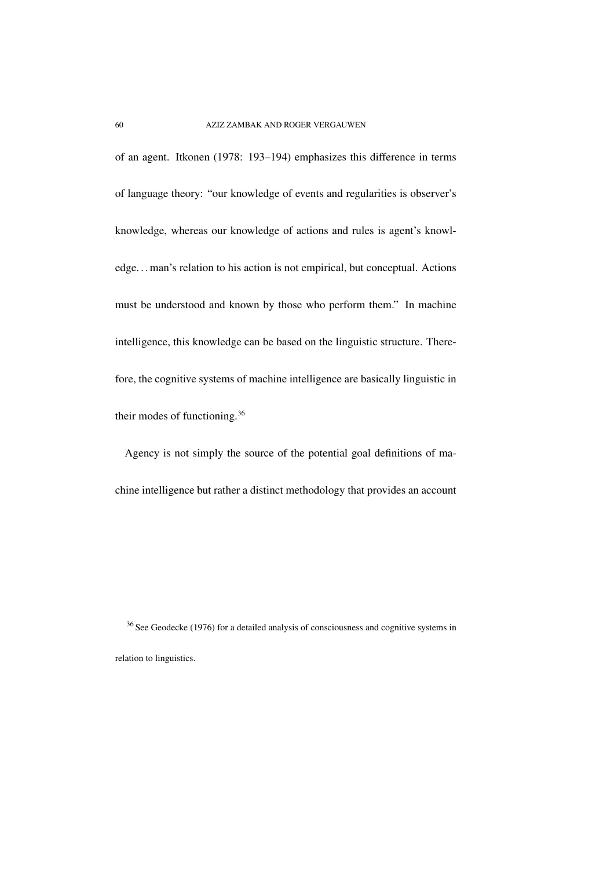of an agent. Itkonen (1978: 193–194) emphasizes this difference in terms of language theory: "our knowledge of events and regularities is observer's knowledge, whereas our knowledge of actions and rules is agent's knowledge. . .man's relation to his action is not empirical, but conceptual. Actions must be understood and known by those who perform them." In machine intelligence, this knowledge can be based on the linguistic structure. Therefore, the cognitive systems of machine intelligence are basically linguistic in their modes of functioning.<sup>36</sup>

Agency is not simply the source of the potential goal definitions of machine intelligence but rather a distinct methodology that provides an account

<sup>36</sup> See Geodecke (1976) for a detailed analysis of consciousness and cognitive systems in relation to linguistics.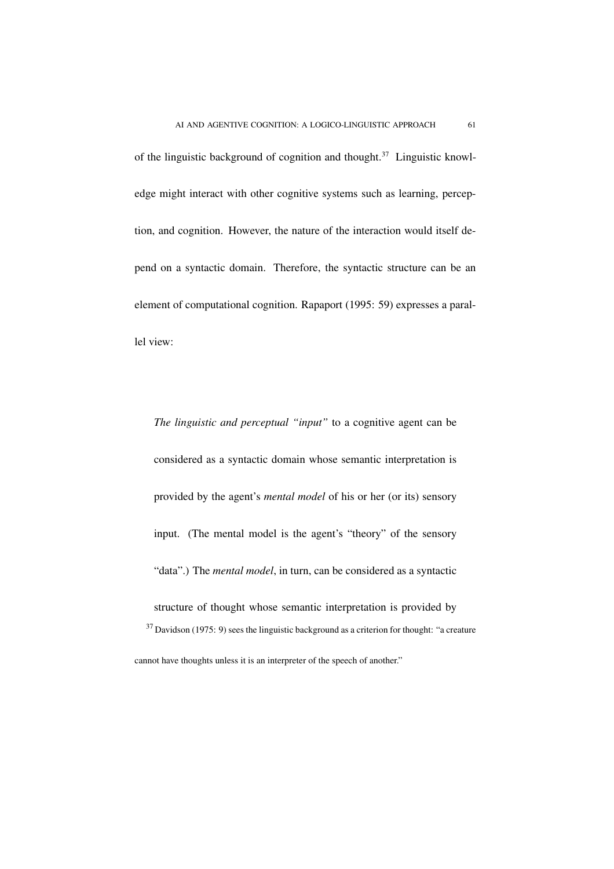of the linguistic background of cognition and thought.<sup>37</sup> Linguistic knowledge might interact with other cognitive systems such as learning, perception, and cognition. However, the nature of the interaction would itself depend on a syntactic domain. Therefore, the syntactic structure can be an element of computational cognition. Rapaport (1995: 59) expresses a parallel view:

*The linguistic and perceptual "input"* to a cognitive agent can be considered as a syntactic domain whose semantic interpretation is provided by the agent's *mental model* of his or her (or its) sensory input. (The mental model is the agent's "theory" of the sensory "data".) The *mental model*, in turn, can be considered as a syntactic structure of thought whose semantic interpretation is provided by  $37$  Davidson (1975: 9) sees the linguistic background as a criterion for thought: "a creature cannot have thoughts unless it is an interpreter of the speech of another."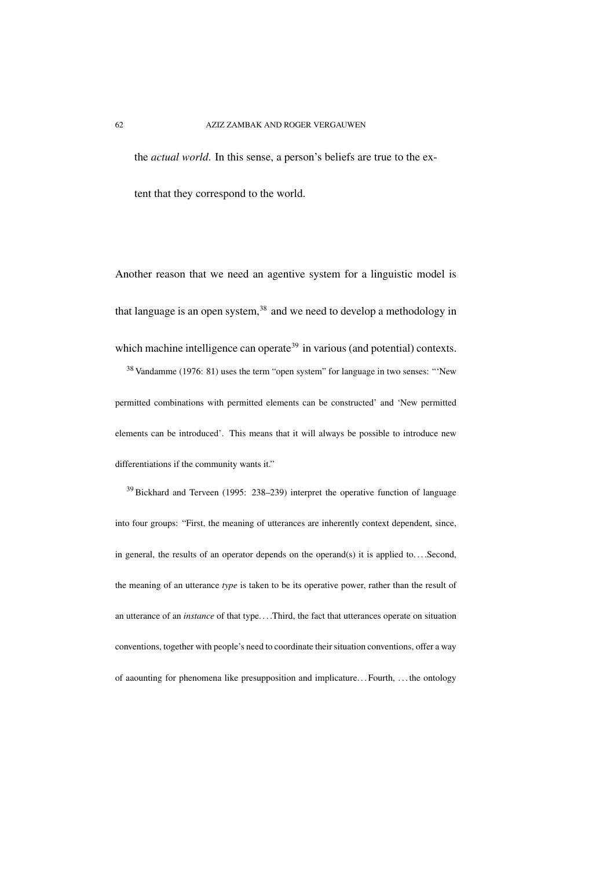### 62 AZIZ ZAMBAK AND ROGER VERGAUWEN

the *actual world*. In this sense, a person's beliefs are true to the extent that they correspond to the world.

Another reason that we need an agentive system for a linguistic model is that language is an open system, $38$  and we need to develop a methodology in which machine intelligence can operate<sup>39</sup> in various (and potential) contexts. <sup>38</sup> Vandamme (1976: 81) uses the term "open system" for language in two senses: "'New permitted combinations with permitted elements can be constructed' and 'New permitted

elements can be introduced'. This means that it will always be possible to introduce new differentiations if the community wants it."

<sup>39</sup> Bickhard and Terveen (1995: 238–239) interpret the operative function of language into four groups: "First, the meaning of utterances are inherently context dependent, since, in general, the results of an operator depends on the operand(s) it is applied to. . . .Second, the meaning of an utterance *type* is taken to be its operative power, rather than the result of an utterance of an *instance* of that type. . . .Third, the fact that utterances operate on situation conventions, together with people's need to coordinate their situation conventions, offer a way of aaounting for phenomena like presupposition and implicature. . . Fourth, . . . the ontology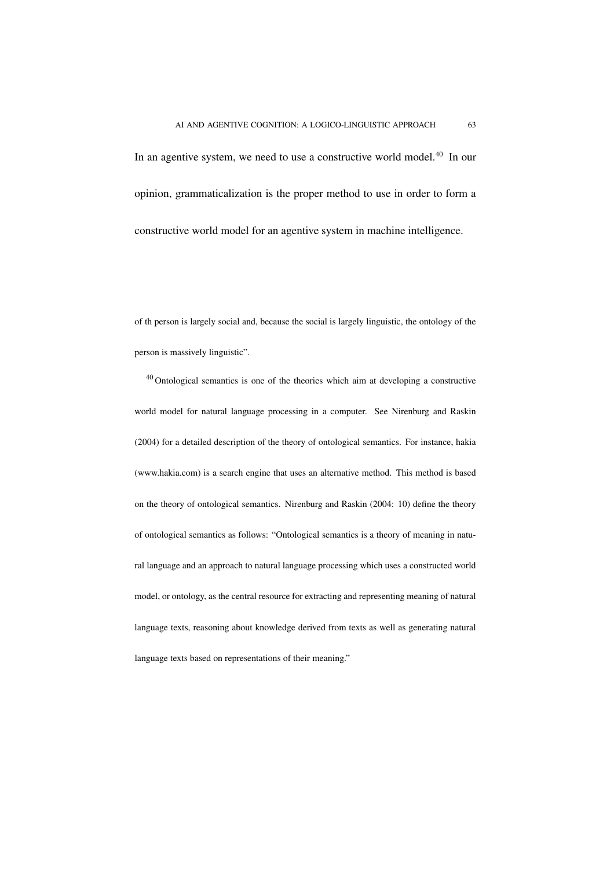In an agentive system, we need to use a constructive world model. $40$  In our opinion, grammaticalization is the proper method to use in order to form a constructive world model for an agentive system in machine intelligence.

of th person is largely social and, because the social is largely linguistic, the ontology of the person is massively linguistic".

 $40$  Ontological semantics is one of the theories which aim at developing a constructive world model for natural language processing in a computer. See Nirenburg and Raskin (2004) for a detailed description of the theory of ontological semantics. For instance, hakia (www.hakia.com) is a search engine that uses an alternative method. This method is based on the theory of ontological semantics. Nirenburg and Raskin (2004: 10) define the theory of ontological semantics as follows: "Ontological semantics is a theory of meaning in natural language and an approach to natural language processing which uses a constructed world model, or ontology, as the central resource for extracting and representing meaning of natural language texts, reasoning about knowledge derived from texts as well as generating natural language texts based on representations of their meaning."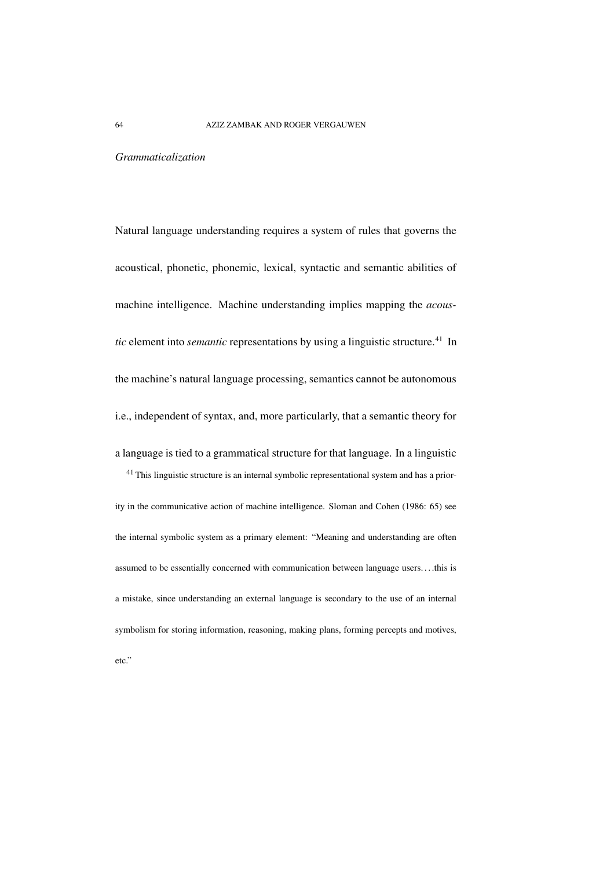# *Grammaticalization*

Natural language understanding requires a system of rules that governs the acoustical, phonetic, phonemic, lexical, syntactic and semantic abilities of machine intelligence. Machine understanding implies mapping the *acoustic* element into *semantic* representations by using a linguistic structure.<sup>41</sup> In the machine's natural language processing, semantics cannot be autonomous i.e., independent of syntax, and, more particularly, that a semantic theory for a language is tied to a grammatical structure for that language. In a linguistic

<sup>41</sup> This linguistic structure is an internal symbolic representational system and has a priority in the communicative action of machine intelligence. Sloman and Cohen (1986: 65) see the internal symbolic system as a primary element: "Meaning and understanding are often assumed to be essentially concerned with communication between language users. . . .this is a mistake, since understanding an external language is secondary to the use of an internal symbolism for storing information, reasoning, making plans, forming percepts and motives, etc."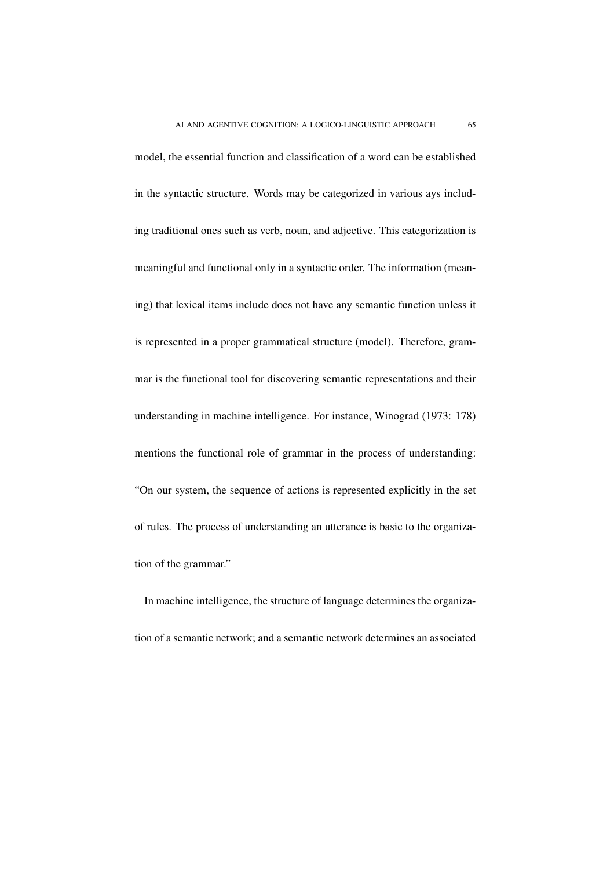model, the essential function and classification of a word can be established in the syntactic structure. Words may be categorized in various ays including traditional ones such as verb, noun, and adjective. This categorization is meaningful and functional only in a syntactic order. The information (meaning) that lexical items include does not have any semantic function unless it is represented in a proper grammatical structure (model). Therefore, grammar is the functional tool for discovering semantic representations and their understanding in machine intelligence. For instance, Winograd (1973: 178) mentions the functional role of grammar in the process of understanding: "On our system, the sequence of actions is represented explicitly in the set of rules. The process of understanding an utterance is basic to the organization of the grammar."

In machine intelligence, the structure of language determines the organization of a semantic network; and a semantic network determines an associated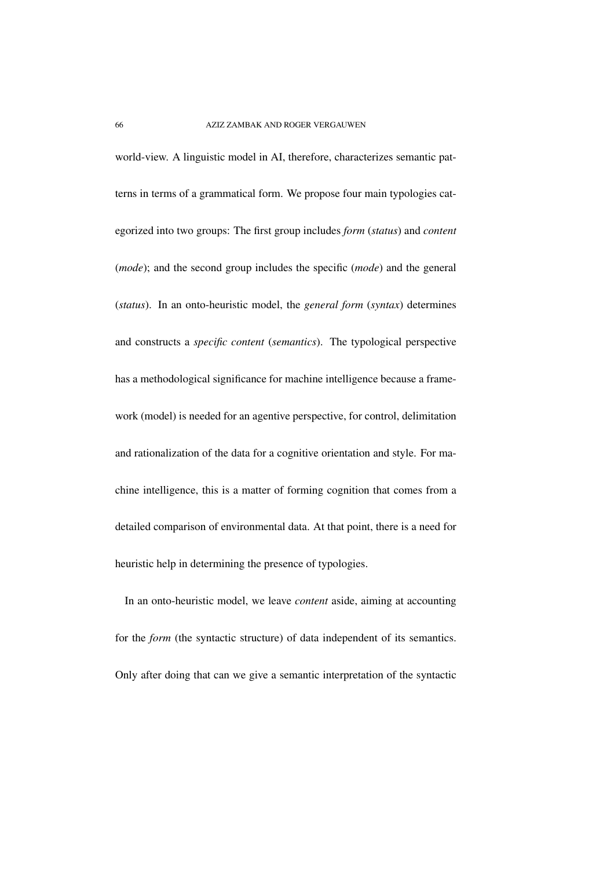world-view. A linguistic model in AI, therefore, characterizes semantic patterns in terms of a grammatical form. We propose four main typologies categorized into two groups: The first group includes *form* (*status*) and *content* (*mode*); and the second group includes the specific (*mode*) and the general (*status*). In an onto-heuristic model, the *general form* (*syntax*) determines and constructs a *specific content* (*semantics*). The typological perspective has a methodological significance for machine intelligence because a framework (model) is needed for an agentive perspective, for control, delimitation and rationalization of the data for a cognitive orientation and style. For machine intelligence, this is a matter of forming cognition that comes from a detailed comparison of environmental data. At that point, there is a need for heuristic help in determining the presence of typologies.

In an onto-heuristic model, we leave *content* aside, aiming at accounting for the *form* (the syntactic structure) of data independent of its semantics. Only after doing that can we give a semantic interpretation of the syntactic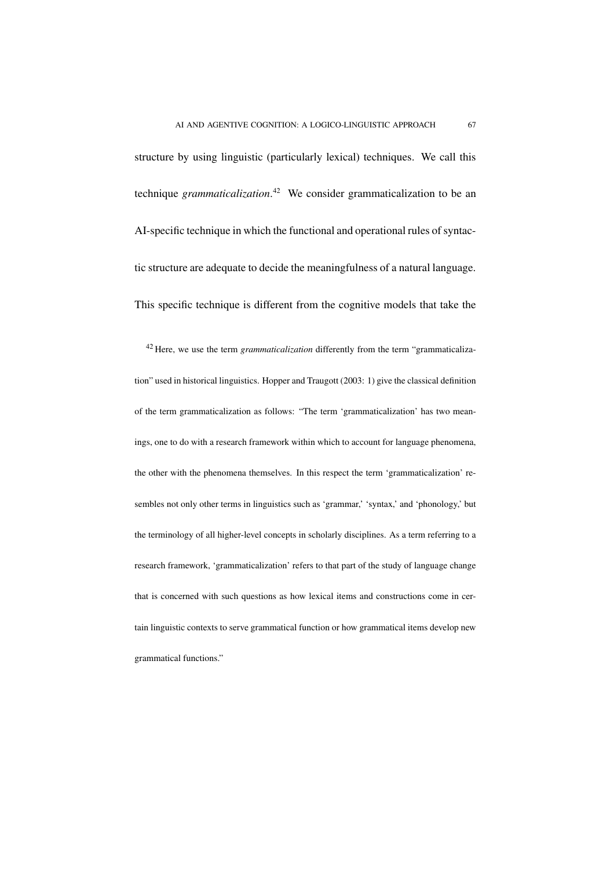structure by using linguistic (particularly lexical) techniques. We call this technique *grammaticalization*. <sup>42</sup> We consider grammaticalization to be an AI-specific technique in which the functional and operational rules of syntactic structure are adequate to decide the meaningfulness of a natural language. This specific technique is different from the cognitive models that take the

<sup>42</sup> Here, we use the term *grammaticalization* differently from the term "grammaticalization" used in historical linguistics. Hopper and Traugott (2003: 1) give the classical definition of the term grammaticalization as follows: "The term 'grammaticalization' has two meanings, one to do with a research framework within which to account for language phenomena, the other with the phenomena themselves. In this respect the term 'grammaticalization' resembles not only other terms in linguistics such as 'grammar,' 'syntax,' and 'phonology,' but the terminology of all higher-level concepts in scholarly disciplines. As a term referring to a research framework, 'grammaticalization' refers to that part of the study of language change that is concerned with such questions as how lexical items and constructions come in certain linguistic contexts to serve grammatical function or how grammatical items develop new grammatical functions."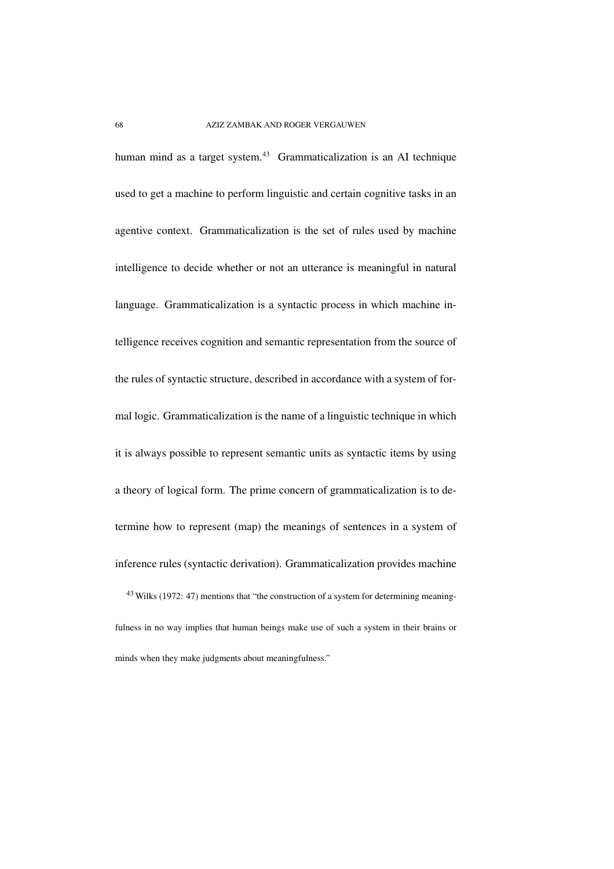## 68 AZIZ ZAMBAK AND ROGER VERGAUWEN

human mind as a target system. $43$  Grammaticalization is an AI technique used to get a machine to perform linguistic and certain cognitive tasks in an agentive context. Grammaticalization is the set of rules used by machine intelligence to decide whether or not an utterance is meaningful in natural language. Grammaticalization is a syntactic process in which machine intelligence receives cognition and semantic representation from the source of the rules of syntactic structure, described in accordance with a system of formal logic. Grammaticalization is the name of a linguistic technique in which it is always possible to represent semantic units as syntactic items by using a theory of logical form. The prime concern of grammaticalization is to determine how to represent (map) the meanings of sentences in a system of inference rules (syntactic derivation). Grammaticalization provides machine

<sup>43</sup> Wilks (1972: 47) mentions that "the construction of a system for determining meaningfulness in no way implies that human beings make use of such a system in their brains or minds when they make judgments about meaningfulness."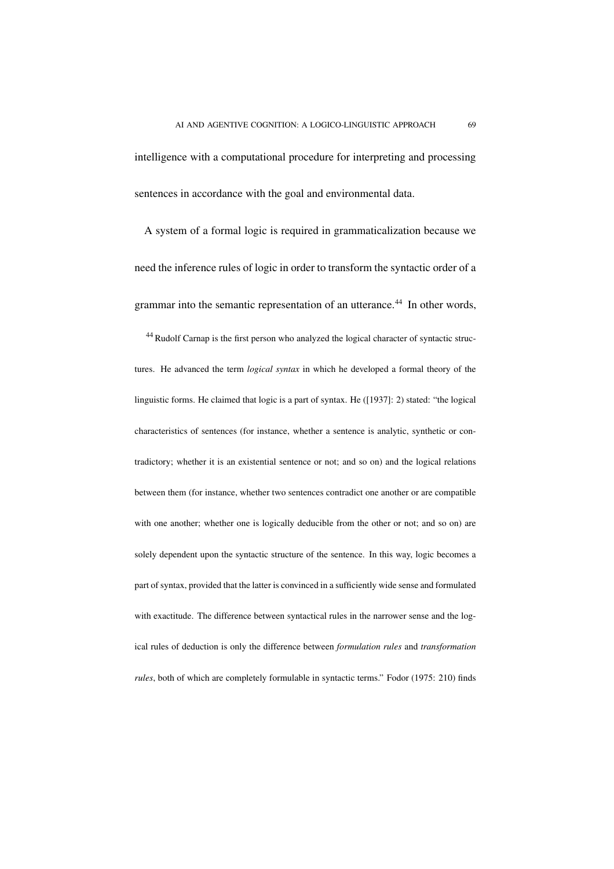intelligence with a computational procedure for interpreting and processing

sentences in accordance with the goal and environmental data.

A system of a formal logic is required in grammaticalization because we need the inference rules of logic in order to transform the syntactic order of a grammar into the semantic representation of an utterance.<sup>44</sup> In other words,

<sup>44</sup> Rudolf Carnap is the first person who analyzed the logical character of syntactic structures. He advanced the term *logical syntax* in which he developed a formal theory of the linguistic forms. He claimed that logic is a part of syntax. He ([1937]: 2) stated: "the logical characteristics of sentences (for instance, whether a sentence is analytic, synthetic or contradictory; whether it is an existential sentence or not; and so on) and the logical relations between them (for instance, whether two sentences contradict one another or are compatible with one another; whether one is logically deducible from the other or not; and so on) are solely dependent upon the syntactic structure of the sentence. In this way, logic becomes a part of syntax, provided that the latter is convinced in a sufficiently wide sense and formulated with exactitude. The difference between syntactical rules in the narrower sense and the logical rules of deduction is only the difference between *formulation rules* and *transformation rules*, both of which are completely formulable in syntactic terms." Fodor (1975: 210) finds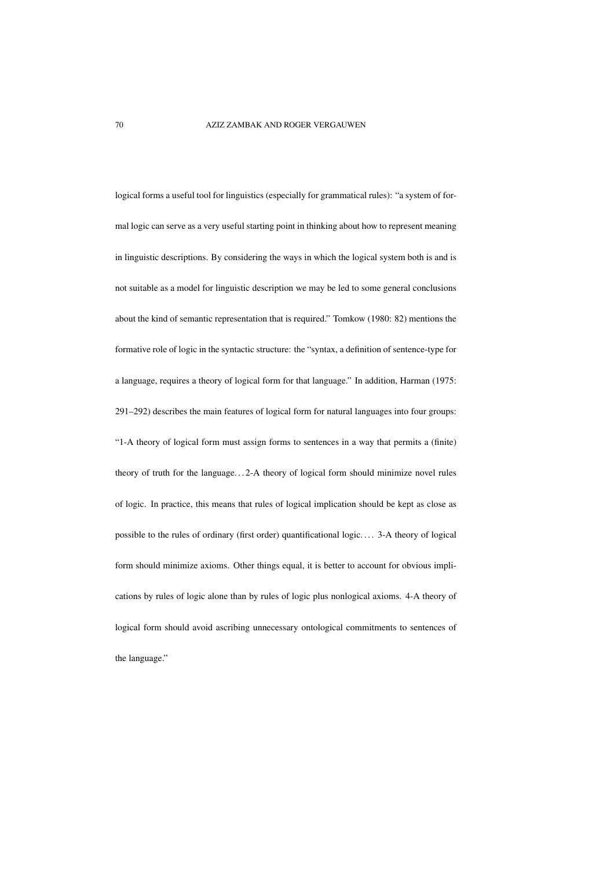logical forms a useful tool for linguistics (especially for grammatical rules): "a system of formal logic can serve as a very useful starting point in thinking about how to represent meaning in linguistic descriptions. By considering the ways in which the logical system both is and is not suitable as a model for linguistic description we may be led to some general conclusions about the kind of semantic representation that is required." Tomkow (1980: 82) mentions the formative role of logic in the syntactic structure: the "syntax, a definition of sentence-type for a language, requires a theory of logical form for that language." In addition, Harman (1975: 291–292) describes the main features of logical form for natural languages into four groups: "1-A theory of logical form must assign forms to sentences in a way that permits a (finite) theory of truth for the language. . . 2-A theory of logical form should minimize novel rules of logic. In practice, this means that rules of logical implication should be kept as close as possible to the rules of ordinary (first order) quantificational logic.... 3-A theory of logical form should minimize axioms. Other things equal, it is better to account for obvious implications by rules of logic alone than by rules of logic plus nonlogical axioms. 4-A theory of logical form should avoid ascribing unnecessary ontological commitments to sentences of the language."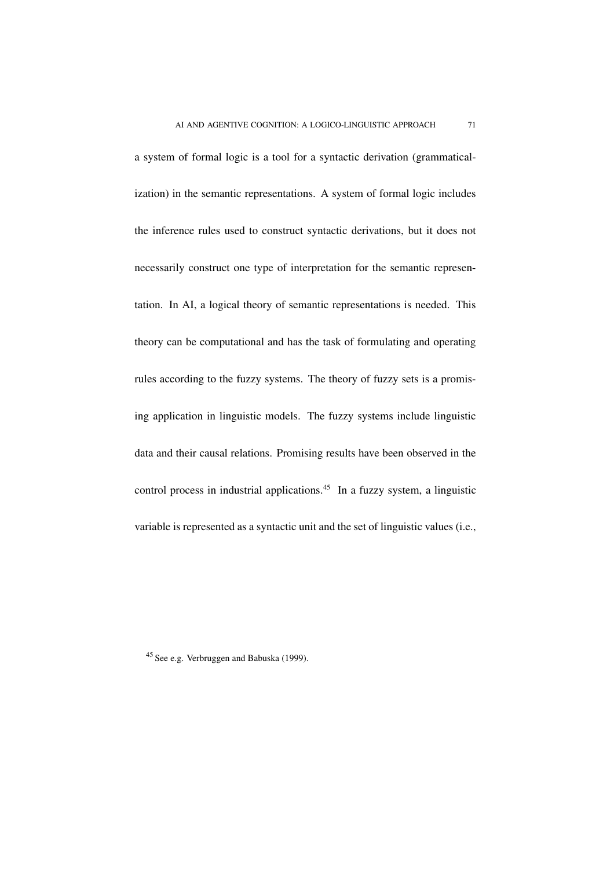a system of formal logic is a tool for a syntactic derivation (grammaticalization) in the semantic representations. A system of formal logic includes the inference rules used to construct syntactic derivations, but it does not necessarily construct one type of interpretation for the semantic representation. In AI, a logical theory of semantic representations is needed. This theory can be computational and has the task of formulating and operating rules according to the fuzzy systems. The theory of fuzzy sets is a promising application in linguistic models. The fuzzy systems include linguistic data and their causal relations. Promising results have been observed in the control process in industrial applications.<sup>45</sup> In a fuzzy system, a linguistic variable is represented as a syntactic unit and the set of linguistic values (i.e.,

<sup>45</sup> See e.g. Verbruggen and Babuska (1999).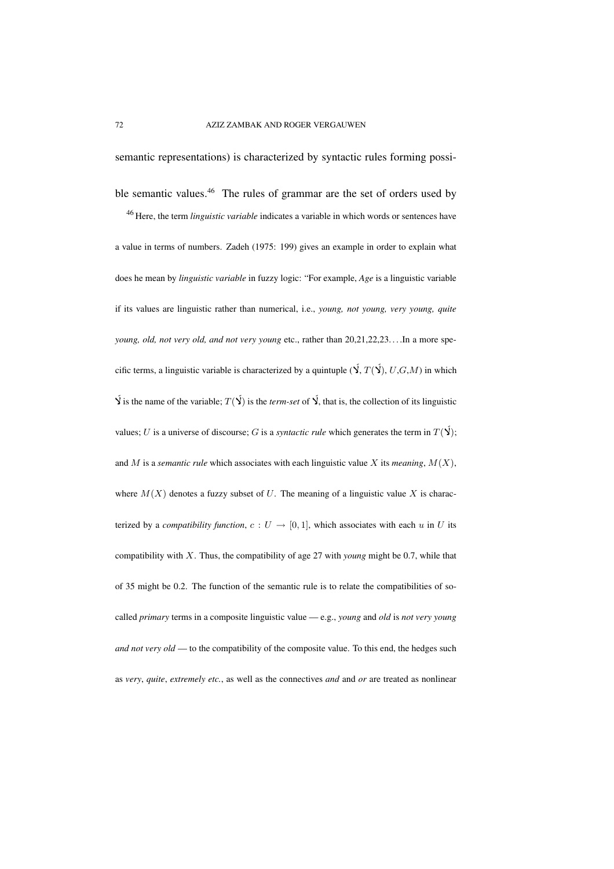semantic representations) is characterized by syntactic rules forming possi-

ble semantic values.<sup>46</sup> The rules of grammar are the set of orders used by

<sup>46</sup> Here, the term *linguistic variable* indicates a variable in which words or sentences have a value in terms of numbers. Zadeh (1975: 199) gives an example in order to explain what does he mean by *linguistic variable* in fuzzy logic: "For example, *Age* is a linguistic variable if its values are linguistic rather than numerical, i.e., *young, not young, very young, quite young, old, not very old, and not very young* etc., rather than 20,21,22,23. . . .In a more specific terms, a linguistic variable is characterized by a quintuple  $(\check{\mathsf{Y}}, T(\check{\mathsf{Y}}), U, G, M)$  in which J J is the name of the variable;  $T(\vec{Y})$  is the *term-set* of  $\vec{Y}$ , that is, the collection of its linguistic  $\overline{\phantom{a}}$  $\overline{a}$  $\overline{a}$ values; U is a universe of discourse; G is a *syntactic rule* which generates the term in  $T(\vec{Y})$ ;  $\overline{\phantom{a}}$ and M is a *semantic rule* which associates with each linguistic value X its *meaning*,  $M(X)$ , where  $M(X)$  denotes a fuzzy subset of U. The meaning of a linguistic value X is characterized by a *compatibility function*,  $c: U \rightarrow [0, 1]$ , which associates with each u in U its compatibility with X. Thus, the compatibility of age 27 with *young* might be 0.7, while that of 35 might be 0.2. The function of the semantic rule is to relate the compatibilities of socalled *primary* terms in a composite linguistic value — e.g., *young* and *old* is *not very young and not very old* — to the compatibility of the composite value. To this end, the hedges such as *very*, *quite*, *extremely etc.*, as well as the connectives *and* and *or* are treated as nonlinear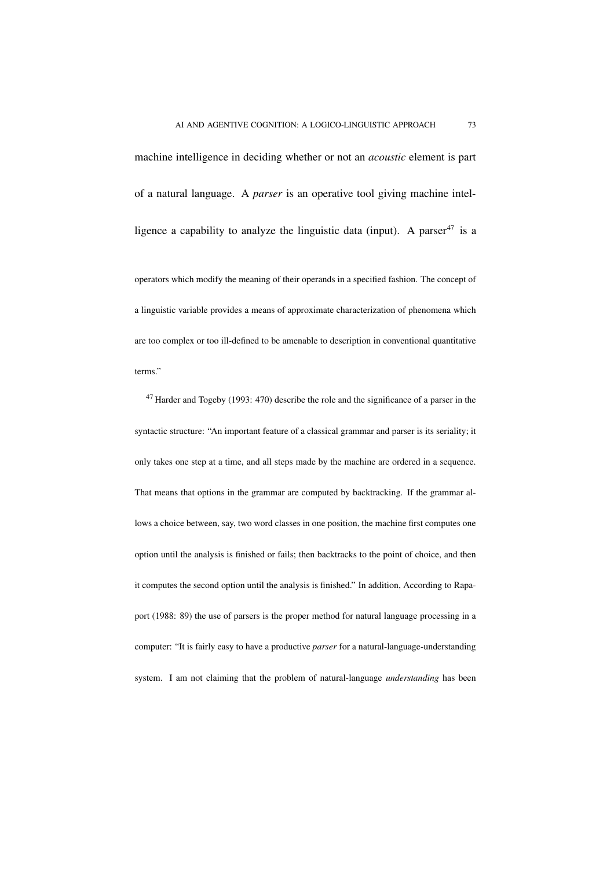machine intelligence in deciding whether or not an *acoustic* element is part of a natural language. A *parser* is an operative tool giving machine intelligence a capability to analyze the linguistic data (input). A parser  $47$  is a

operators which modify the meaning of their operands in a specified fashion. The concept of a linguistic variable provides a means of approximate characterization of phenomena which are too complex or too ill-defined to be amenable to description in conventional quantitative terms."

<sup>47</sup> Harder and Togeby (1993: 470) describe the role and the significance of a parser in the syntactic structure: "An important feature of a classical grammar and parser is its seriality; it only takes one step at a time, and all steps made by the machine are ordered in a sequence. That means that options in the grammar are computed by backtracking. If the grammar allows a choice between, say, two word classes in one position, the machine first computes one option until the analysis is finished or fails; then backtracks to the point of choice, and then it computes the second option until the analysis is finished." In addition, According to Rapaport (1988: 89) the use of parsers is the proper method for natural language processing in a computer: "It is fairly easy to have a productive *parser* for a natural-language-understanding system. I am not claiming that the problem of natural-language *understanding* has been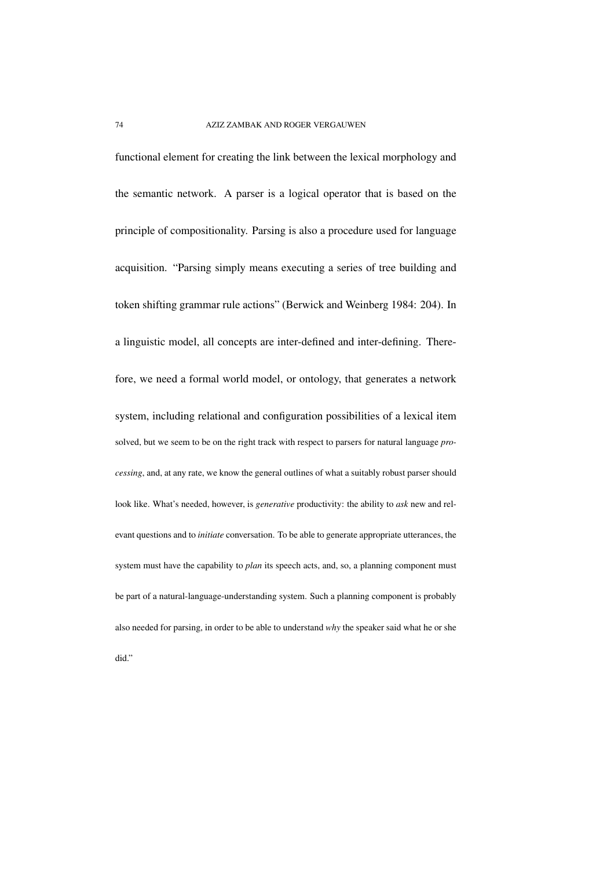functional element for creating the link between the lexical morphology and the semantic network. A parser is a logical operator that is based on the principle of compositionality. Parsing is also a procedure used for language acquisition. "Parsing simply means executing a series of tree building and token shifting grammar rule actions" (Berwick and Weinberg 1984: 204). In a linguistic model, all concepts are inter-defined and inter-defining. Therefore, we need a formal world model, or ontology, that generates a network system, including relational and configuration possibilities of a lexical item solved, but we seem to be on the right track with respect to parsers for natural language *processing*, and, at any rate, we know the general outlines of what a suitably robust parser should look like. What's needed, however, is *generative* productivity: the ability to *ask* new and relevant questions and to *initiate* conversation. To be able to generate appropriate utterances, the system must have the capability to *plan* its speech acts, and, so, a planning component must be part of a natural-language-understanding system. Such a planning component is probably also needed for parsing, in order to be able to understand *why* the speaker said what he or she did."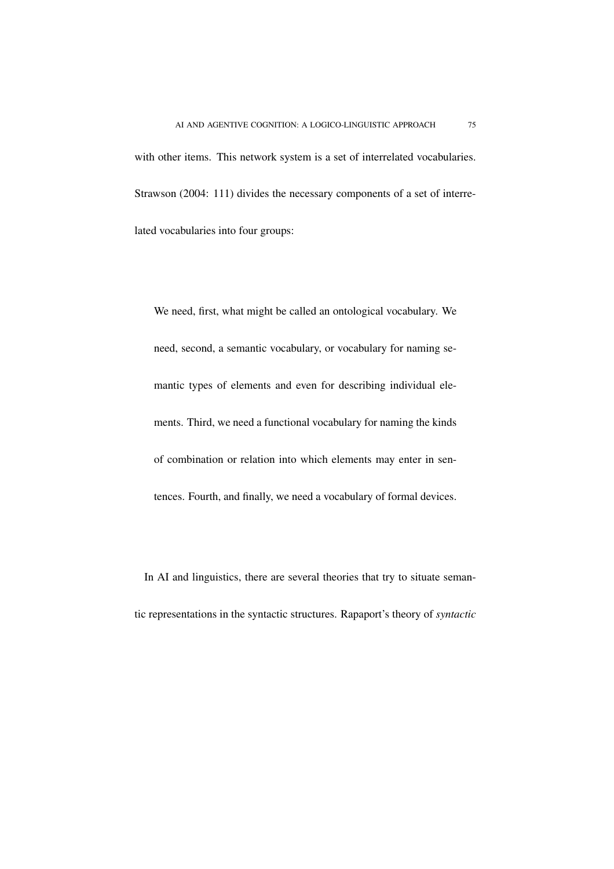AI AND AGENTIVE COGNITION: A LOGICO-LINGUISTIC APPROACH 75 with other items. This network system is a set of interrelated vocabularies. Strawson (2004: 111) divides the necessary components of a set of interrelated vocabularies into four groups:

We need, first, what might be called an ontological vocabulary. We need, second, a semantic vocabulary, or vocabulary for naming semantic types of elements and even for describing individual elements. Third, we need a functional vocabulary for naming the kinds of combination or relation into which elements may enter in sentences. Fourth, and finally, we need a vocabulary of formal devices.

In AI and linguistics, there are several theories that try to situate semantic representations in the syntactic structures. Rapaport's theory of *syntactic*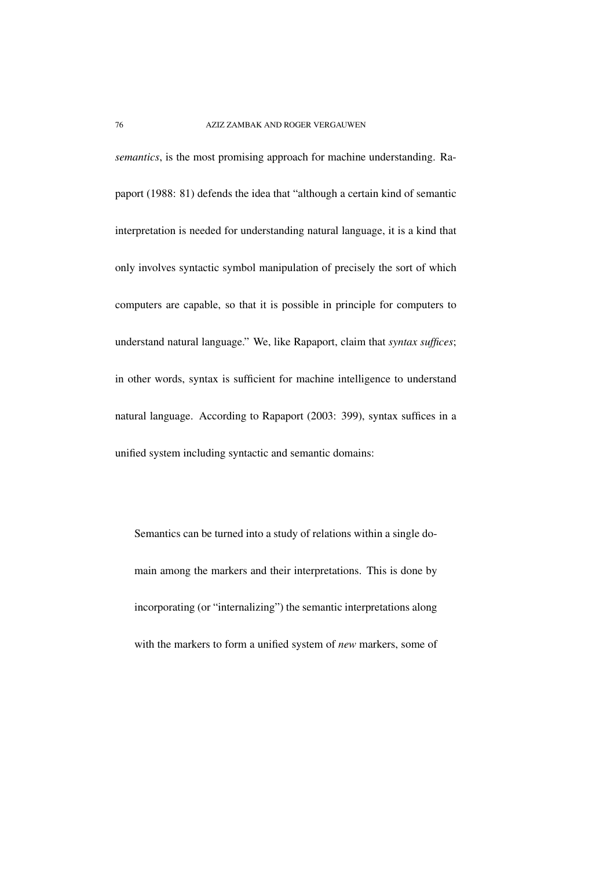*semantics*, is the most promising approach for machine understanding. Rapaport (1988: 81) defends the idea that "although a certain kind of semantic interpretation is needed for understanding natural language, it is a kind that only involves syntactic symbol manipulation of precisely the sort of which computers are capable, so that it is possible in principle for computers to understand natural language." We, like Rapaport, claim that *syntax suffices*; in other words, syntax is sufficient for machine intelligence to understand natural language. According to Rapaport (2003: 399), syntax suffices in a unified system including syntactic and semantic domains:

Semantics can be turned into a study of relations within a single domain among the markers and their interpretations. This is done by incorporating (or "internalizing") the semantic interpretations along with the markers to form a unified system of *new* markers, some of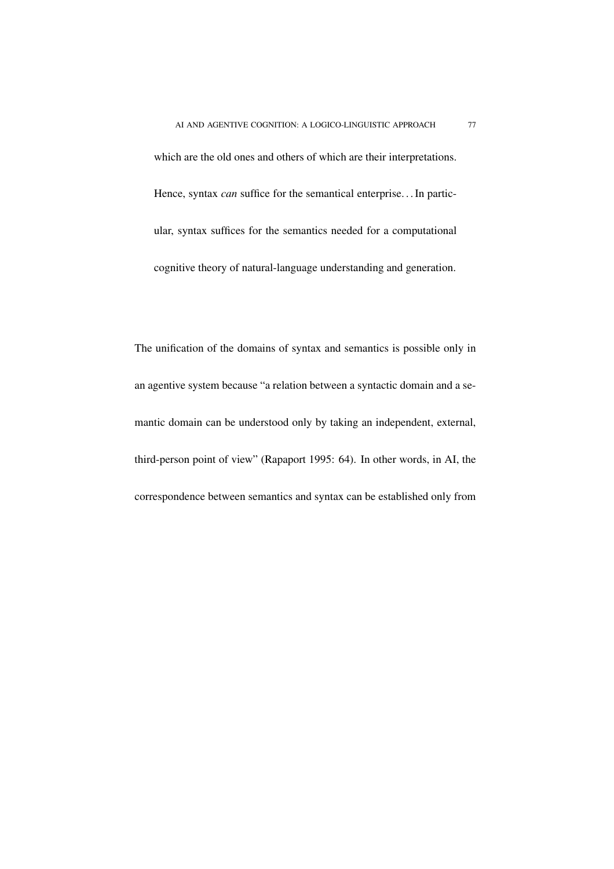AI AND AGENTIVE COGNITION: A LOGICO-LINGUISTIC APPROACH 77 which are the old ones and others of which are their interpretations. Hence, syntax *can* suffice for the semantical enterprise. . .In particular, syntax suffices for the semantics needed for a computational cognitive theory of natural-language understanding and generation.

The unification of the domains of syntax and semantics is possible only in an agentive system because "a relation between a syntactic domain and a semantic domain can be understood only by taking an independent, external, third-person point of view" (Rapaport 1995: 64). In other words, in AI, the correspondence between semantics and syntax can be established only from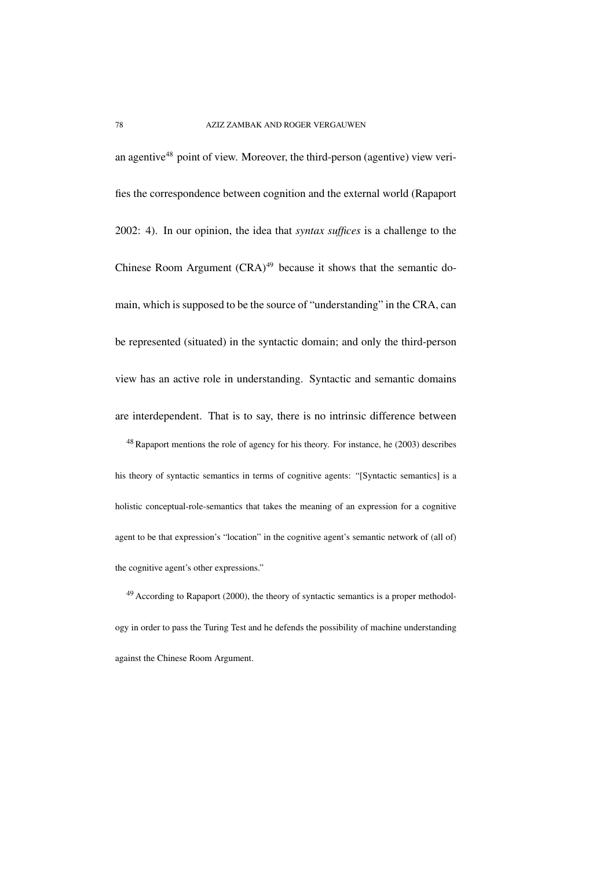an agentive <sup>48</sup> point of view. Moreover, the third-person (agentive) view verifies the correspondence between cognition and the external world (Rapaport 2002: 4). In our opinion, the idea that *syntax suffices* is a challenge to the Chinese Room Argument  $(CRA)^{49}$  because it shows that the semantic domain, which is supposed to be the source of "understanding" in the CRA, can be represented (situated) in the syntactic domain; and only the third-person view has an active role in understanding. Syntactic and semantic domains are interdependent. That is to say, there is no intrinsic difference between

 $48$  Rapaport mentions the role of agency for his theory. For instance, he (2003) describes his theory of syntactic semantics in terms of cognitive agents: "[Syntactic semantics] is a holistic conceptual-role-semantics that takes the meaning of an expression for a cognitive agent to be that expression's "location" in the cognitive agent's semantic network of (all of) the cognitive agent's other expressions."

 $49$  According to Rapaport (2000), the theory of syntactic semantics is a proper methodology in order to pass the Turing Test and he defends the possibility of machine understanding against the Chinese Room Argument.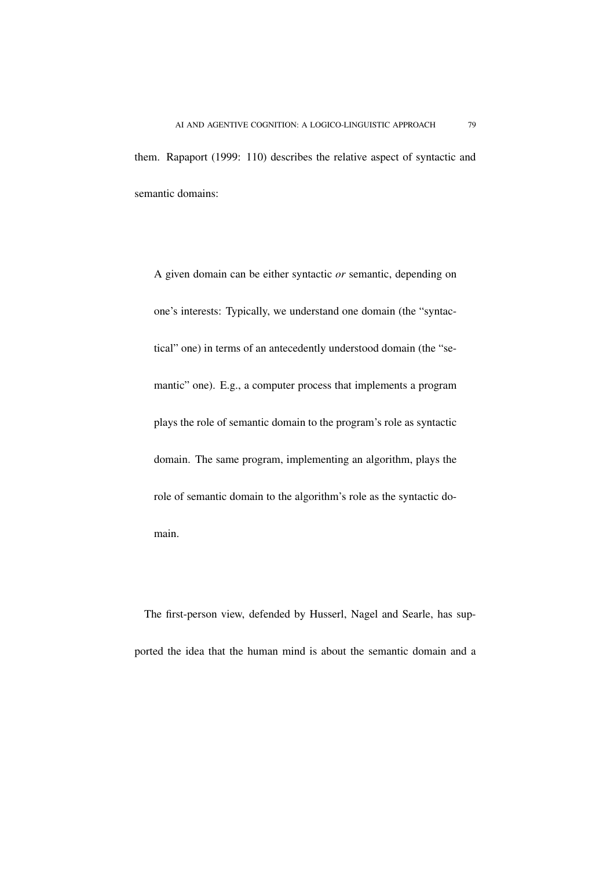them. Rapaport (1999: 110) describes the relative aspect of syntactic and

semantic domains:

A given domain can be either syntactic *or* semantic, depending on one's interests: Typically, we understand one domain (the "syntactical" one) in terms of an antecedently understood domain (the "semantic" one). E.g., a computer process that implements a program plays the role of semantic domain to the program's role as syntactic domain. The same program, implementing an algorithm, plays the role of semantic domain to the algorithm's role as the syntactic domain.

The first-person view, defended by Husserl, Nagel and Searle, has supported the idea that the human mind is about the semantic domain and a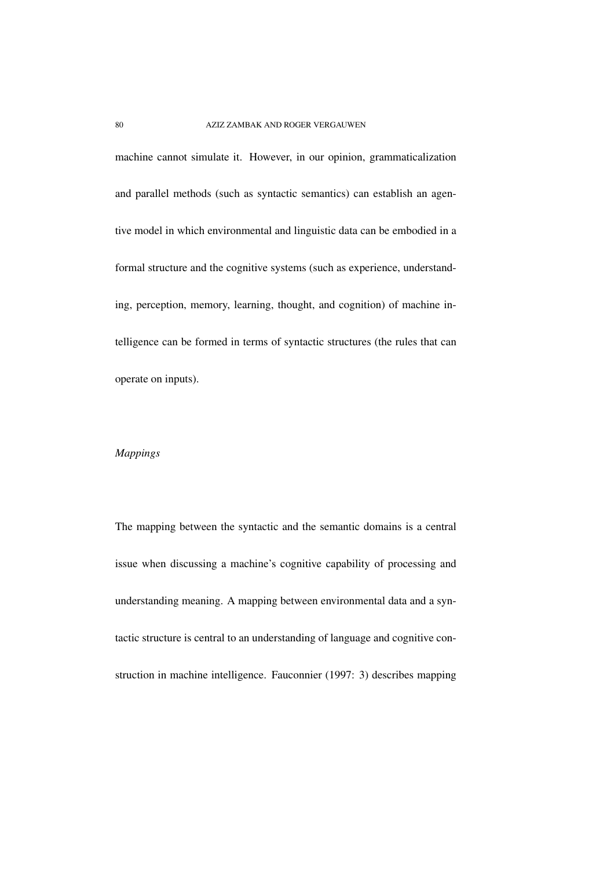#### 80 AZIZ ZAMBAK AND ROGER VERGAUWEN

machine cannot simulate it. However, in our opinion, grammaticalization and parallel methods (such as syntactic semantics) can establish an agentive model in which environmental and linguistic data can be embodied in a formal structure and the cognitive systems (such as experience, understanding, perception, memory, learning, thought, and cognition) of machine intelligence can be formed in terms of syntactic structures (the rules that can operate on inputs).

## *Mappings*

The mapping between the syntactic and the semantic domains is a central issue when discussing a machine's cognitive capability of processing and understanding meaning. A mapping between environmental data and a syntactic structure is central to an understanding of language and cognitive construction in machine intelligence. Fauconnier (1997: 3) describes mapping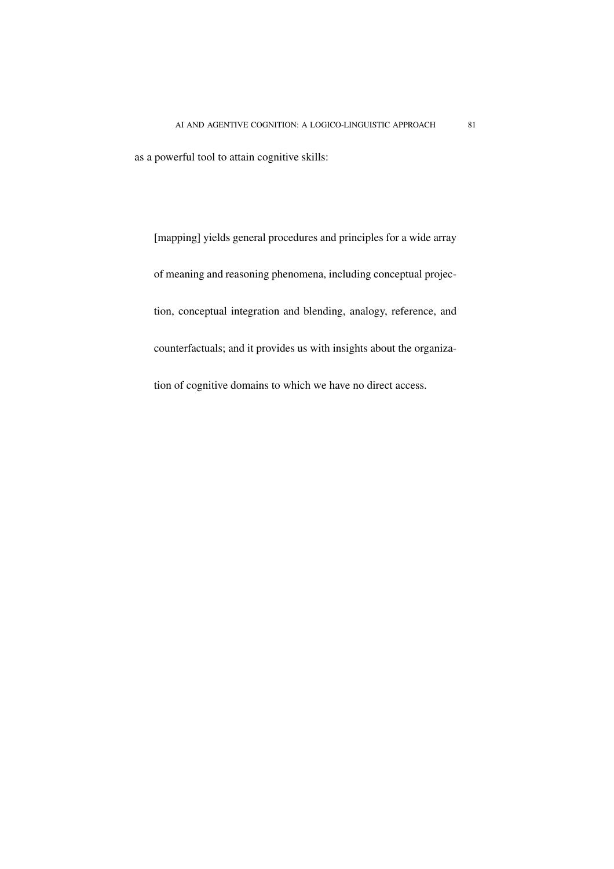[mapping] yields general procedures and principles for a wide array of meaning and reasoning phenomena, including conceptual projection, conceptual integration and blending, analogy, reference, and counterfactuals; and it provides us with insights about the organization of cognitive domains to which we have no direct access.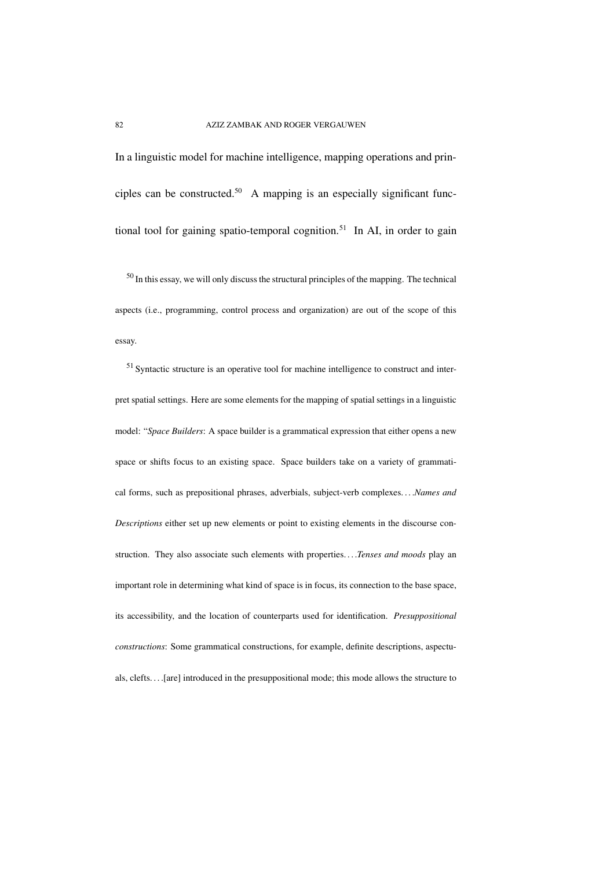In a linguistic model for machine intelligence, mapping operations and principles can be constructed.<sup>50</sup> A mapping is an especially significant functional tool for gaining spatio-temporal cognition.<sup>51</sup> In AI, in order to gain

 $50$  In this essay, we will only discuss the structural principles of the mapping. The technical aspects (i.e., programming, control process and organization) are out of the scope of this essay.

<sup>51</sup> Syntactic structure is an operative tool for machine intelligence to construct and interpret spatial settings. Here are some elements for the mapping of spatial settings in a linguistic model: "*Space Builders*: A space builder is a grammatical expression that either opens a new space or shifts focus to an existing space. Space builders take on a variety of grammatical forms, such as prepositional phrases, adverbials, subject-verb complexes. . . .*Names and Descriptions* either set up new elements or point to existing elements in the discourse construction. They also associate such elements with properties. . . .*Tenses and moods* play an important role in determining what kind of space is in focus, its connection to the base space, its accessibility, and the location of counterparts used for identification. *Presuppositional constructions*: Some grammatical constructions, for example, definite descriptions, aspectuals, clefts. . . .[are] introduced in the presuppositional mode; this mode allows the structure to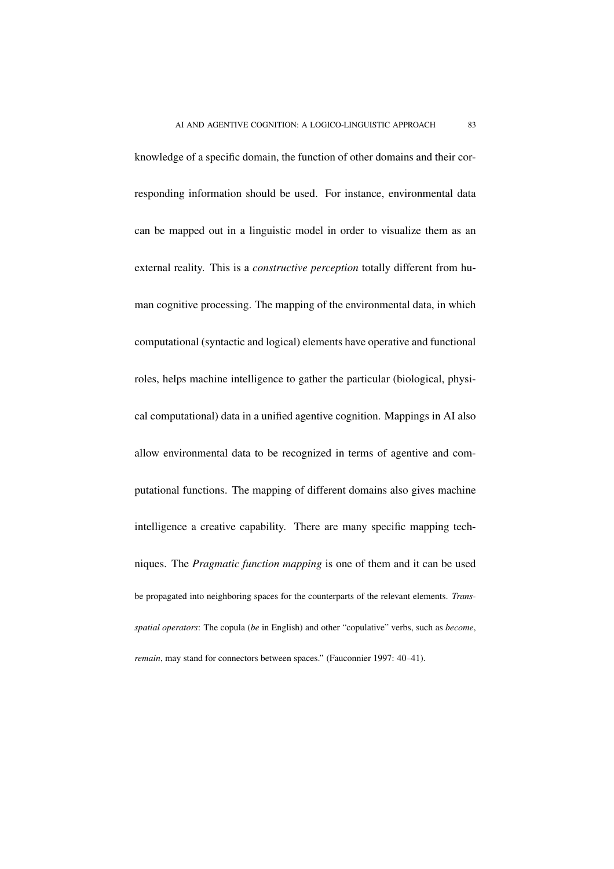knowledge of a specific domain, the function of other domains and their corresponding information should be used. For instance, environmental data can be mapped out in a linguistic model in order to visualize them as an external reality. This is a *constructive perception* totally different from human cognitive processing. The mapping of the environmental data, in which computational (syntactic and logical) elements have operative and functional roles, helps machine intelligence to gather the particular (biological, physical computational) data in a unified agentive cognition. Mappings in AI also allow environmental data to be recognized in terms of agentive and computational functions. The mapping of different domains also gives machine intelligence a creative capability. There are many specific mapping techniques. The *Pragmatic function mapping* is one of them and it can be used be propagated into neighboring spaces for the counterparts of the relevant elements. *Transspatial operators*: The copula (*be* in English) and other "copulative" verbs, such as *become*, *remain*, may stand for connectors between spaces." (Fauconnier 1997: 40–41).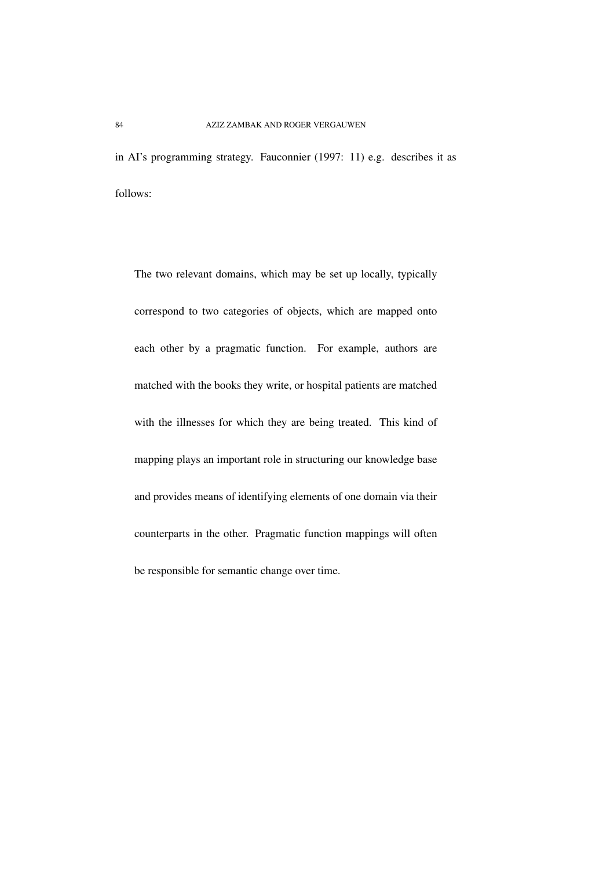in AI's programming strategy. Fauconnier (1997: 11) e.g. describes it as follows:

The two relevant domains, which may be set up locally, typically correspond to two categories of objects, which are mapped onto each other by a pragmatic function. For example, authors are matched with the books they write, or hospital patients are matched with the illnesses for which they are being treated. This kind of mapping plays an important role in structuring our knowledge base and provides means of identifying elements of one domain via their counterparts in the other. Pragmatic function mappings will often be responsible for semantic change over time.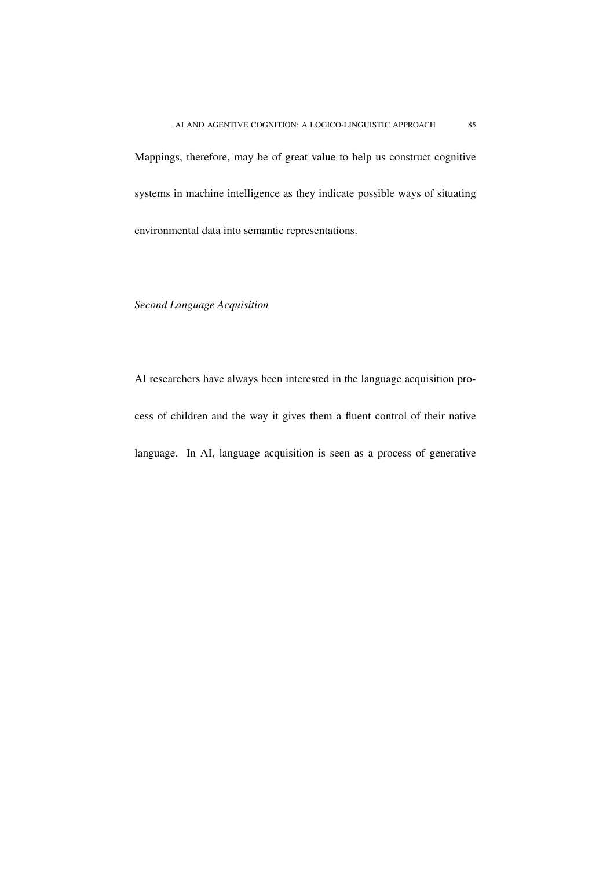Mappings, therefore, may be of great value to help us construct cognitive systems in machine intelligence as they indicate possible ways of situating environmental data into semantic representations.

## *Second Language Acquisition*

AI researchers have always been interested in the language acquisition process of children and the way it gives them a fluent control of their native language. In AI, language acquisition is seen as a process of generative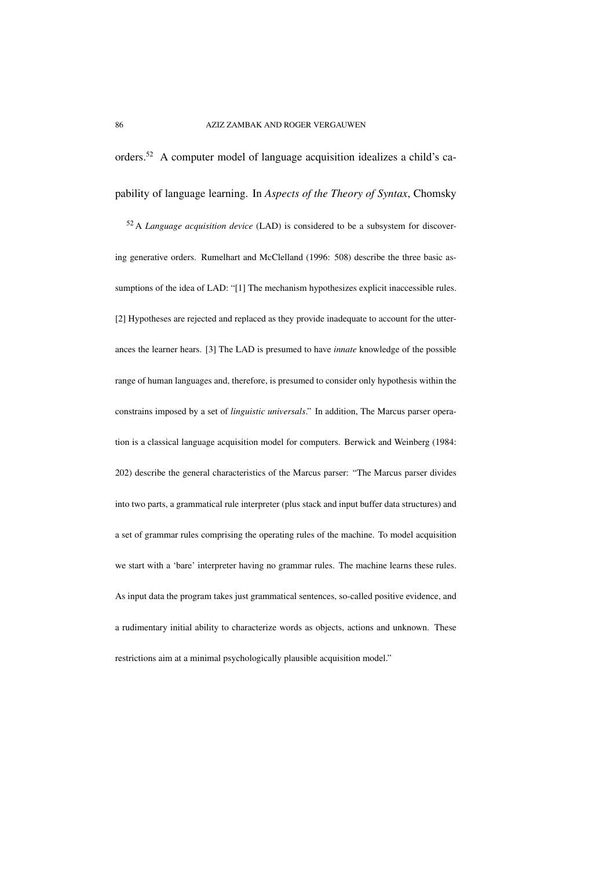orders.<sup>52</sup> A computer model of language acquisition idealizes a child's capability of language learning. In *Aspects of the Theory of Syntax*, Chomsky <sup>52</sup> A *Language acquisition device* (LAD) is considered to be a subsystem for discovering generative orders. Rumelhart and McClelland (1996: 508) describe the three basic assumptions of the idea of LAD: "[1] The mechanism hypothesizes explicit inaccessible rules. [2] Hypotheses are rejected and replaced as they provide inadequate to account for the utterances the learner hears. [3] The LAD is presumed to have *innate* knowledge of the possible range of human languages and, therefore, is presumed to consider only hypothesis within the constrains imposed by a set of *linguistic universals*." In addition, The Marcus parser operation is a classical language acquisition model for computers. Berwick and Weinberg (1984: 202) describe the general characteristics of the Marcus parser: "The Marcus parser divides into two parts, a grammatical rule interpreter (plus stack and input buffer data structures) and a set of grammar rules comprising the operating rules of the machine. To model acquisition we start with a 'bare' interpreter having no grammar rules. The machine learns these rules. As input data the program takes just grammatical sentences, so-called positive evidence, and a rudimentary initial ability to characterize words as objects, actions and unknown. These restrictions aim at a minimal psychologically plausible acquisition model."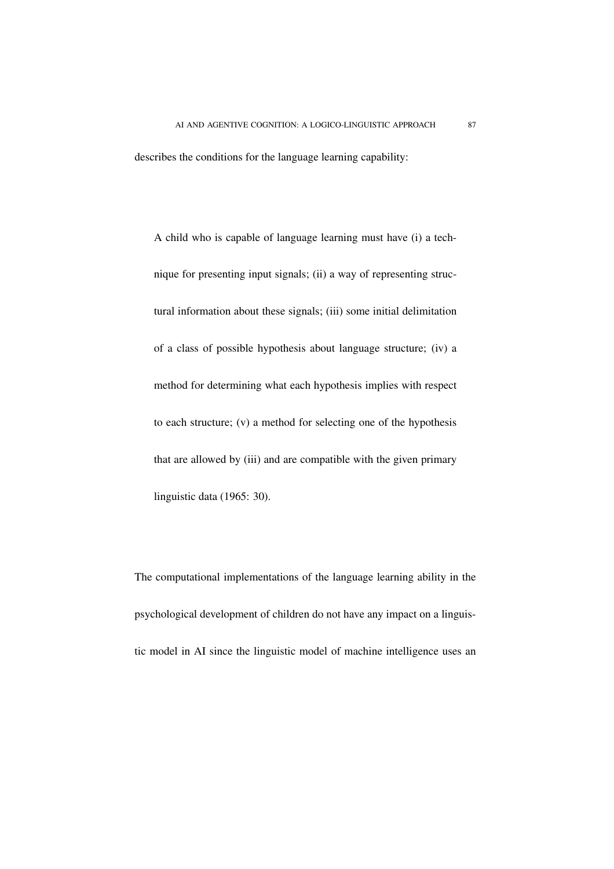A child who is capable of language learning must have (i) a technique for presenting input signals; (ii) a way of representing structural information about these signals; (iii) some initial delimitation of a class of possible hypothesis about language structure; (iv) a method for determining what each hypothesis implies with respect to each structure; (v) a method for selecting one of the hypothesis that are allowed by (iii) and are compatible with the given primary linguistic data (1965: 30).

The computational implementations of the language learning ability in the psychological development of children do not have any impact on a linguistic model in AI since the linguistic model of machine intelligence uses an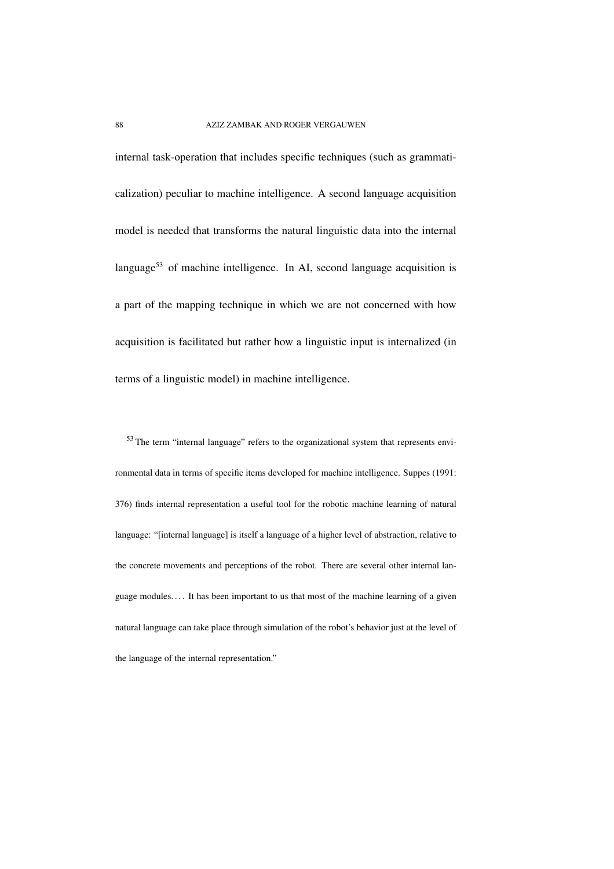### 88 AZIZ ZAMBAK AND ROGER VERGAUWEN

internal task-operation that includes specific techniques (such as grammaticalization) peculiar to machine intelligence. A second language acquisition model is needed that transforms the natural linguistic data into the internal language<sup>53</sup> of machine intelligence. In AI, second language acquisition is a part of the mapping technique in which we are not concerned with how acquisition is facilitated but rather how a linguistic input is internalized (in terms of a linguistic model) in machine intelligence.

<sup>53</sup> The term "internal language" refers to the organizational system that represents environmental data in terms of specific items developed for machine intelligence. Suppes (1991: 376) finds internal representation a useful tool for the robotic machine learning of natural language: "[internal language] is itself a language of a higher level of abstraction, relative to the concrete movements and perceptions of the robot. There are several other internal language modules. . . . It has been important to us that most of the machine learning of a given natural language can take place through simulation of the robot's behavior just at the level of the language of the internal representation."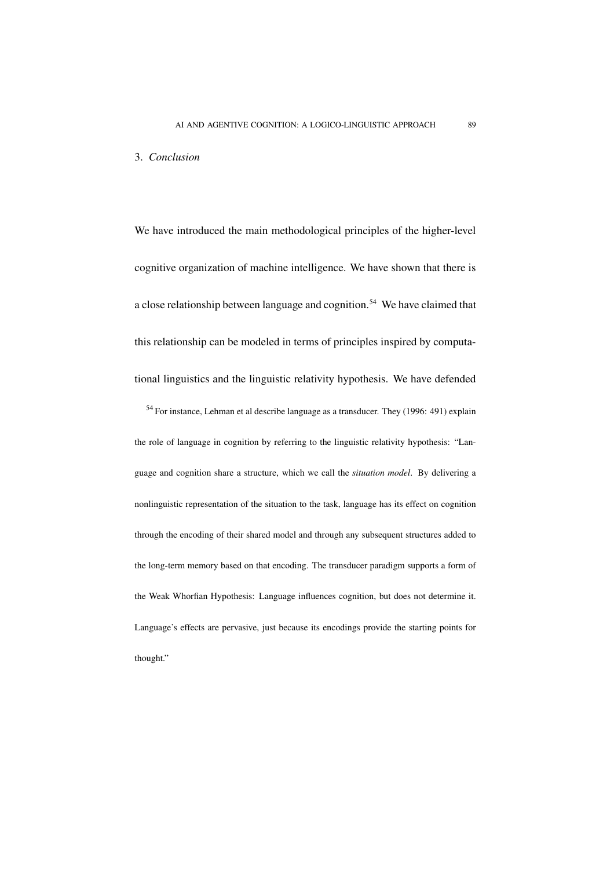### 3. *Conclusion*

We have introduced the main methodological principles of the higher-level cognitive organization of machine intelligence. We have shown that there is a close relationship between language and cognition.<sup>54</sup> We have claimed that this relationship can be modeled in terms of principles inspired by computational linguistics and the linguistic relativity hypothesis. We have defended

<sup>54</sup> For instance, Lehman et al describe language as a transducer. They (1996: 491) explain the role of language in cognition by referring to the linguistic relativity hypothesis: "Language and cognition share a structure, which we call the *situation model*. By delivering a nonlinguistic representation of the situation to the task, language has its effect on cognition through the encoding of their shared model and through any subsequent structures added to the long-term memory based on that encoding. The transducer paradigm supports a form of the Weak Whorfian Hypothesis: Language influences cognition, but does not determine it. Language's effects are pervasive, just because its encodings provide the starting points for thought."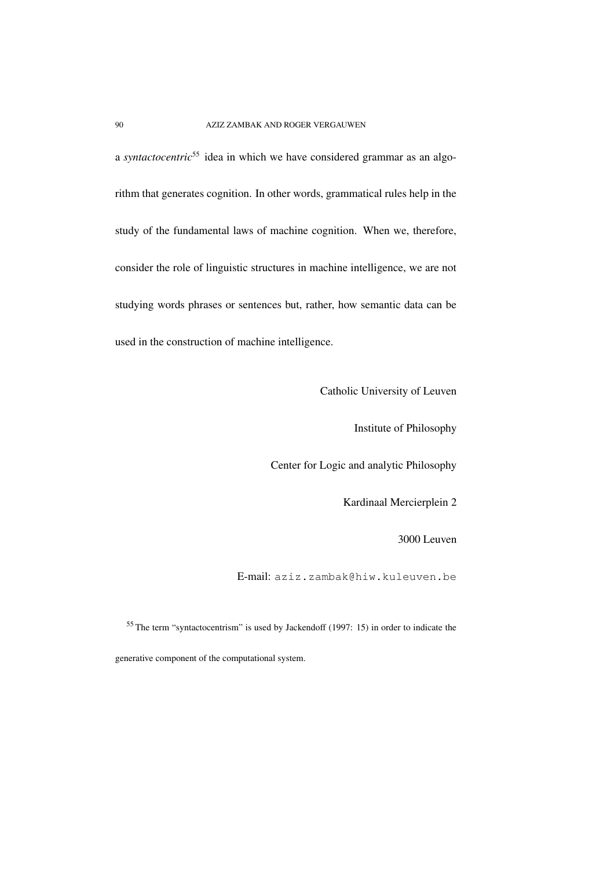#### 90 AZIZ ZAMBAK AND ROGER VERGAUWEN

a *syntactocentric*<sup>55</sup> idea in which we have considered grammar as an algorithm that generates cognition. In other words, grammatical rules help in the study of the fundamental laws of machine cognition. When we, therefore, consider the role of linguistic structures in machine intelligence, we are not studying words phrases or sentences but, rather, how semantic data can be used in the construction of machine intelligence.

Catholic University of Leuven

Institute of Philosophy

Center for Logic and analytic Philosophy

Kardinaal Mercierplein 2

# 3000 Leuven

E-mail: aziz.zambak@hiw.kuleuven.be

<sup>55</sup> The term "syntactocentrism" is used by Jackendoff (1997: 15) in order to indicate the

generative component of the computational system.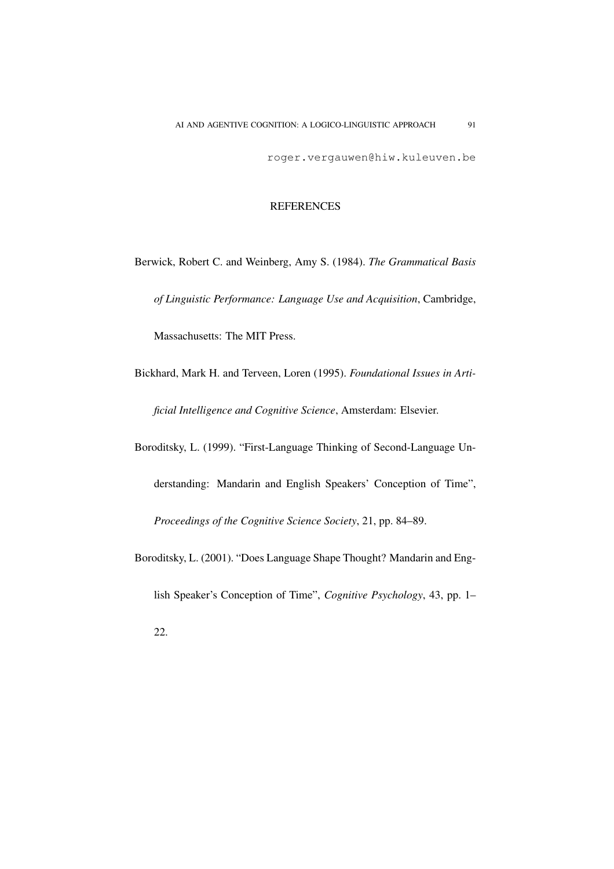roger.vergauwen@hiw.kuleuven.be

### **REFERENCES**

Berwick, Robert C. and Weinberg, Amy S. (1984). *The Grammatical Basis of Linguistic Performance: Language Use and Acquisition*, Cambridge,

Massachusetts: The MIT Press.

22.

Bickhard, Mark H. and Terveen, Loren (1995). *Foundational Issues in Artificial Intelligence and Cognitive Science*, Amsterdam: Elsevier.

Boroditsky, L. (1999). "First-Language Thinking of Second-Language Understanding: Mandarin and English Speakers' Conception of Time", *Proceedings of the Cognitive Science Society*, 21, pp. 84–89.

Boroditsky, L. (2001). "Does Language Shape Thought? Mandarin and English Speaker's Conception of Time", *Cognitive Psychology*, 43, pp. 1–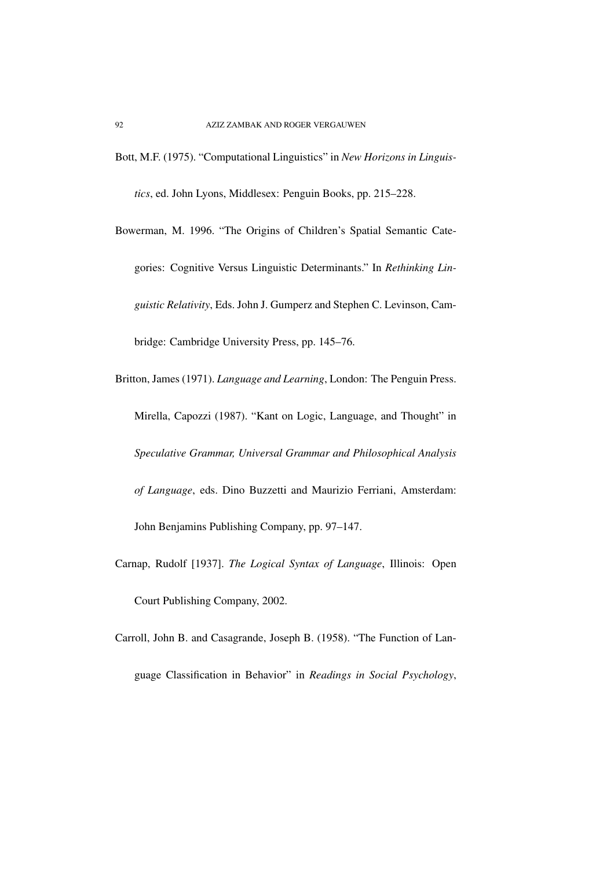Bott, M.F. (1975). "Computational Linguistics" in *New Horizons in Linguistics*, ed. John Lyons, Middlesex: Penguin Books, pp. 215–228.

Bowerman, M. 1996. "The Origins of Children's Spatial Semantic Categories: Cognitive Versus Linguistic Determinants." In *Rethinking Linguistic Relativity*, Eds. John J. Gumperz and Stephen C. Levinson, Cambridge: Cambridge University Press, pp. 145–76.

- Britton, James (1971). *Language and Learning*, London: The Penguin Press. Mirella, Capozzi (1987). "Kant on Logic, Language, and Thought" in *Speculative Grammar, Universal Grammar and Philosophical Analysis of Language*, eds. Dino Buzzetti and Maurizio Ferriani, Amsterdam: John Benjamins Publishing Company, pp. 97–147.
- Carnap, Rudolf [1937]. *The Logical Syntax of Language*, Illinois: Open Court Publishing Company, 2002.
- Carroll, John B. and Casagrande, Joseph B. (1958). "The Function of Language Classification in Behavior" in *Readings in Social Psychology*,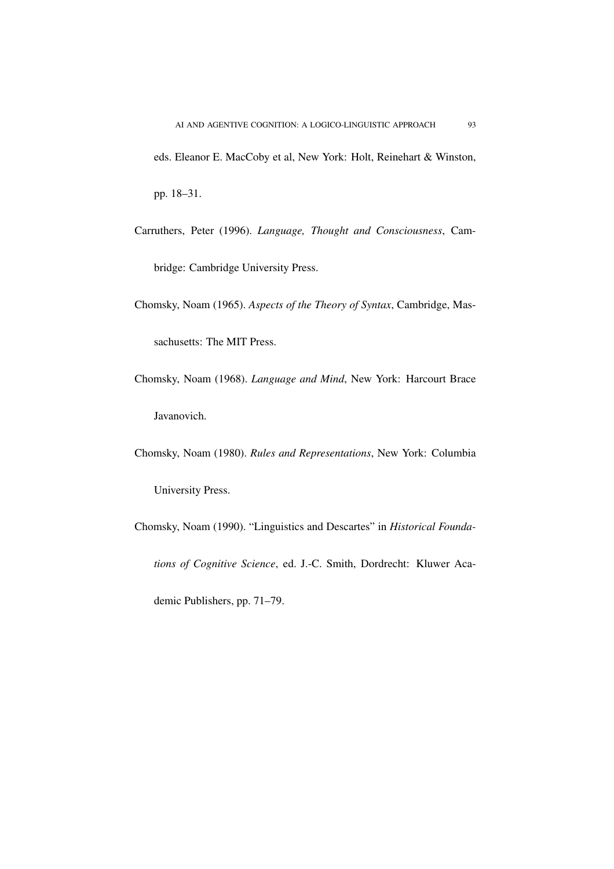eds. Eleanor E. MacCoby et al, New York: Holt, Reinehart & Winston,

pp. 18–31.

- Carruthers, Peter (1996). *Language, Thought and Consciousness*, Cambridge: Cambridge University Press.
- Chomsky, Noam (1965). *Aspects of the Theory of Syntax*, Cambridge, Massachusetts: The MIT Press.
- Chomsky, Noam (1968). *Language and Mind*, New York: Harcourt Brace Javanovich.
- Chomsky, Noam (1980). *Rules and Representations*, New York: Columbia University Press.
- Chomsky, Noam (1990). "Linguistics and Descartes" in *Historical Foundations of Cognitive Science*, ed. J.-C. Smith, Dordrecht: Kluwer Academic Publishers, pp. 71–79.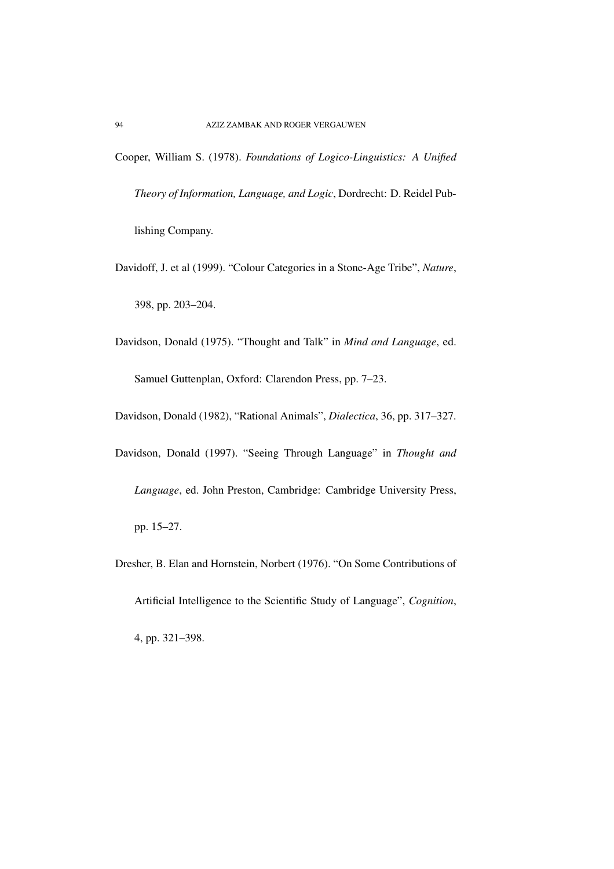- Cooper, William S. (1978). *Foundations of Logico-Linguistics: A Unified*
	- *Theory of Information, Language, and Logic*, Dordrecht: D. Reidel Publishing Company.
- Davidoff, J. et al (1999). "Colour Categories in a Stone-Age Tribe", *Nature*, 398, pp. 203–204.
- Davidson, Donald (1975). "Thought and Talk" in *Mind and Language*, ed. Samuel Guttenplan, Oxford: Clarendon Press, pp. 7–23.
- Davidson, Donald (1982), "Rational Animals", *Dialectica*, 36, pp. 317–327.
- Davidson, Donald (1997). "Seeing Through Language" in *Thought and Language*, ed. John Preston, Cambridge: Cambridge University Press, pp. 15–27.
- Dresher, B. Elan and Hornstein, Norbert (1976). "On Some Contributions of Artificial Intelligence to the Scientific Study of Language", *Cognition*, 4, pp. 321–398.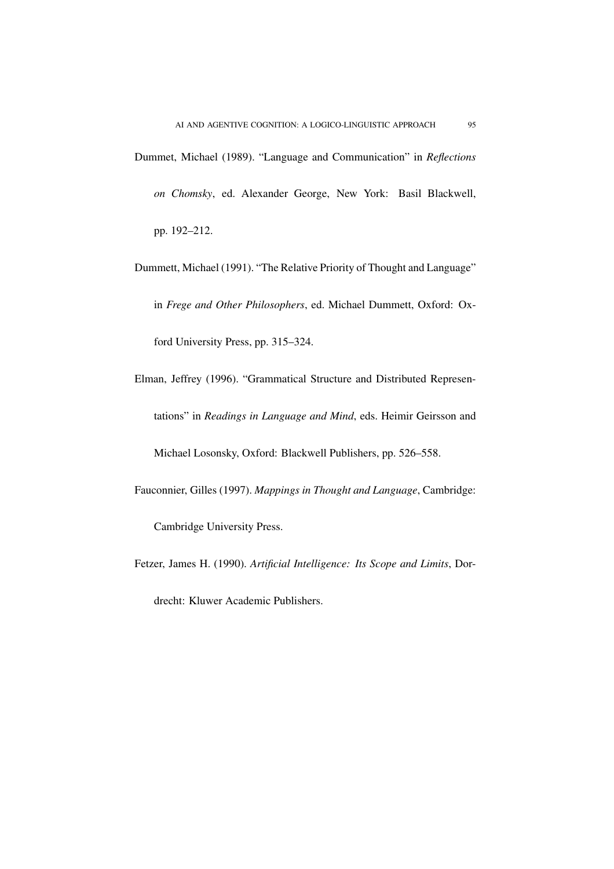Dummet, Michael (1989). "Language and Communication" in *Reflections on Chomsky*, ed. Alexander George, New York: Basil Blackwell, pp. 192–212.

- Dummett, Michael (1991). "The Relative Priority of Thought and Language" in *Frege and Other Philosophers*, ed. Michael Dummett, Oxford: Oxford University Press, pp. 315–324.
- Elman, Jeffrey (1996). "Grammatical Structure and Distributed Representations" in *Readings in Language and Mind*, eds. Heimir Geirsson and Michael Losonsky, Oxford: Blackwell Publishers, pp. 526–558.
- Fauconnier, Gilles (1997). *Mappings in Thought and Language*, Cambridge:

Cambridge University Press.

Fetzer, James H. (1990). *Artificial Intelligence: Its Scope and Limits*, Dor-

drecht: Kluwer Academic Publishers.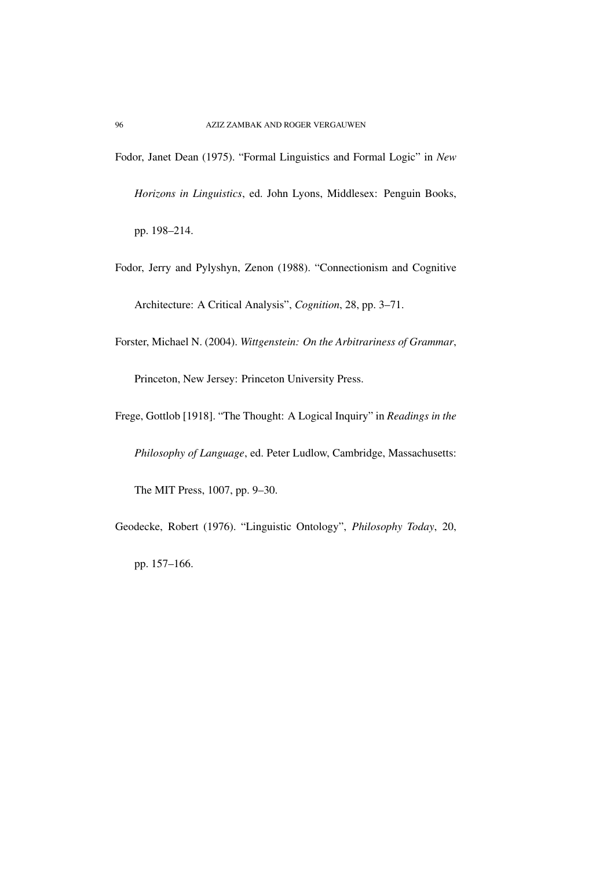Fodor, Janet Dean (1975). "Formal Linguistics and Formal Logic" in *New*

- *Horizons in Linguistics*, ed. John Lyons, Middlesex: Penguin Books, pp. 198–214.
- Fodor, Jerry and Pylyshyn, Zenon (1988). "Connectionism and Cognitive Architecture: A Critical Analysis", *Cognition*, 28, pp. 3–71.
- Forster, Michael N. (2004). *Wittgenstein: On the Arbitrariness of Grammar*, Princeton, New Jersey: Princeton University Press.
- Frege, Gottlob [1918]. "The Thought: A Logical Inquiry" in *Readings in the Philosophy of Language*, ed. Peter Ludlow, Cambridge, Massachusetts: The MIT Press, 1007, pp. 9–30.

Geodecke, Robert (1976). "Linguistic Ontology", *Philosophy Today*, 20,

pp. 157–166.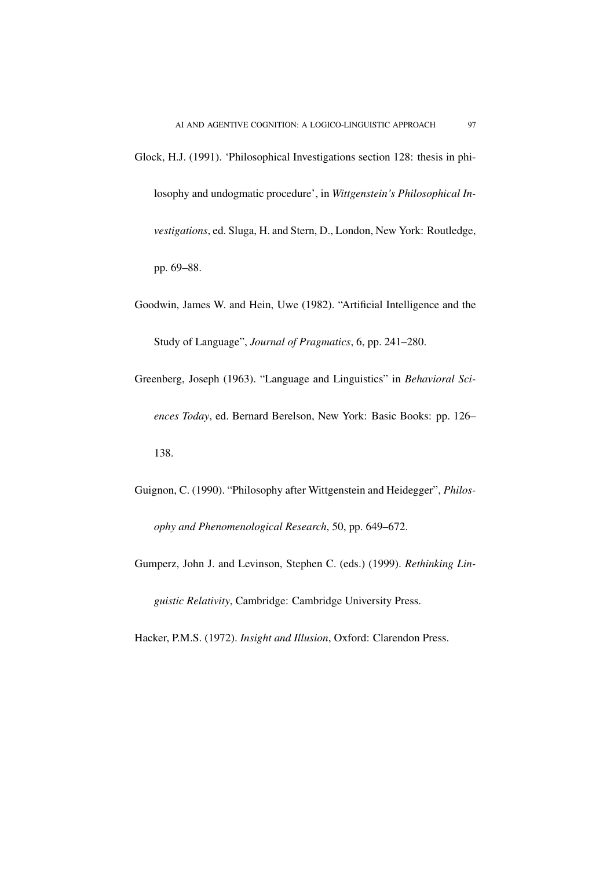- Glock, H.J. (1991). 'Philosophical Investigations section 128: thesis in philosophy and undogmatic procedure', in *Wittgenstein's Philosophical Investigations*, ed. Sluga, H. and Stern, D., London, New York: Routledge, pp. 69–88.
- Goodwin, James W. and Hein, Uwe (1982). "Artificial Intelligence and the Study of Language", *Journal of Pragmatics*, 6, pp. 241–280.
- Greenberg, Joseph (1963). "Language and Linguistics" in *Behavioral Sciences Today*, ed. Bernard Berelson, New York: Basic Books: pp. 126– 138.
- Guignon, C. (1990). "Philosophy after Wittgenstein and Heidegger", *Philosophy and Phenomenological Research*, 50, pp. 649–672.
- Gumperz, John J. and Levinson, Stephen C. (eds.) (1999). *Rethinking Linguistic Relativity*, Cambridge: Cambridge University Press.
- Hacker, P.M.S. (1972). *Insight and Illusion*, Oxford: Clarendon Press.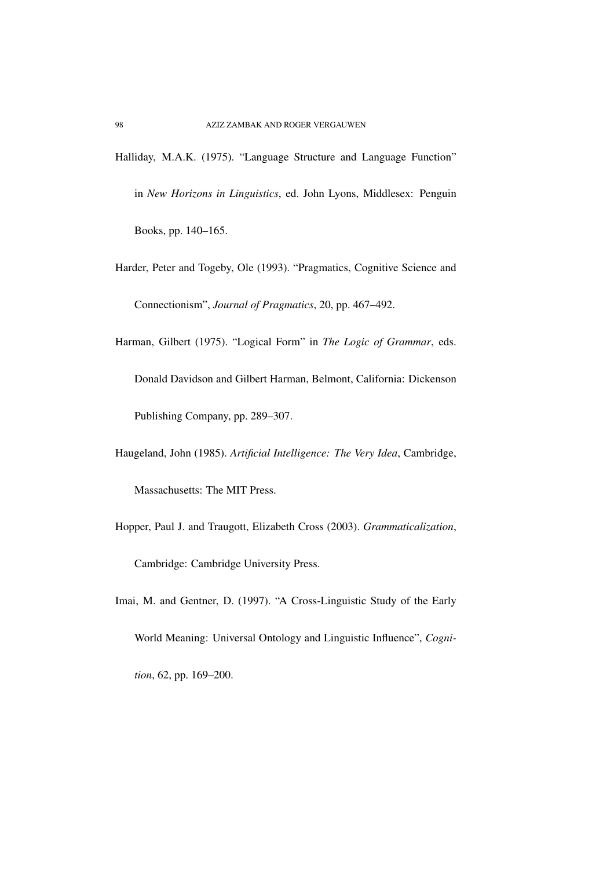- Halliday, M.A.K. (1975). "Language Structure and Language Function" in *New Horizons in Linguistics*, ed. John Lyons, Middlesex: Penguin Books, pp. 140–165.
- Harder, Peter and Togeby, Ole (1993). "Pragmatics, Cognitive Science and Connectionism", *Journal of Pragmatics*, 20, pp. 467–492.
- Harman, Gilbert (1975). "Logical Form" in *The Logic of Grammar*, eds. Donald Davidson and Gilbert Harman, Belmont, California: Dickenson Publishing Company, pp. 289–307.
- Haugeland, John (1985). *Artificial Intelligence: The Very Idea*, Cambridge, Massachusetts: The MIT Press.
- Hopper, Paul J. and Traugott, Elizabeth Cross (2003). *Grammaticalization*, Cambridge: Cambridge University Press.
- Imai, M. and Gentner, D. (1997). "A Cross-Linguistic Study of the Early World Meaning: Universal Ontology and Linguistic Influence", *Cognition*, 62, pp. 169–200.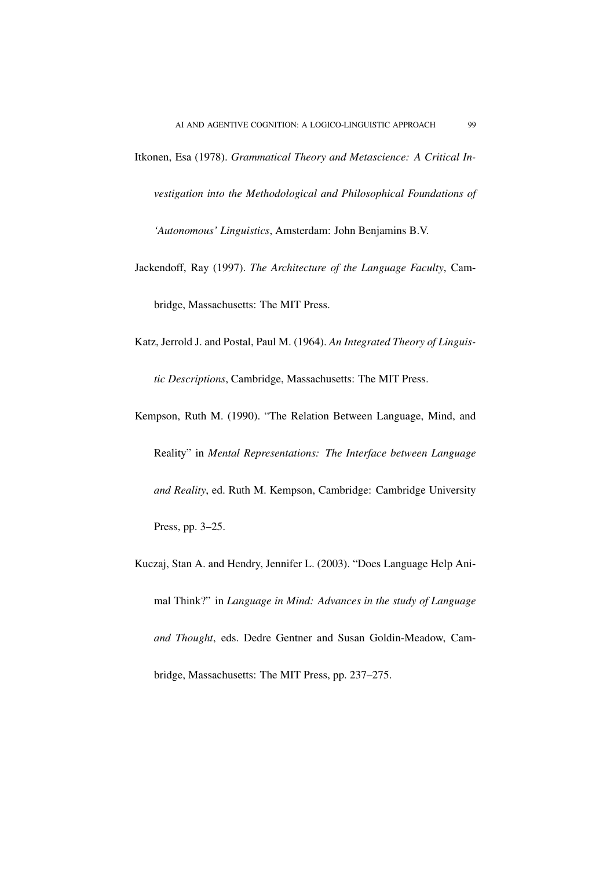- Itkonen, Esa (1978). *Grammatical Theory and Metascience: A Critical Investigation into the Methodological and Philosophical Foundations of 'Autonomous' Linguistics*, Amsterdam: John Benjamins B.V.
- Jackendoff, Ray (1997). *The Architecture of the Language Faculty*, Cambridge, Massachusetts: The MIT Press.
- Katz, Jerrold J. and Postal, Paul M. (1964). *An Integrated Theory of Linguistic Descriptions*, Cambridge, Massachusetts: The MIT Press.
- Kempson, Ruth M. (1990). "The Relation Between Language, Mind, and Reality" in *Mental Representations: The Interface between Language and Reality*, ed. Ruth M. Kempson, Cambridge: Cambridge University Press, pp. 3–25.
- Kuczaj, Stan A. and Hendry, Jennifer L. (2003). "Does Language Help Animal Think?" in *Language in Mind: Advances in the study of Language and Thought*, eds. Dedre Gentner and Susan Goldin-Meadow, Cambridge, Massachusetts: The MIT Press, pp. 237–275.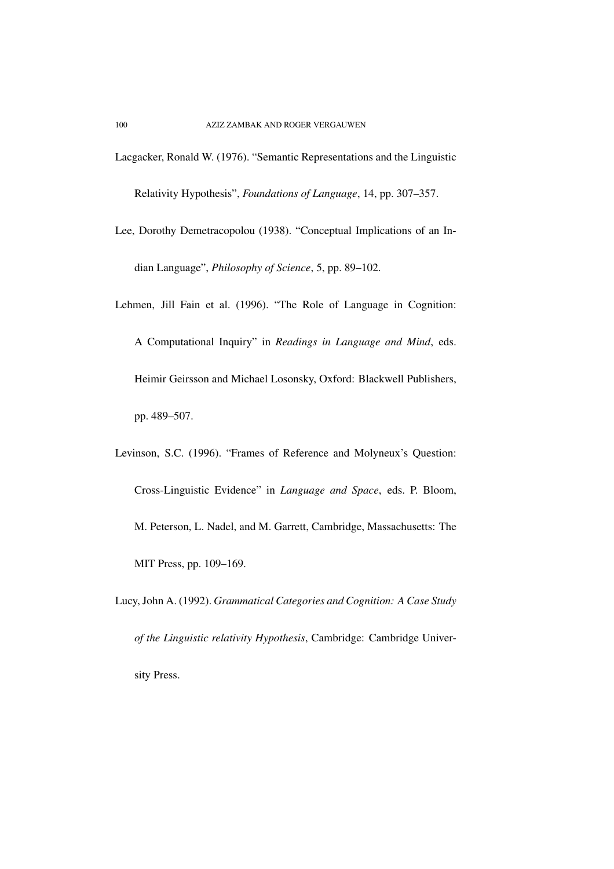Lacgacker, Ronald W. (1976). "Semantic Representations and the Linguistic

Relativity Hypothesis", *Foundations of Language*, 14, pp. 307–357.

- Lee, Dorothy Demetracopolou (1938). "Conceptual Implications of an Indian Language", *Philosophy of Science*, 5, pp. 89–102.
- Lehmen, Jill Fain et al. (1996). "The Role of Language in Cognition: A Computational Inquiry" in *Readings in Language and Mind*, eds. Heimir Geirsson and Michael Losonsky, Oxford: Blackwell Publishers, pp. 489–507.
- Levinson, S.C. (1996). "Frames of Reference and Molyneux's Question: Cross-Linguistic Evidence" in *Language and Space*, eds. P. Bloom, M. Peterson, L. Nadel, and M. Garrett, Cambridge, Massachusetts: The MIT Press, pp. 109–169.
- Lucy, John A. (1992). *Grammatical Categories and Cognition: A Case Study of the Linguistic relativity Hypothesis*, Cambridge: Cambridge University Press.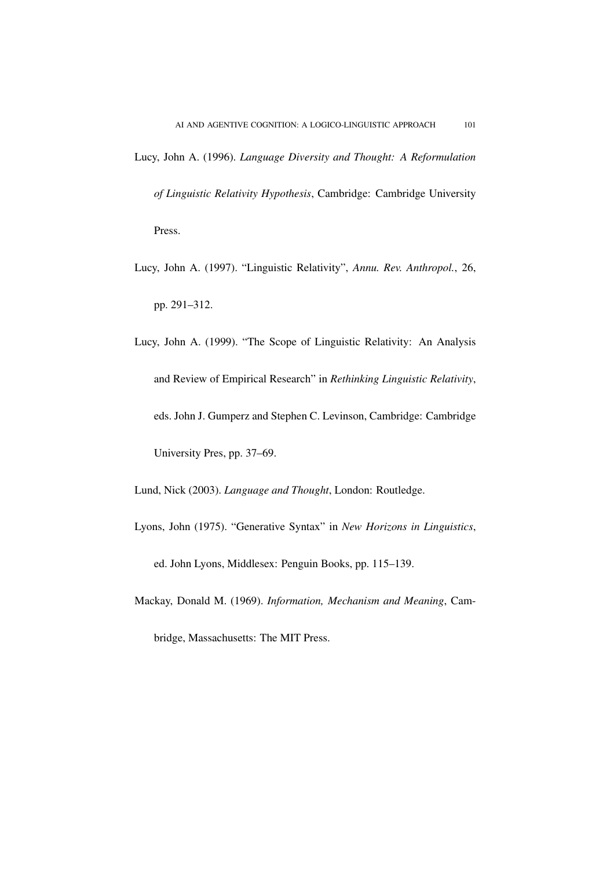- Lucy, John A. (1996). *Language Diversity and Thought: A Reformulation of Linguistic Relativity Hypothesis*, Cambridge: Cambridge University Press.
- Lucy, John A. (1997). "Linguistic Relativity", *Annu. Rev. Anthropol.*, 26, pp. 291–312.
- Lucy, John A. (1999). "The Scope of Linguistic Relativity: An Analysis and Review of Empirical Research" in *Rethinking Linguistic Relativity*, eds. John J. Gumperz and Stephen C. Levinson, Cambridge: Cambridge University Pres, pp. 37–69.

Lund, Nick (2003). *Language and Thought*, London: Routledge.

Lyons, John (1975). "Generative Syntax" in *New Horizons in Linguistics*,

ed. John Lyons, Middlesex: Penguin Books, pp. 115–139.

Mackay, Donald M. (1969). *Information, Mechanism and Meaning*, Cam-

bridge, Massachusetts: The MIT Press.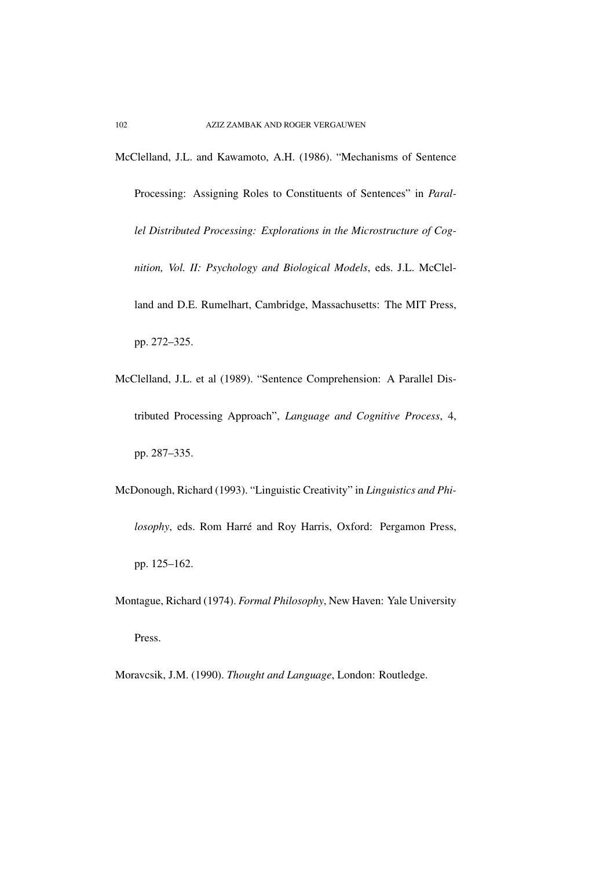McClelland, J.L. and Kawamoto, A.H. (1986). "Mechanisms of Sentence

- Processing: Assigning Roles to Constituents of Sentences" in *Parallel Distributed Processing: Explorations in the Microstructure of Cognition, Vol. II: Psychology and Biological Models*, eds. J.L. McClelland and D.E. Rumelhart, Cambridge, Massachusetts: The MIT Press, pp. 272–325.
- McClelland, J.L. et al (1989). "Sentence Comprehension: A Parallel Distributed Processing Approach", *Language and Cognitive Process*, 4, pp. 287–335.
- McDonough, Richard (1993). "Linguistic Creativity" in *Linguistics and Philosophy*, eds. Rom Harré and Roy Harris, Oxford: Pergamon Press, pp. 125–162.
- Montague, Richard (1974). *Formal Philosophy*, New Haven: Yale University Press.

Moravcsik, J.M. (1990). *Thought and Language*, London: Routledge.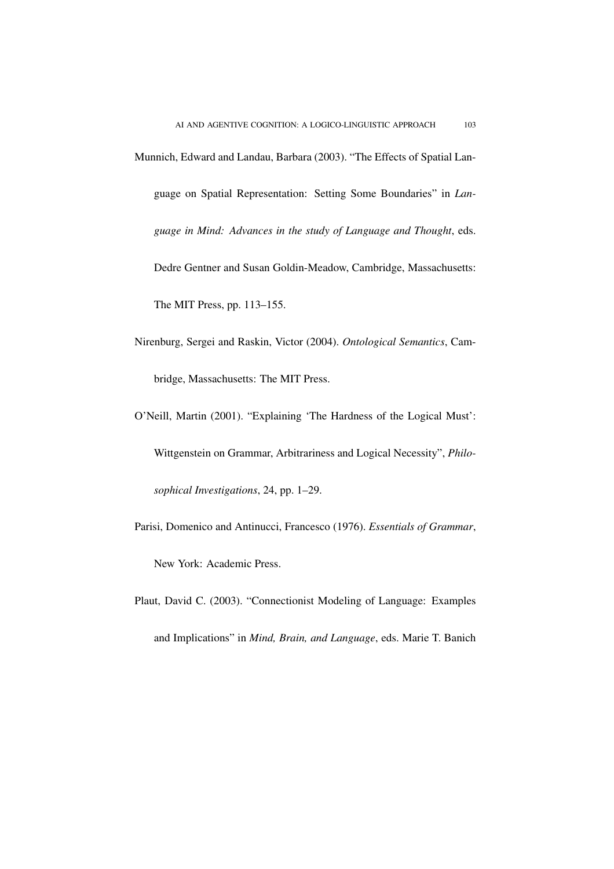Munnich, Edward and Landau, Barbara (2003). "The Effects of Spatial Language on Spatial Representation: Setting Some Boundaries" in *Language in Mind: Advances in the study of Language and Thought*, eds. Dedre Gentner and Susan Goldin-Meadow, Cambridge, Massachusetts: The MIT Press, pp. 113–155.

- Nirenburg, Sergei and Raskin, Victor (2004). *Ontological Semantics*, Cambridge, Massachusetts: The MIT Press.
- O'Neill, Martin (2001). "Explaining 'The Hardness of the Logical Must': Wittgenstein on Grammar, Arbitrariness and Logical Necessity", *Philosophical Investigations*, 24, pp. 1–29.
- Parisi, Domenico and Antinucci, Francesco (1976). *Essentials of Grammar*,

New York: Academic Press.

Plaut, David C. (2003). "Connectionist Modeling of Language: Examples

and Implications" in *Mind, Brain, and Language*, eds. Marie T. Banich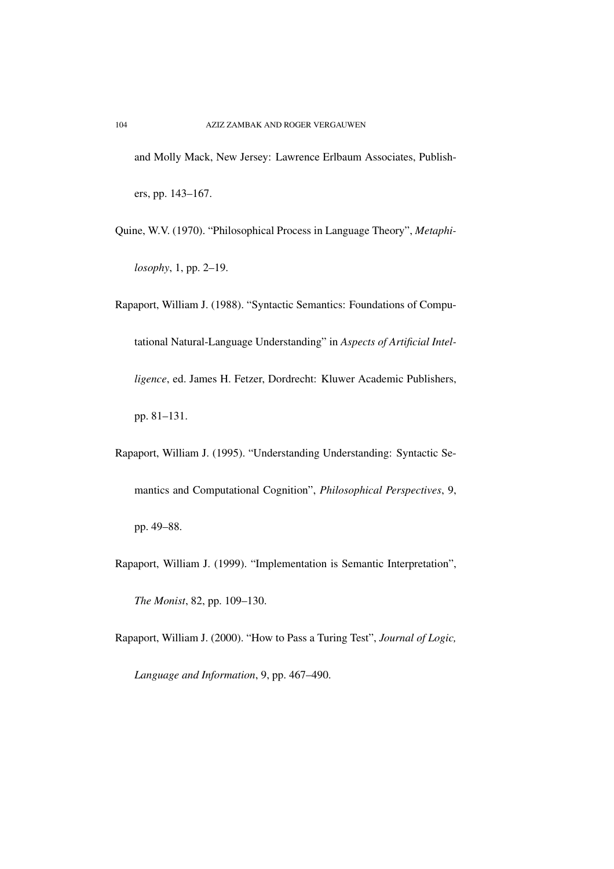- and Molly Mack, New Jersey: Lawrence Erlbaum Associates, Publishers, pp. 143–167.
- Quine, W.V. (1970). "Philosophical Process in Language Theory", *Metaphilosophy*, 1, pp. 2–19.
- Rapaport, William J. (1988). "Syntactic Semantics: Foundations of Computational Natural-Language Understanding" in *Aspects of Artificial Intelligence*, ed. James H. Fetzer, Dordrecht: Kluwer Academic Publishers, pp. 81–131.
- Rapaport, William J. (1995). "Understanding Understanding: Syntactic Semantics and Computational Cognition", *Philosophical Perspectives*, 9, pp. 49–88.
- Rapaport, William J. (1999). "Implementation is Semantic Interpretation", *The Monist*, 82, pp. 109–130.
- Rapaport, William J. (2000). "How to Pass a Turing Test", *Journal of Logic,*

*Language and Information*, 9, pp. 467–490.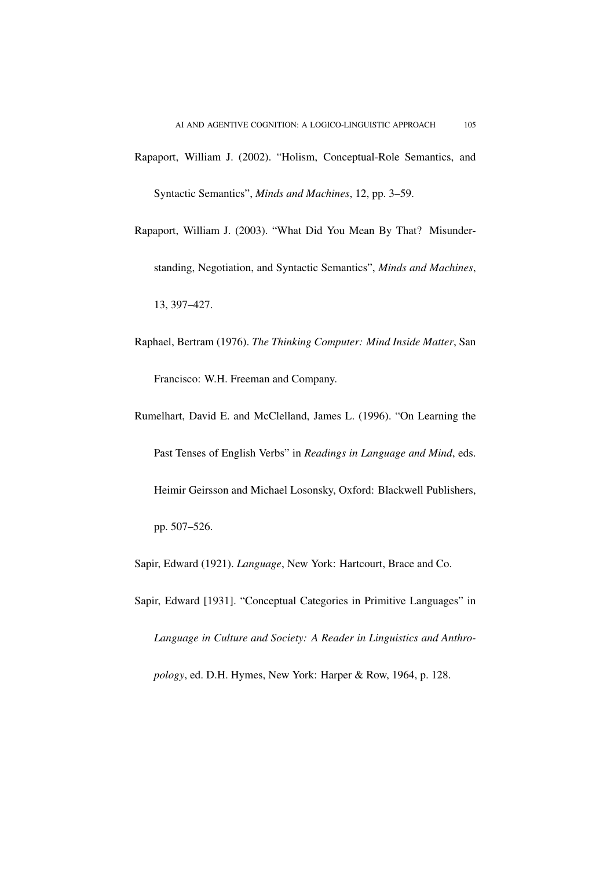- Rapaport, William J. (2002). "Holism, Conceptual-Role Semantics, and Syntactic Semantics", *Minds and Machines*, 12, pp. 3–59.
- Rapaport, William J. (2003). "What Did You Mean By That? Misunderstanding, Negotiation, and Syntactic Semantics", *Minds and Machines*, 13, 397–427.
- Raphael, Bertram (1976). *The Thinking Computer: Mind Inside Matter*, San Francisco: W.H. Freeman and Company.
- Rumelhart, David E. and McClelland, James L. (1996). "On Learning the Past Tenses of English Verbs" in *Readings in Language and Mind*, eds. Heimir Geirsson and Michael Losonsky, Oxford: Blackwell Publishers, pp. 507–526.
- Sapir, Edward (1921). *Language*, New York: Hartcourt, Brace and Co.
- Sapir, Edward [1931]. "Conceptual Categories in Primitive Languages" in

*Language in Culture and Society: A Reader in Linguistics and Anthro-*

*pology*, ed. D.H. Hymes, New York: Harper & Row, 1964, p. 128.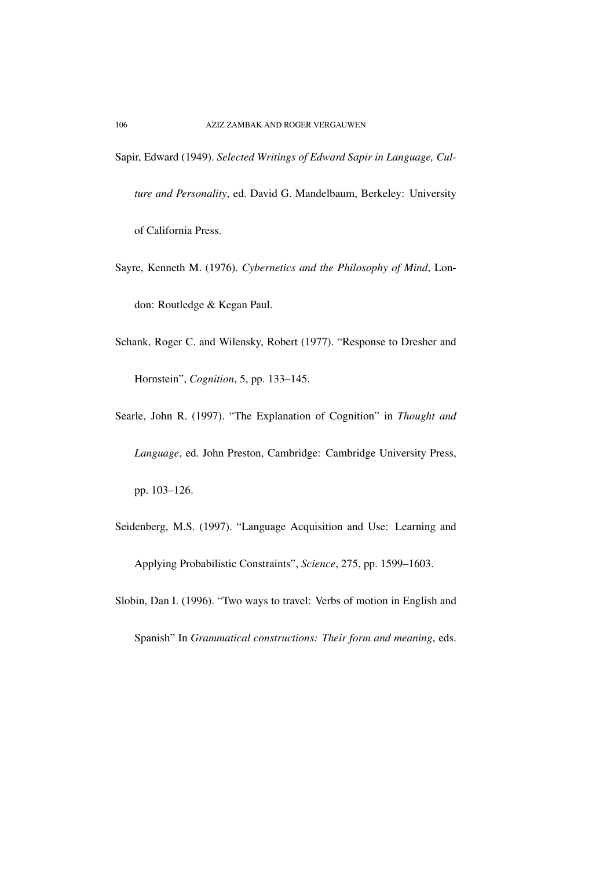- Sapir, Edward (1949). *Selected Writings of Edward Sapir in Language, Cul*
	- *ture and Personality*, ed. David G. Mandelbaum, Berkeley: University of California Press.
- Sayre, Kenneth M. (1976). *Cybernetics and the Philosophy of Mind*, London: Routledge & Kegan Paul.
- Schank, Roger C. and Wilensky, Robert (1977). "Response to Dresher and Hornstein", *Cognition*, 5, pp. 133–145.
- Searle, John R. (1997). "The Explanation of Cognition" in *Thought and Language*, ed. John Preston, Cambridge: Cambridge University Press, pp. 103–126.
- Seidenberg, M.S. (1997). "Language Acquisition and Use: Learning and Applying Probabilistic Constraints", *Science*, 275, pp. 1599–1603.
- Slobin, Dan I. (1996). "Two ways to travel: Verbs of motion in English and

Spanish" In *Grammatical constructions: Their form and meaning*, eds.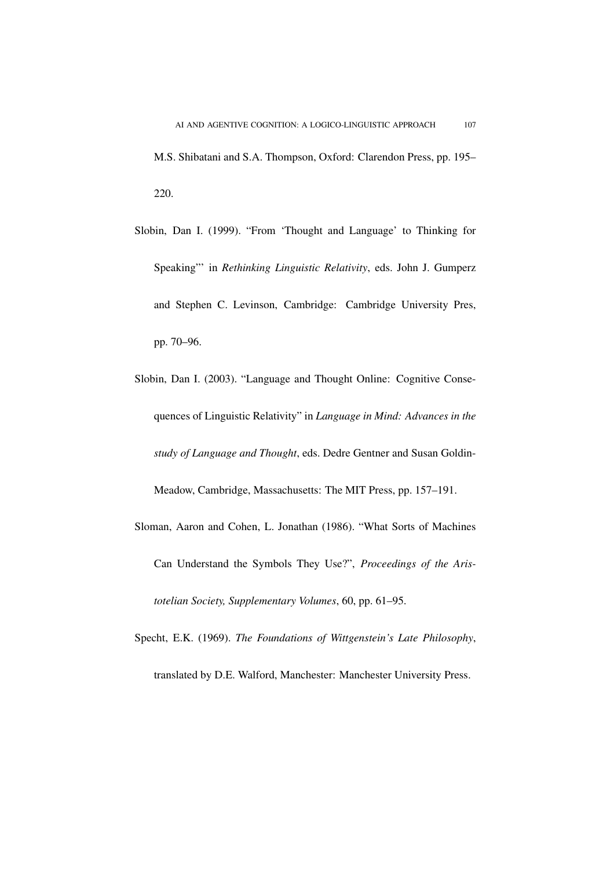220.

- Slobin, Dan I. (1999). "From 'Thought and Language' to Thinking for Speaking"' in *Rethinking Linguistic Relativity*, eds. John J. Gumperz and Stephen C. Levinson, Cambridge: Cambridge University Pres, pp. 70–96.
- Slobin, Dan I. (2003). "Language and Thought Online: Cognitive Consequences of Linguistic Relativity" in *Language in Mind: Advances in the study of Language and Thought*, eds. Dedre Gentner and Susan Goldin-Meadow, Cambridge, Massachusetts: The MIT Press, pp. 157–191.
- Sloman, Aaron and Cohen, L. Jonathan (1986). "What Sorts of Machines Can Understand the Symbols They Use?", *Proceedings of the Aristotelian Society, Supplementary Volumes*, 60, pp. 61–95.
- Specht, E.K. (1969). *The Foundations of Wittgenstein's Late Philosophy*,
	- translated by D.E. Walford, Manchester: Manchester University Press.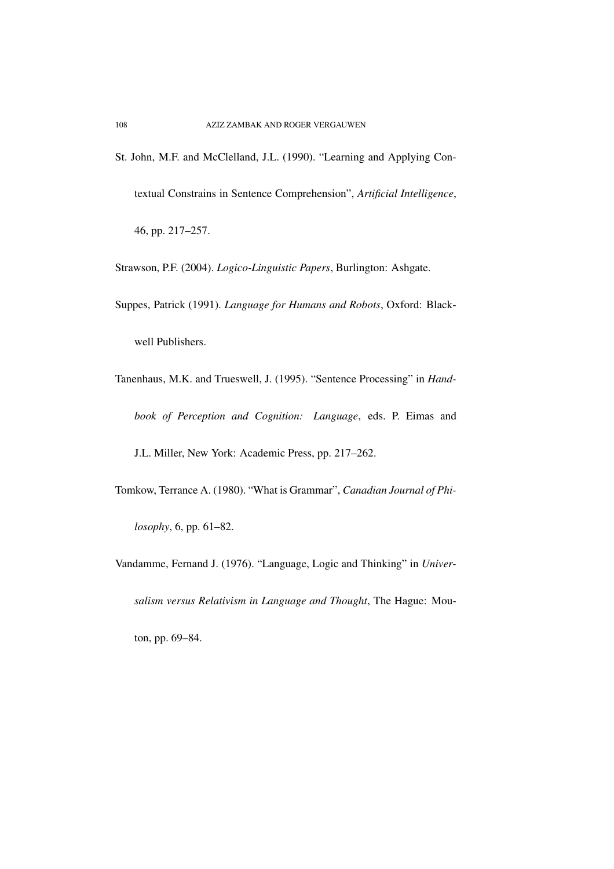St. John, M.F. and McClelland, J.L. (1990). "Learning and Applying Contextual Constrains in Sentence Comprehension", *Artificial Intelligence*, 46, pp. 217–257.

Strawson, P.F. (2004). *Logico-Linguistic Papers*, Burlington: Ashgate.

- Suppes, Patrick (1991). *Language for Humans and Robots*, Oxford: Blackwell Publishers.
- Tanenhaus, M.K. and Trueswell, J. (1995). "Sentence Processing" in *Handbook of Perception and Cognition: Language*, eds. P. Eimas and J.L. Miller, New York: Academic Press, pp. 217–262.
- Tomkow, Terrance A. (1980). "What is Grammar", *Canadian Journal of Phi-*

*losophy*, 6, pp. 61–82.

ton, pp. 69–84.

Vandamme, Fernand J. (1976). "Language, Logic and Thinking" in *Universalism versus Relativism in Language and Thought*, The Hague: Mou-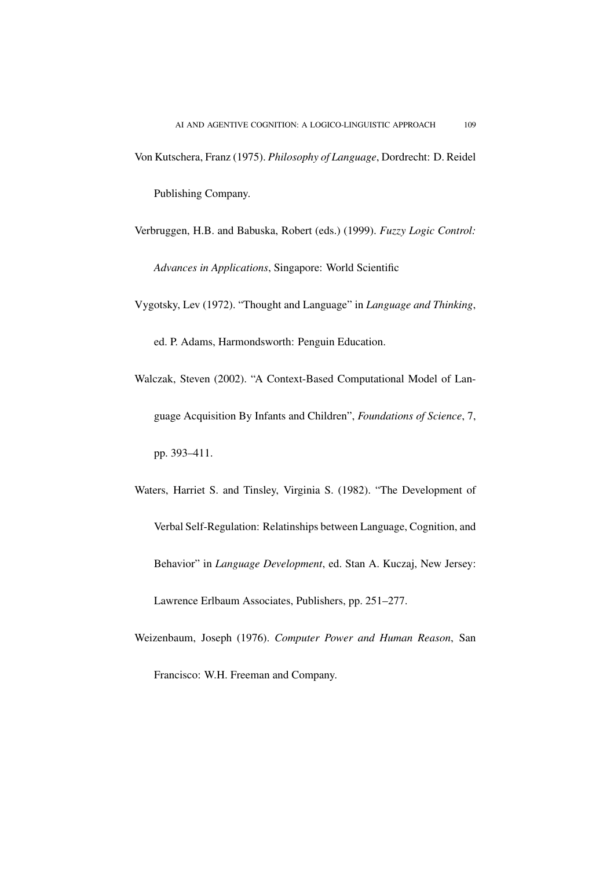## AI AND AGENTIVE COGNITION: A LOGICO-LINGUISTIC APPROACH 109 Von Kutschera, Franz (1975). *Philosophy of Language*, Dordrecht: D. Reidel

Publishing Company.

- Verbruggen, H.B. and Babuska, Robert (eds.) (1999). *Fuzzy Logic Control: Advances in Applications*, Singapore: World Scientific
- Vygotsky, Lev (1972). "Thought and Language" in *Language and Thinking*,

ed. P. Adams, Harmondsworth: Penguin Education.

- Walczak, Steven (2002). "A Context-Based Computational Model of Language Acquisition By Infants and Children", *Foundations of Science*, 7, pp. 393–411.
- Waters, Harriet S. and Tinsley, Virginia S. (1982). "The Development of Verbal Self-Regulation: Relatinships between Language, Cognition, and Behavior" in *Language Development*, ed. Stan A. Kuczaj, New Jersey: Lawrence Erlbaum Associates, Publishers, pp. 251–277.
- Weizenbaum, Joseph (1976). *Computer Power and Human Reason*, San

Francisco: W.H. Freeman and Company.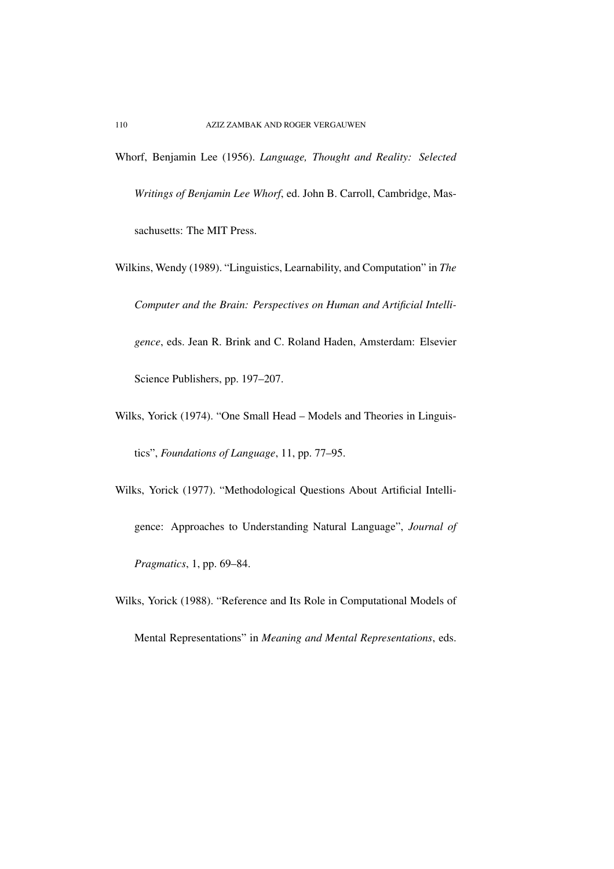- Whorf, Benjamin Lee (1956). *Language, Thought and Reality: Selected Writings of Benjamin Lee Whorf*, ed. John B. Carroll, Cambridge, Massachusetts: The MIT Press.
- Wilkins, Wendy (1989). "Linguistics, Learnability, and Computation" in *The Computer and the Brain: Perspectives on Human and Artificial Intelligence*, eds. Jean R. Brink and C. Roland Haden, Amsterdam: Elsevier Science Publishers, pp. 197–207.
- Wilks, Yorick (1974). "One Small Head Models and Theories in Linguistics", *Foundations of Language*, 11, pp. 77–95.
- Wilks, Yorick (1977). "Methodological Questions About Artificial Intelligence: Approaches to Understanding Natural Language", *Journal of Pragmatics*, 1, pp. 69–84.
- Wilks, Yorick (1988). "Reference and Its Role in Computational Models of Mental Representations" in *Meaning and Mental Representations*, eds.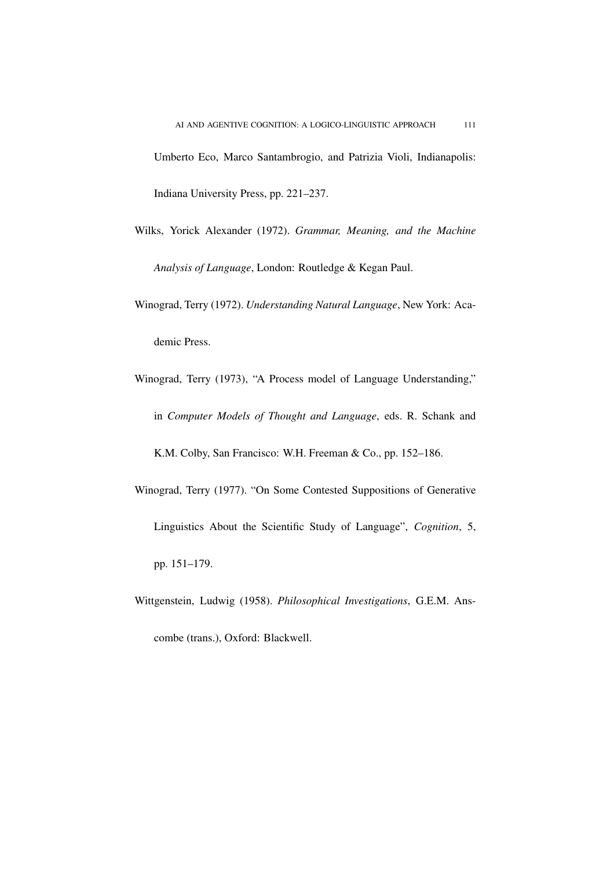AI AND AGENTIVE COGNITION: A LOGICO-LINGUISTIC APPROACH 111 Umberto Eco, Marco Santambrogio, and Patrizia Violi, Indianapolis: Indiana University Press, pp. 221–237.

- Wilks, Yorick Alexander (1972). *Grammar, Meaning, and the Machine Analysis of Language*, London: Routledge & Kegan Paul.
- Winograd, Terry (1972). *Understanding Natural Language*, New York: Academic Press.
- Winograd, Terry (1973), "A Process model of Language Understanding," in *Computer Models of Thought and Language*, eds. R. Schank and K.M. Colby, San Francisco: W.H. Freeman & Co., pp. 152–186.
- Winograd, Terry (1977). "On Some Contested Suppositions of Generative Linguistics About the Scientific Study of Language", *Cognition*, 5, pp. 151–179.
- Wittgenstein, Ludwig (1958). *Philosophical Investigations*, G.E.M. Anscombe (trans.), Oxford: Blackwell.